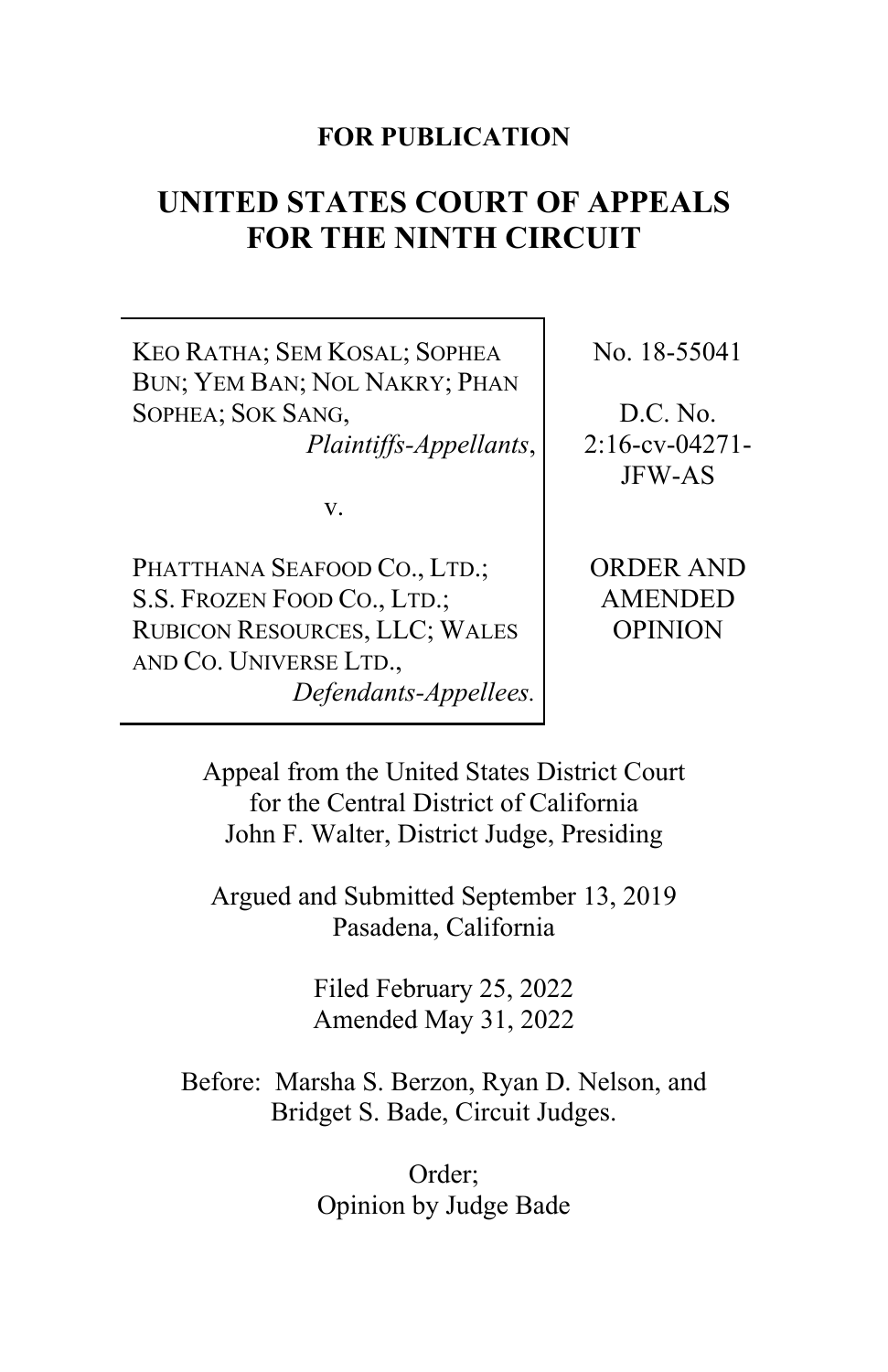# **FOR PUBLICATION**

# **UNITED STATES COURT OF APPEALS FOR THE NINTH CIRCUIT**

KEO RATHA; SEM KOSAL; SOPHEA BUN; YEM BAN; NOL NAKRY; PHAN SOPHEA; SOK SANG,

*Plaintiffs-Appellants*,

v.

PHATTHANA SEAFOOD CO., LTD.; S.S. FROZEN FOOD CO., LTD.; RUBICON RESOURCES, LLC; WALES AND CO. UNIVERSE LTD., *Defendants-Appellees.* No. 18-55041

D.C. No. 2:16-cv-04271- JFW-AS

ORDER AND AMENDED OPINION

Appeal from the United States District Court for the Central District of California John F. Walter, District Judge, Presiding

Argued and Submitted September 13, 2019 Pasadena, California

> Filed February 25, 2022 Amended May 31, 2022

Before: Marsha S. Berzon, Ryan D. Nelson, and Bridget S. Bade, Circuit Judges.

> Order; Opinion by Judge Bade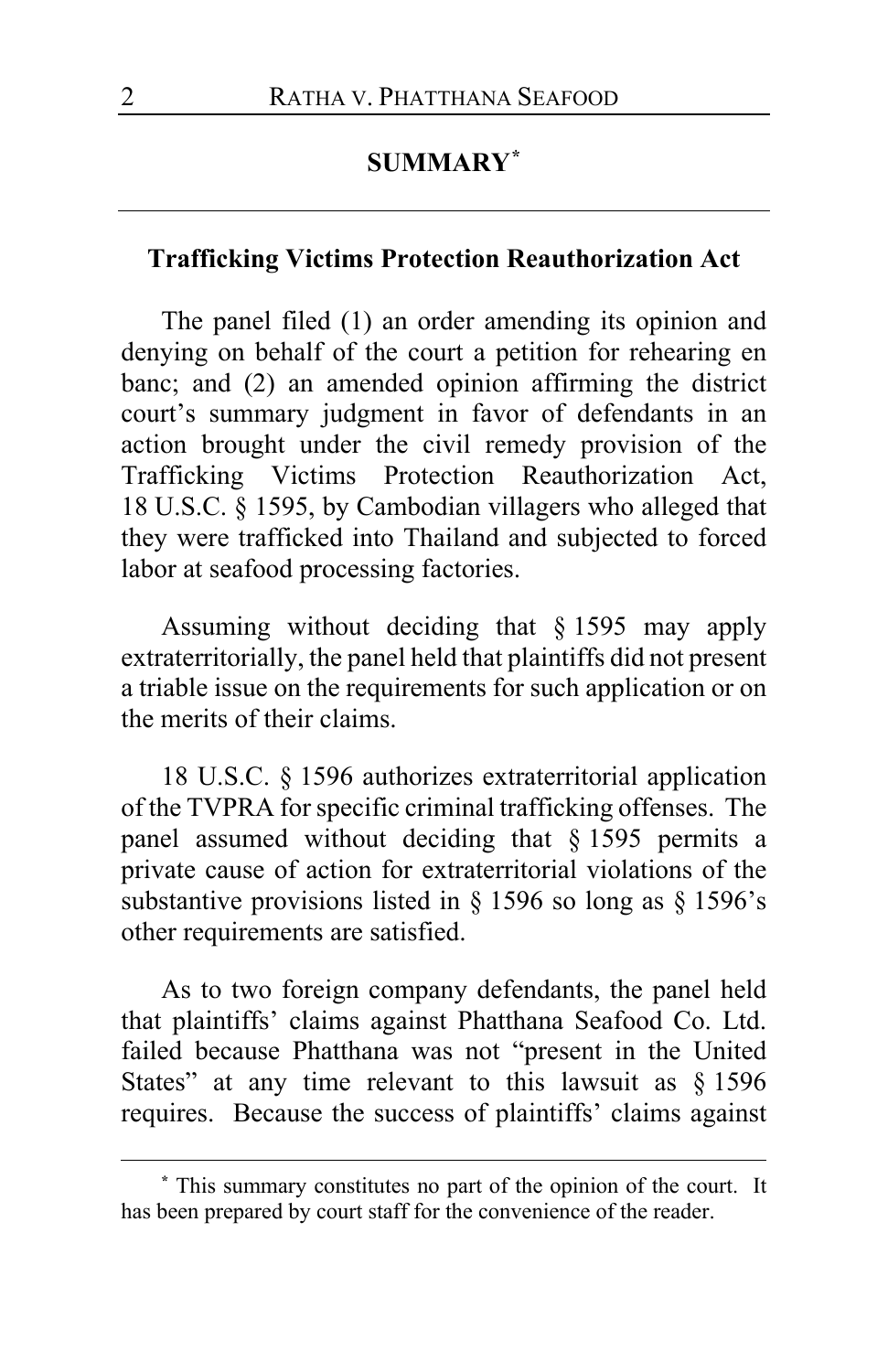# **SUMMARY[\\*](#page-1-0)**

### **Trafficking Victims Protection Reauthorization Act**

The panel filed (1) an order amending its opinion and denying on behalf of the court a petition for rehearing en banc; and (2) an amended opinion affirming the district court's summary judgment in favor of defendants in an action brought under the civil remedy provision of the Trafficking Victims Protection Reauthorization Act, 18 U.S.C. § 1595, by Cambodian villagers who alleged that they were trafficked into Thailand and subjected to forced labor at seafood processing factories.

Assuming without deciding that § 1595 may apply extraterritorially, the panel held that plaintiffs did not present a triable issue on the requirements for such application or on the merits of their claims.

18 U.S.C. § 1596 authorizes extraterritorial application of the TVPRA for specific criminal trafficking offenses. The panel assumed without deciding that § 1595 permits a private cause of action for extraterritorial violations of the substantive provisions listed in § 1596 so long as § 1596's other requirements are satisfied.

As to two foreign company defendants, the panel held that plaintiffs' claims against Phatthana Seafood Co. Ltd. failed because Phatthana was not "present in the United States" at any time relevant to this lawsuit as § 1596 requires. Because the success of plaintiffs' claims against

<span id="page-1-0"></span>**<sup>\*</sup>** This summary constitutes no part of the opinion of the court. It has been prepared by court staff for the convenience of the reader.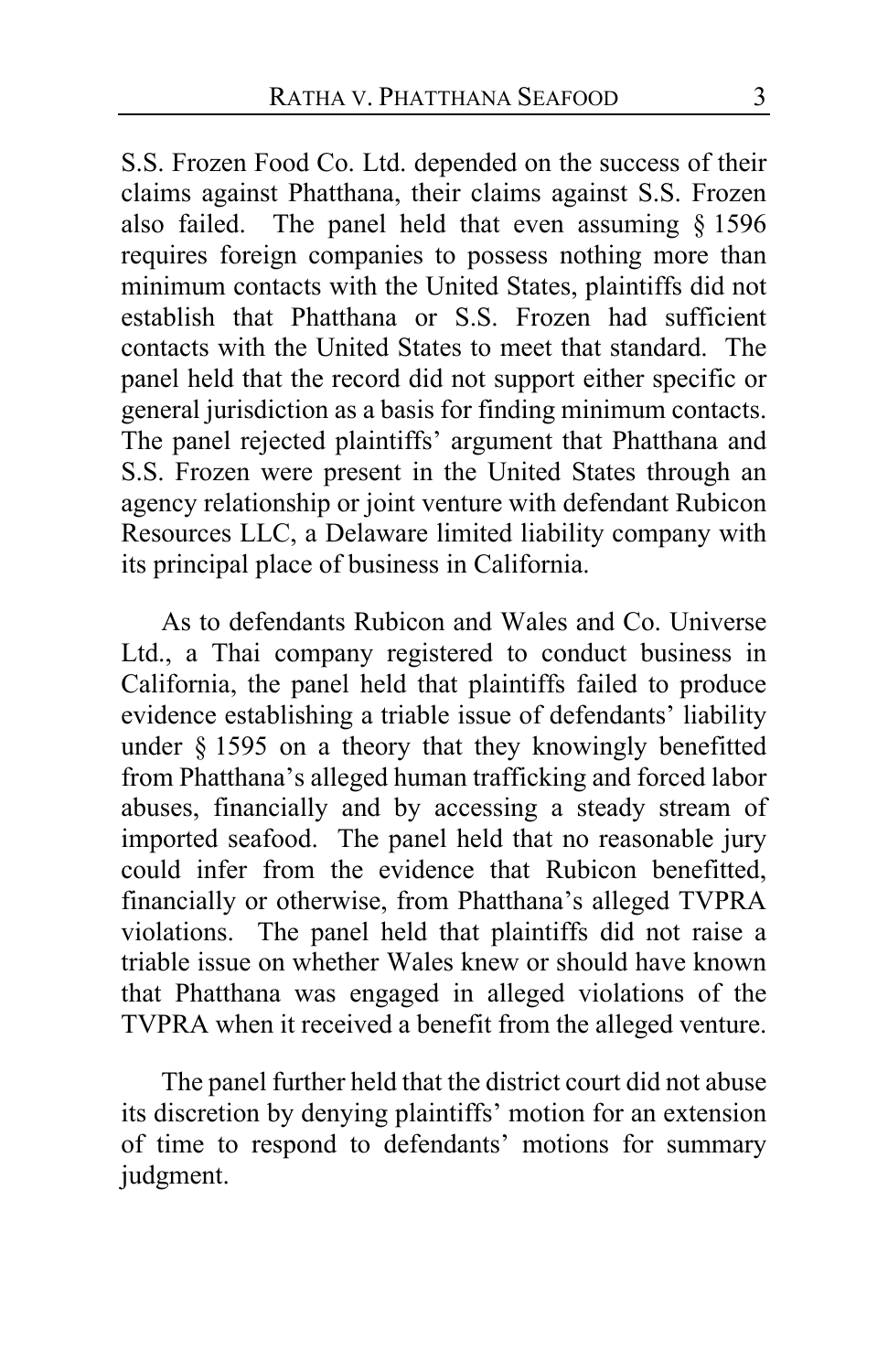S.S. Frozen Food Co. Ltd. depended on the success of their claims against Phatthana, their claims against S.S. Frozen also failed. The panel held that even assuming § 1596 requires foreign companies to possess nothing more than minimum contacts with the United States, plaintiffs did not establish that Phatthana or S.S. Frozen had sufficient contacts with the United States to meet that standard. The panel held that the record did not support either specific or general jurisdiction as a basis for finding minimum contacts. The panel rejected plaintiffs' argument that Phatthana and S.S. Frozen were present in the United States through an agency relationship or joint venture with defendant Rubicon Resources LLC, a Delaware limited liability company with its principal place of business in California.

As to defendants Rubicon and Wales and Co. Universe Ltd., a Thai company registered to conduct business in California, the panel held that plaintiffs failed to produce evidence establishing a triable issue of defendants' liability under § 1595 on a theory that they knowingly benefitted from Phatthana's alleged human trafficking and forced labor abuses, financially and by accessing a steady stream of imported seafood. The panel held that no reasonable jury could infer from the evidence that Rubicon benefitted, financially or otherwise, from Phatthana's alleged TVPRA violations. The panel held that plaintiffs did not raise a triable issue on whether Wales knew or should have known that Phatthana was engaged in alleged violations of the TVPRA when it received a benefit from the alleged venture.

The panel further held that the district court did not abuse its discretion by denying plaintiffs' motion for an extension of time to respond to defendants' motions for summary judgment.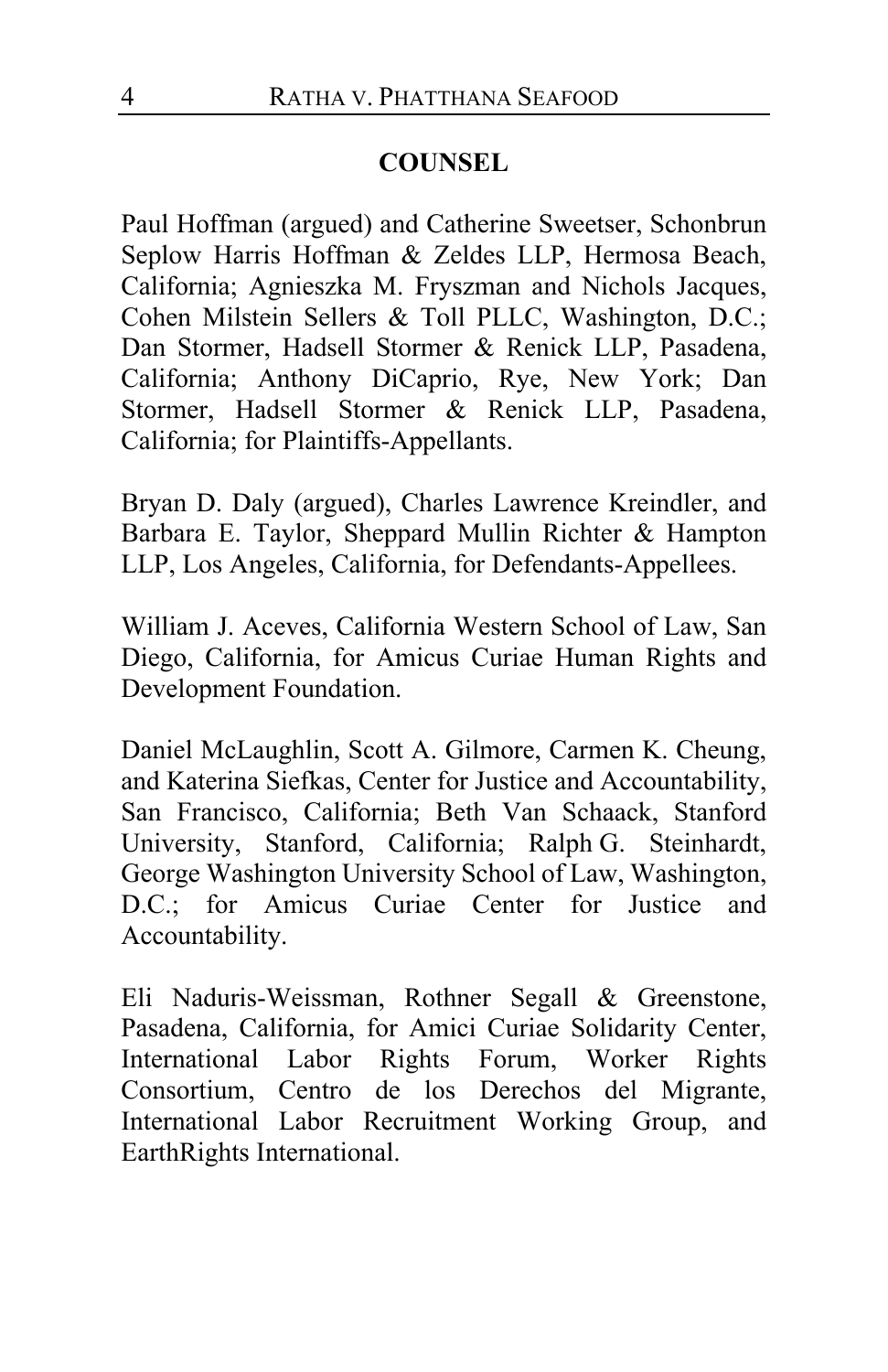# **COUNSEL**

Paul Hoffman (argued) and Catherine Sweetser, Schonbrun Seplow Harris Hoffman & Zeldes LLP, Hermosa Beach, California; Agnieszka M. Fryszman and Nichols Jacques, Cohen Milstein Sellers & Toll PLLC, Washington, D.C.; Dan Stormer, Hadsell Stormer & Renick LLP, Pasadena, California; Anthony DiCaprio, Rye, New York; Dan Stormer, Hadsell Stormer & Renick LLP, Pasadena, California; for Plaintiffs-Appellants.

Bryan D. Daly (argued), Charles Lawrence Kreindler, and Barbara E. Taylor, Sheppard Mullin Richter & Hampton LLP, Los Angeles, California, for Defendants-Appellees.

William J. Aceves, California Western School of Law, San Diego, California, for Amicus Curiae Human Rights and Development Foundation.

Daniel McLaughlin, Scott A. Gilmore, Carmen K. Cheung, and Katerina Siefkas, Center for Justice and Accountability, San Francisco, California; Beth Van Schaack, Stanford University, Stanford, California; Ralph G. Steinhardt, George Washington University School of Law, Washington, D.C.; for Amicus Curiae Center for Justice and Accountability.

Eli Naduris-Weissman, Rothner Segall & Greenstone, Pasadena, California, for Amici Curiae Solidarity Center, International Labor Rights Forum, Worker Rights Consortium, Centro de los Derechos del Migrante, International Labor Recruitment Working Group, and EarthRights International.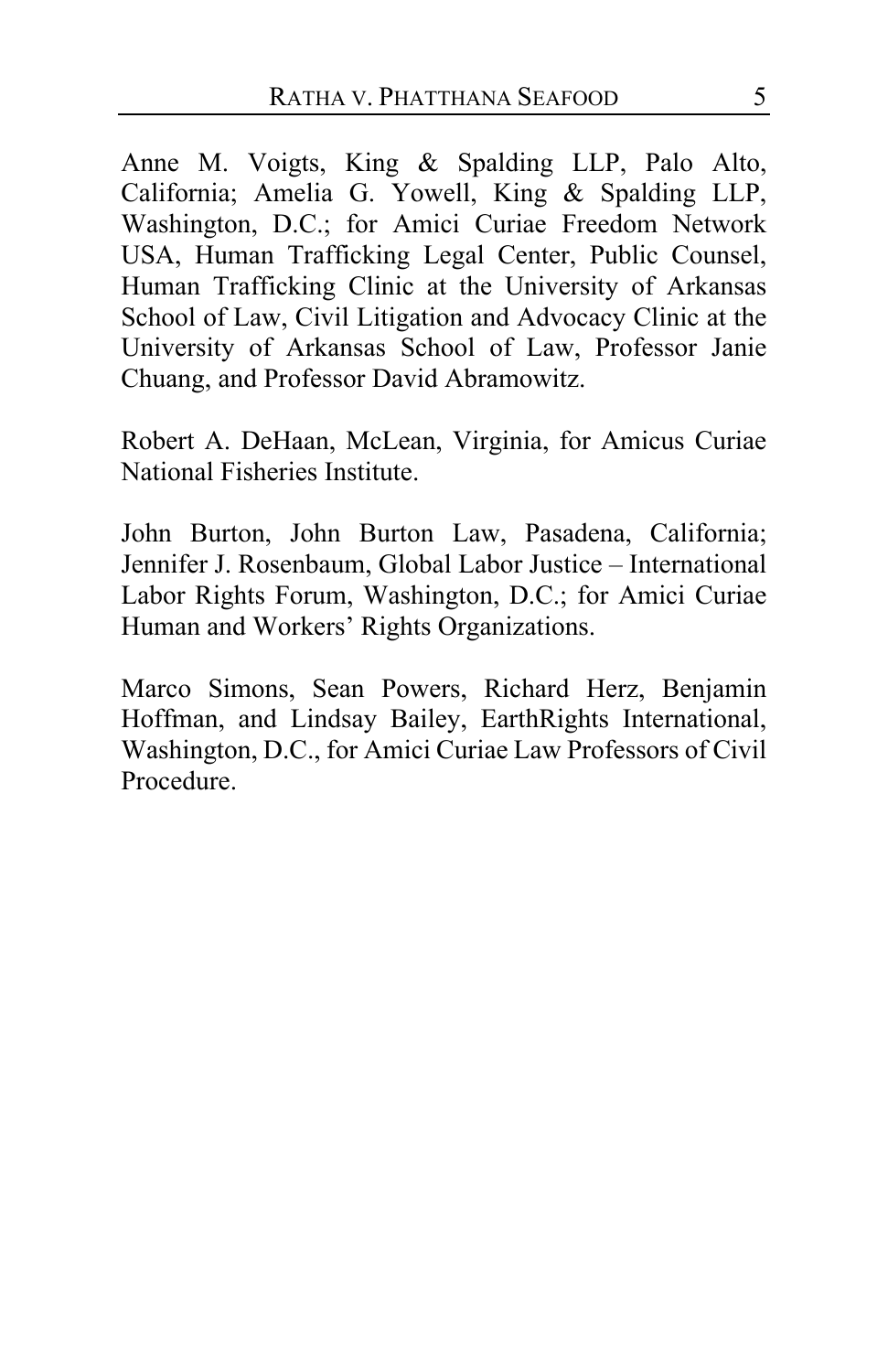Anne M. Voigts, King & Spalding LLP, Palo Alto, California; Amelia G. Yowell, King & Spalding LLP, Washington, D.C.; for Amici Curiae Freedom Network USA, Human Trafficking Legal Center, Public Counsel, Human Trafficking Clinic at the University of Arkansas School of Law, Civil Litigation and Advocacy Clinic at the University of Arkansas School of Law, Professor Janie Chuang, and Professor David Abramowitz.

Robert A. DeHaan, McLean, Virginia, for Amicus Curiae National Fisheries Institute.

John Burton, John Burton Law, Pasadena, California; Jennifer J. Rosenbaum, Global Labor Justice – International Labor Rights Forum, Washington, D.C.; for Amici Curiae Human and Workers' Rights Organizations.

Marco Simons, Sean Powers, Richard Herz, Benjamin Hoffman, and Lindsay Bailey, EarthRights International, Washington, D.C., for Amici Curiae Law Professors of Civil Procedure.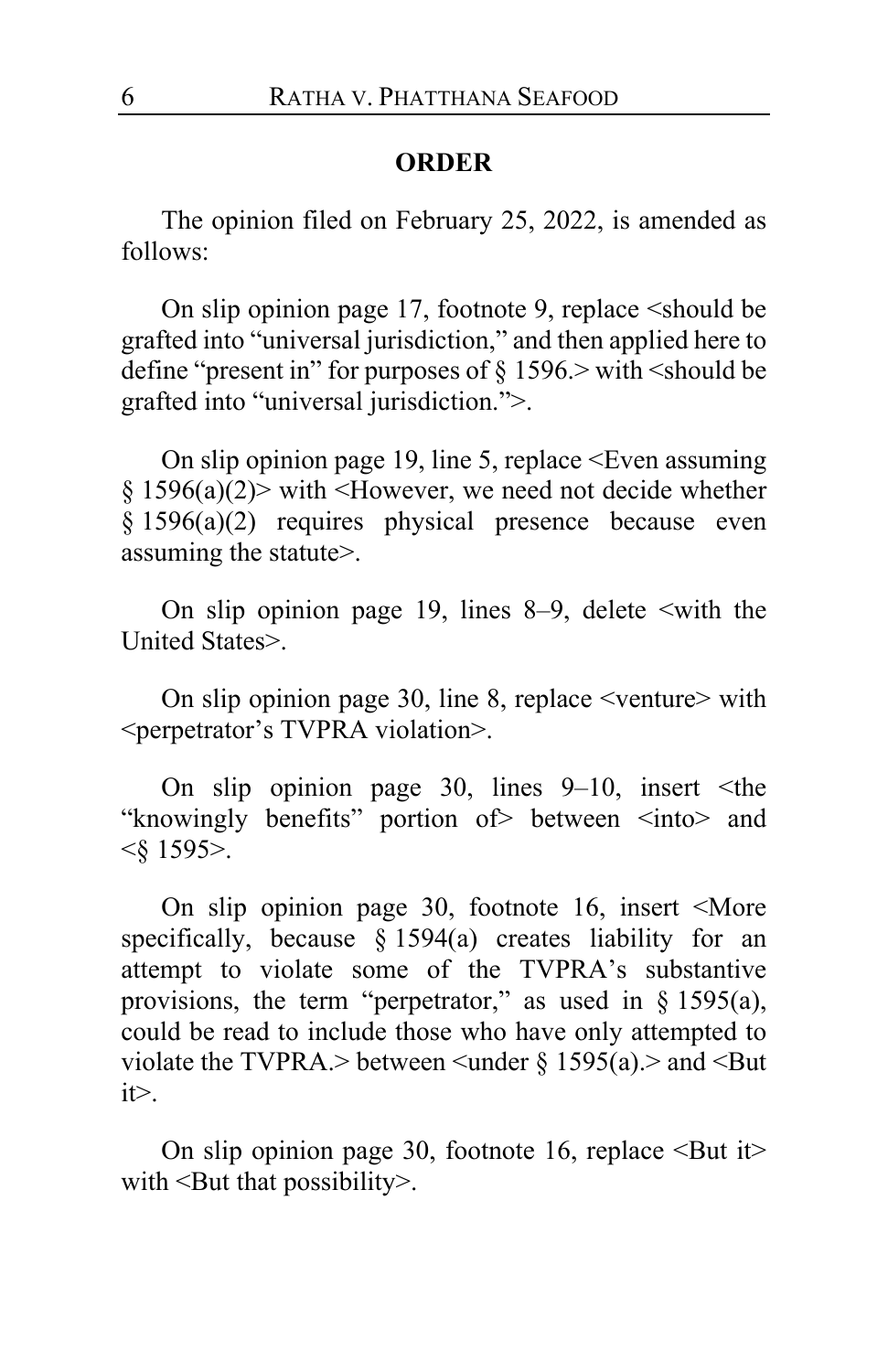# **ORDER**

The opinion filed on February 25, 2022, is amended as follows:

On slip opinion page 17, footnote 9, replace <should be grafted into "universal jurisdiction," and then applied here to define "present in" for purposes of  $\S 1596$ . with  $\le$ should be grafted into "universal jurisdiction.">.

On slip opinion page 19, line 5, replace  $\leq$ Even assuming  $§ 1596(a)(2)$  with <However, we need not decide whether § 1596(a)(2) requires physical presence because even assuming the statute>.

On slip opinion page 19, lines  $8-9$ , delete  $\le$ with the United States>.

On slip opinion page 30, line 8, replace <venture> with <perpetrator's TVPRA violation>.

On slip opinion page 30, lines  $9-10$ , insert  $\leq$ the "knowingly benefits" portion of between <into and <§ 1595>.

On slip opinion page 30, footnote 16, insert <More specifically, because § 1594(a) creates liability for an attempt to violate some of the TVPRA's substantive provisions, the term "perpetrator," as used in § 1595(a), could be read to include those who have only attempted to violate the TVPRA.> between  $\leq$ under § 1595(a).> and  $\leq$ But  $it$ 

On slip opinion page 30, footnote 16, replace  $\leq$ But it $\geq$ with <But that possibility>.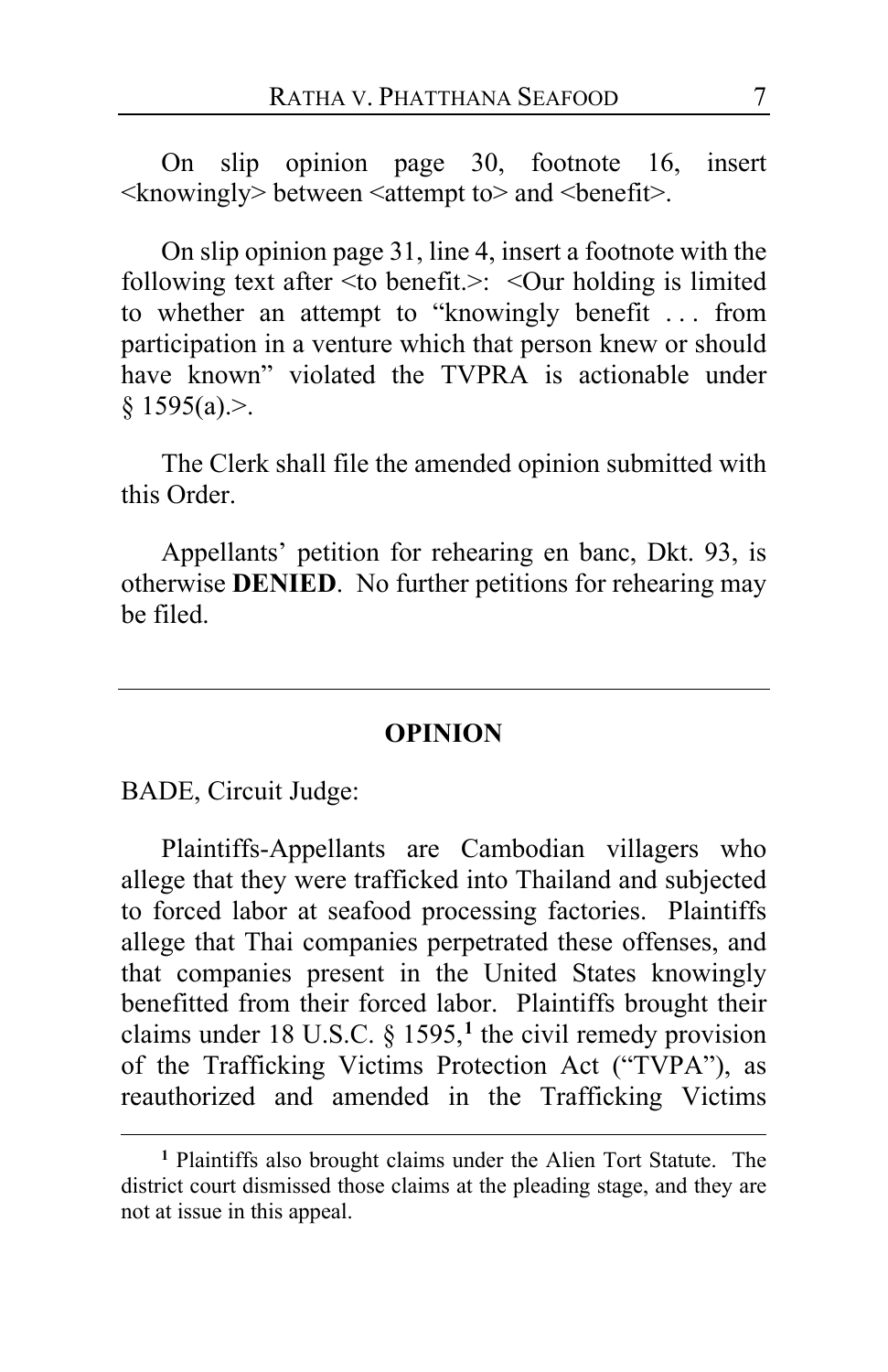On slip opinion page 30, footnote 16, insert  $\langle$ knowingly> between  $\langle$ attempt to> and  $\langle$ benefit $\rangle$ .

On slip opinion page 31, line 4, insert a footnote with the following text after <to benefit.>: <Our holding is limited to whether an attempt to "knowingly benefit . . . from participation in a venture which that person knew or should have known" violated the TVPRA is actionable under  $§ 1595(a).>.$ 

The Clerk shall file the amended opinion submitted with this Order.

Appellants' petition for rehearing en banc, Dkt. 93, is otherwise **DENIED**. No further petitions for rehearing may be filed.

### **OPINION**

BADE, Circuit Judge:

Plaintiffs-Appellants are Cambodian villagers who allege that they were trafficked into Thailand and subjected to forced labor at seafood processing factories. Plaintiffs allege that Thai companies perpetrated these offenses, and that companies present in the United States knowingly benefitted from their forced labor. Plaintiffs brought their claims under 18 U.S.C. § 1595,**[1](#page-6-0)** the civil remedy provision of the Trafficking Victims Protection Act ("TVPA"), as reauthorized and amended in the Trafficking Victims

<span id="page-6-0"></span>**<sup>1</sup>** Plaintiffs also brought claims under the Alien Tort Statute. The district court dismissed those claims at the pleading stage, and they are not at issue in this appeal.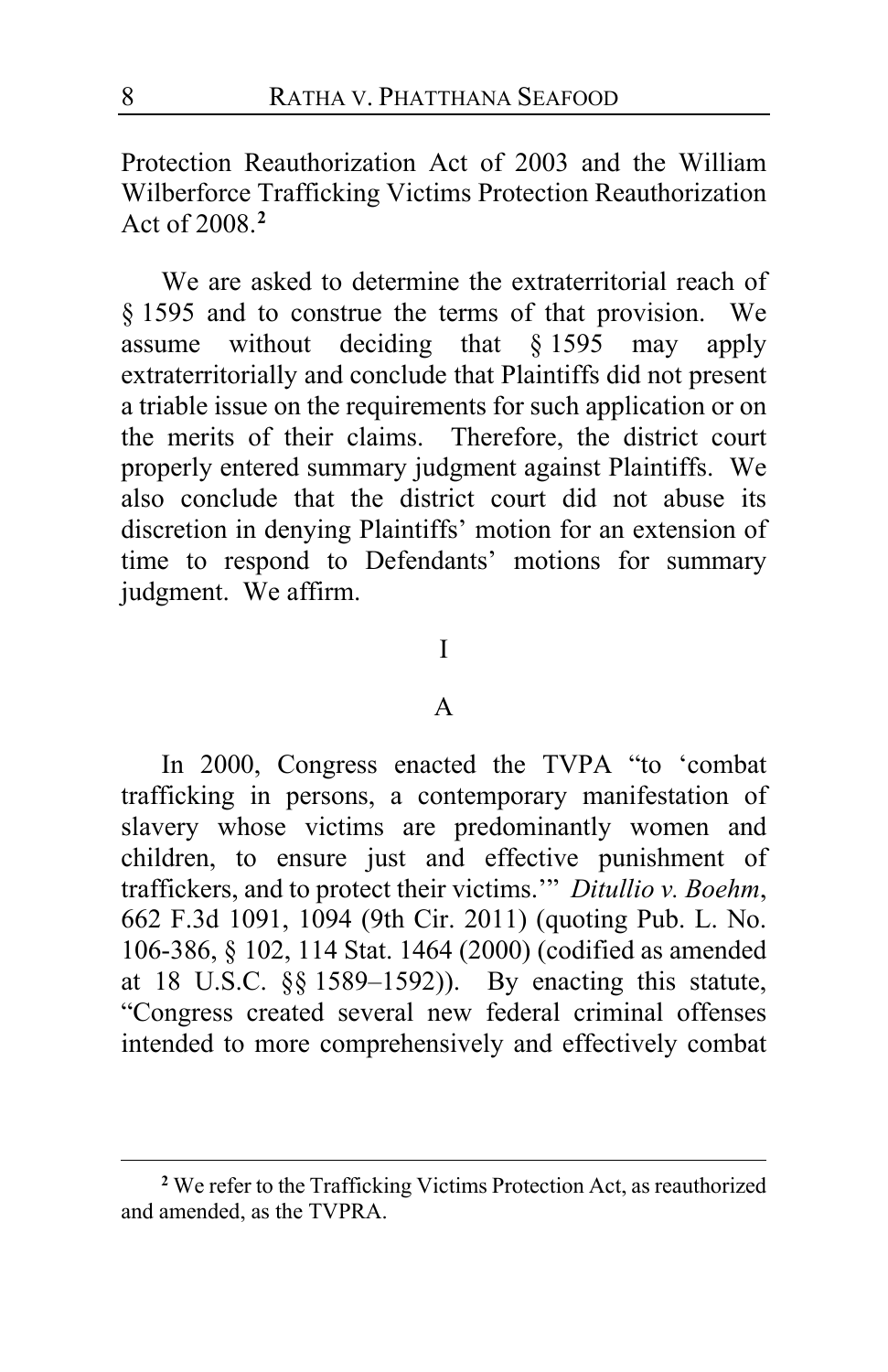Protection Reauthorization Act of 2003 and the William Wilberforce Trafficking Victims Protection Reauthorization Act of 2008.**[2](#page-7-0)**

We are asked to determine the extraterritorial reach of § 1595 and to construe the terms of that provision. We assume without deciding that § 1595 may apply extraterritorially and conclude that Plaintiffs did not present a triable issue on the requirements for such application or on the merits of their claims. Therefore, the district court properly entered summary judgment against Plaintiffs. We also conclude that the district court did not abuse its discretion in denying Plaintiffs' motion for an extension of time to respond to Defendants' motions for summary judgment. We affirm.

# I

### A

In 2000, Congress enacted the TVPA "to 'combat trafficking in persons, a contemporary manifestation of slavery whose victims are predominantly women and children, to ensure just and effective punishment of traffickers, and to protect their victims.'" *Ditullio v. Boehm*, 662 F.3d 1091, 1094 (9th Cir. 2011) (quoting Pub. L. No. 106-386, § 102, 114 Stat. 1464 (2000) (codified as amended at 18 U.S.C. §§ 1589–1592)). By enacting this statute, "Congress created several new federal criminal offenses intended to more comprehensively and effectively combat

<span id="page-7-0"></span>**<sup>2</sup>** We refer to the Trafficking Victims Protection Act, as reauthorized and amended, as the TVPRA.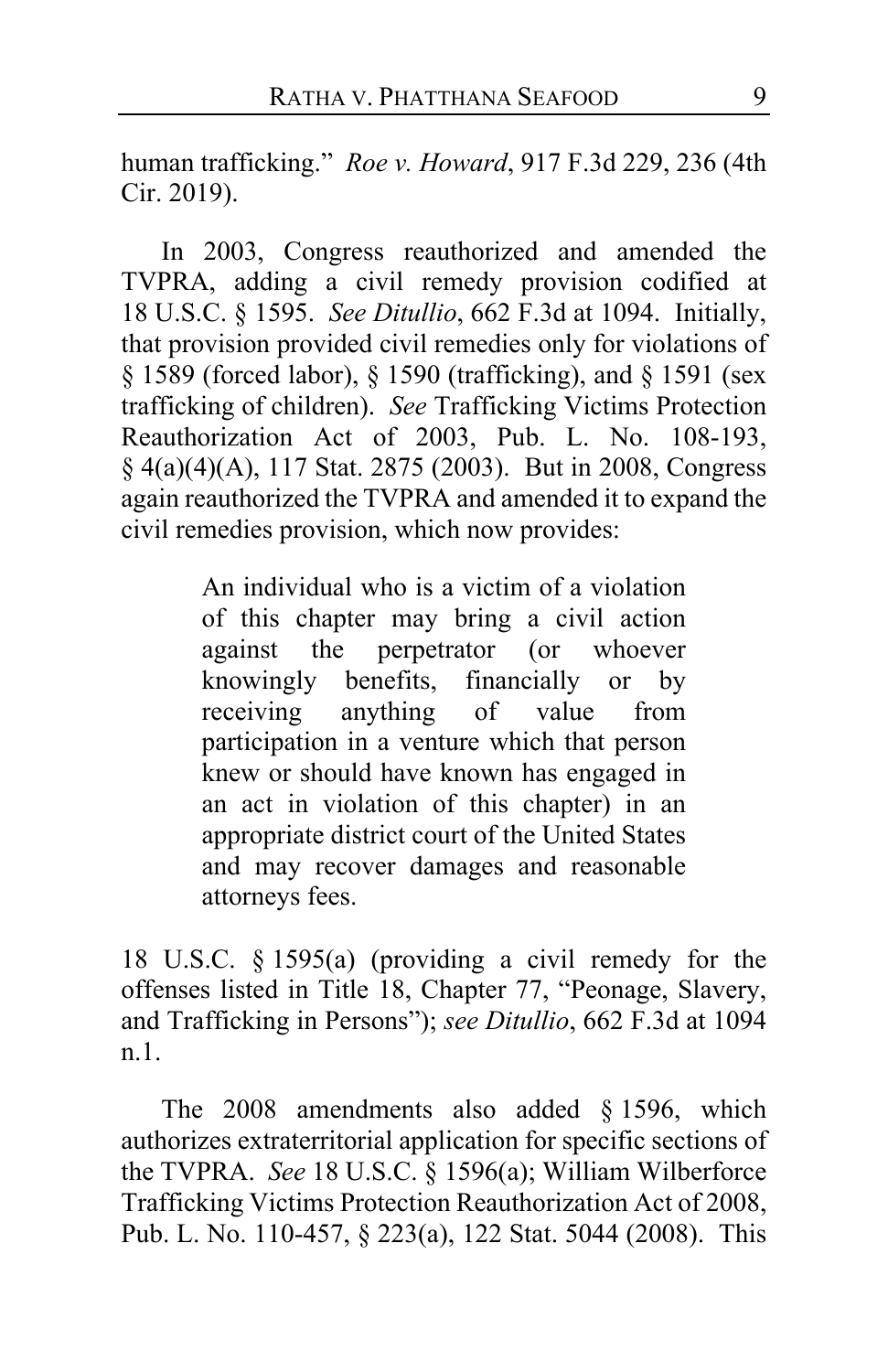human trafficking." *Roe v. Howard*, 917 F.3d 229, 236 (4th Cir. 2019).

In 2003, Congress reauthorized and amended the TVPRA, adding a civil remedy provision codified at 18 U.S.C. § 1595. *See Ditullio*, 662 F.3d at 1094. Initially, that provision provided civil remedies only for violations of § 1589 (forced labor), § 1590 (trafficking), and § 1591 (sex trafficking of children). *See* Trafficking Victims Protection Reauthorization Act of 2003, Pub. L. No. 108-193, § 4(a)(4)(A), 117 Stat. 2875 (2003). But in 2008, Congress again reauthorized the TVPRA and amended it to expand the civil remedies provision, which now provides:

> An individual who is a victim of a violation of this chapter may bring a civil action against the perpetrator (or whoever knowingly benefits, financially or by receiving anything of value from participation in a venture which that person knew or should have known has engaged in an act in violation of this chapter) in an appropriate district court of the United States and may recover damages and reasonable attorneys fees.

18 U.S.C. § 1595(a) (providing a civil remedy for the offenses listed in Title 18, Chapter 77, "Peonage, Slavery, and Trafficking in Persons"); *see Ditullio*, 662 F.3d at 1094 n.1.

The 2008 amendments also added § 1596, which authorizes extraterritorial application for specific sections of the TVPRA. *See* 18 U.S.C. § 1596(a); William Wilberforce Trafficking Victims Protection Reauthorization Act of 2008, Pub. L. No. 110-457, § 223(a), 122 Stat. 5044 (2008). This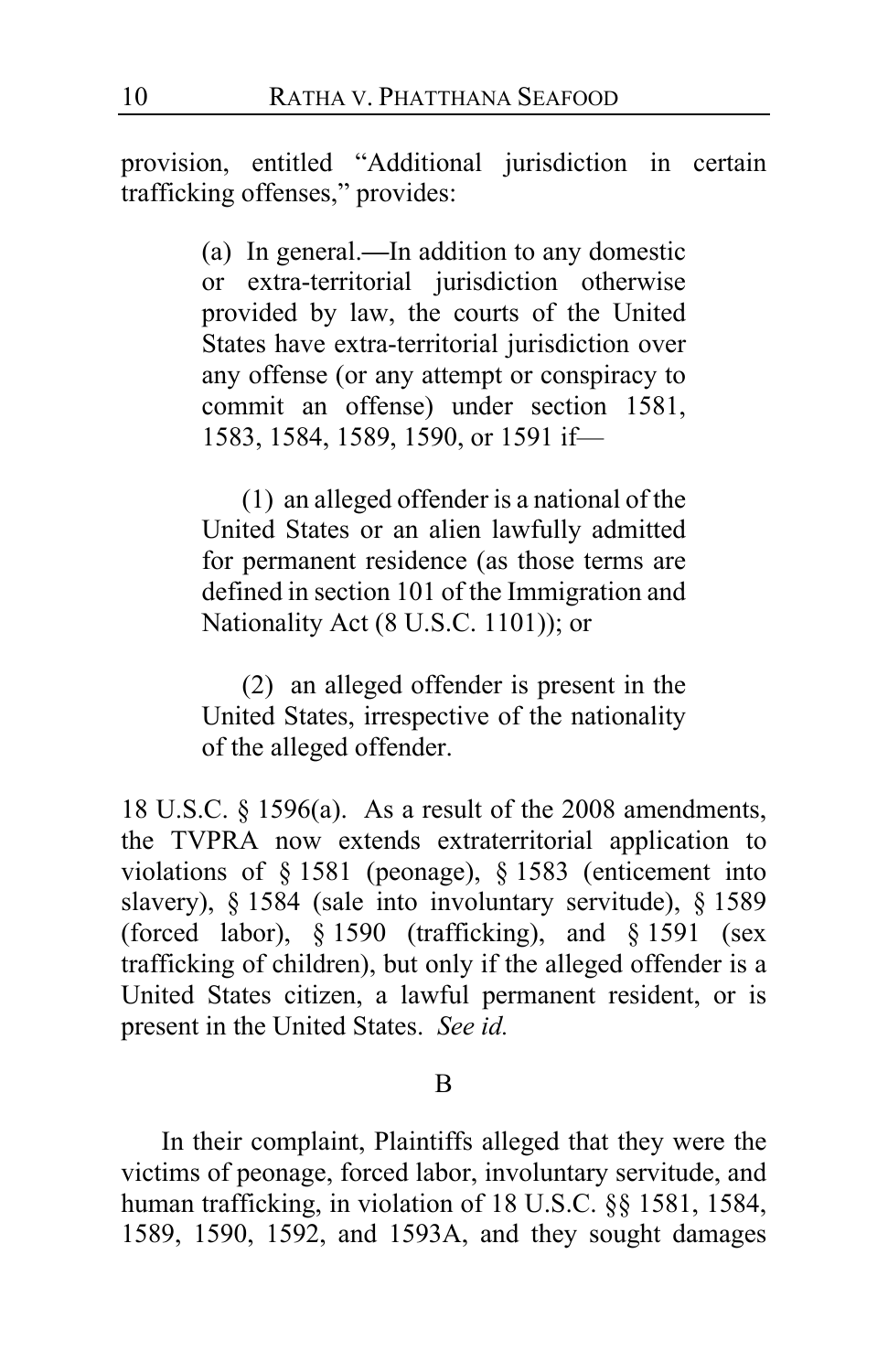provision, entitled "Additional jurisdiction in certain trafficking offenses," provides:

> (a) In general.**—**In addition to any domestic or extra-territorial jurisdiction otherwise provided by law, the courts of the United States have extra-territorial jurisdiction over any offense (or any attempt or conspiracy to commit an offense) under section 1581, 1583, 1584, 1589, 1590, or 1591 if—

> (1) an alleged offender is a national of the United States or an alien lawfully admitted for permanent residence (as those terms are defined in section 101 of the Immigration and Nationality Act (8 U.S.C. 1101)); or

> (2) an alleged offender is present in the United States, irrespective of the nationality of the alleged offender.

18 U.S.C. § 1596(a). As a result of the 2008 amendments, the TVPRA now extends extraterritorial application to violations of § 1581 (peonage), § 1583 (enticement into slavery), § 1584 (sale into involuntary servitude), § 1589 (forced labor), § 1590 (trafficking), and § 1591 (sex trafficking of children), but only if the alleged offender is a United States citizen, a lawful permanent resident, or is present in the United States. *See id.*

#### B

In their complaint, Plaintiffs alleged that they were the victims of peonage, forced labor, involuntary servitude, and human trafficking, in violation of 18 U.S.C. §§ 1581, 1584, 1589, 1590, 1592, and 1593A, and they sought damages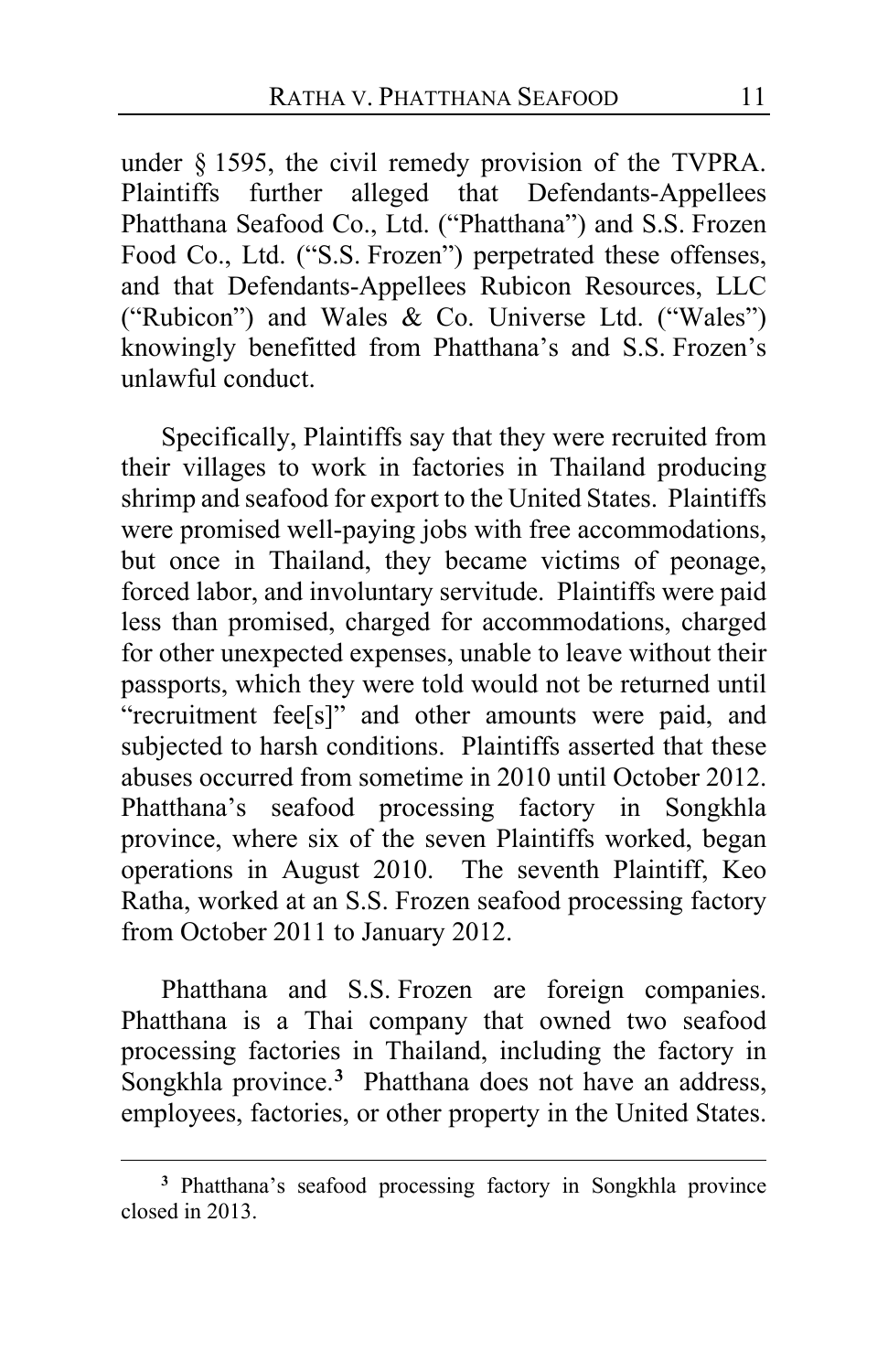under § 1595, the civil remedy provision of the TVPRA. Plaintiffs further alleged that Defendants-Appellees Phatthana Seafood Co., Ltd. ("Phatthana") and S.S. Frozen Food Co., Ltd. ("S.S. Frozen") perpetrated these offenses, and that Defendants-Appellees Rubicon Resources, LLC ("Rubicon") and Wales & Co. Universe Ltd. ("Wales") knowingly benefitted from Phatthana's and S.S. Frozen's unlawful conduct.

Specifically, Plaintiffs say that they were recruited from their villages to work in factories in Thailand producing shrimp and seafood for export to the United States. Plaintiffs were promised well-paying jobs with free accommodations, but once in Thailand, they became victims of peonage, forced labor, and involuntary servitude. Plaintiffs were paid less than promised, charged for accommodations, charged for other unexpected expenses, unable to leave without their passports, which they were told would not be returned until "recruitment fee[s]" and other amounts were paid, and subjected to harsh conditions. Plaintiffs asserted that these abuses occurred from sometime in 2010 until October 2012. Phatthana's seafood processing factory in Songkhla province, where six of the seven Plaintiffs worked, began operations in August 2010. The seventh Plaintiff, Keo Ratha, worked at an S.S. Frozen seafood processing factory from October 2011 to January 2012.

Phatthana and S.S. Frozen are foreign companies. Phatthana is a Thai company that owned two seafood processing factories in Thailand, including the factory in Songkhla province.**[3](#page-10-0)** Phatthana does not have an address, employees, factories, or other property in the United States.

<span id="page-10-0"></span>**<sup>3</sup>** Phatthana's seafood processing factory in Songkhla province closed in 2013.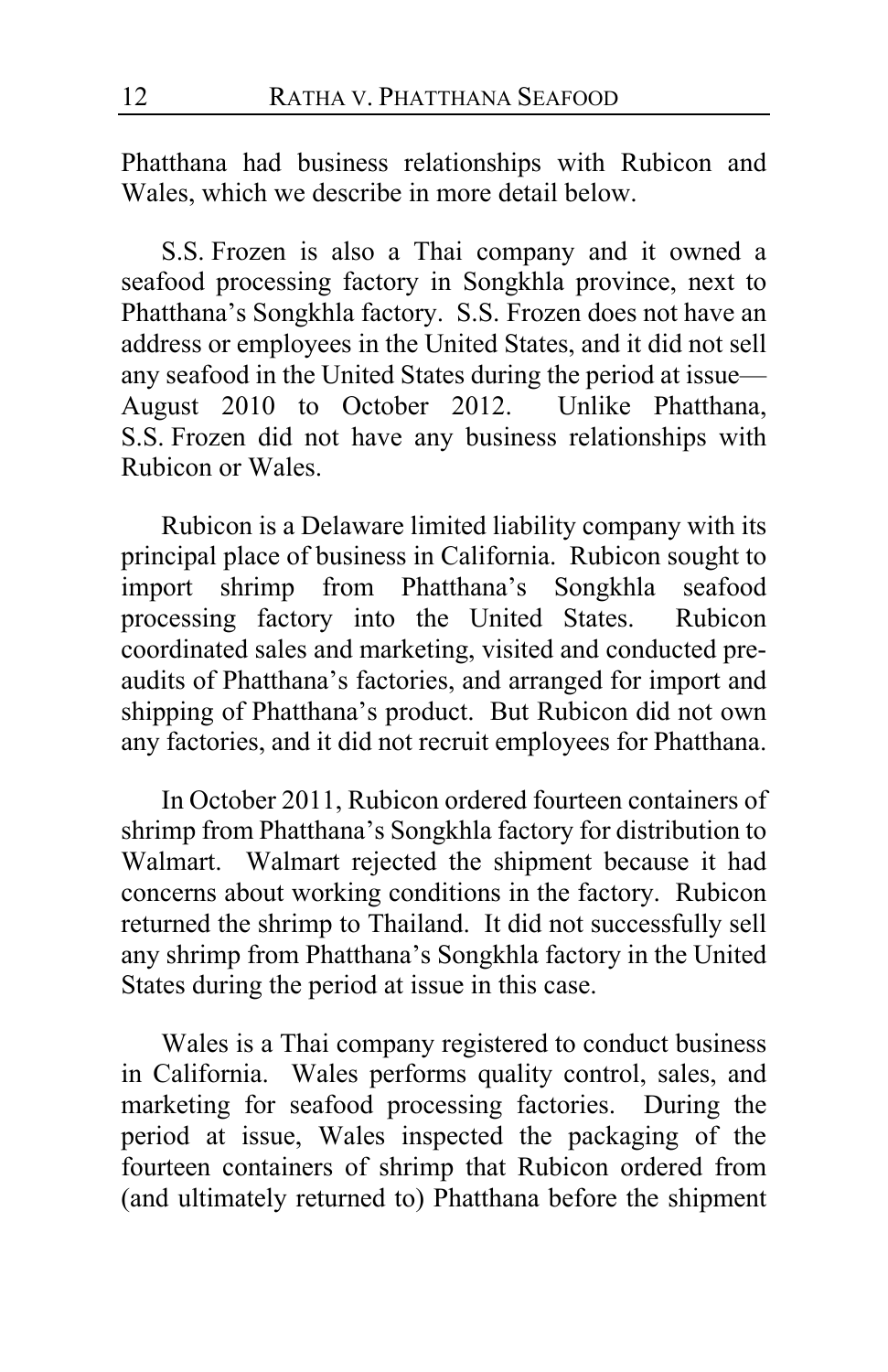Phatthana had business relationships with Rubicon and Wales, which we describe in more detail below.

S.S. Frozen is also a Thai company and it owned a seafood processing factory in Songkhla province, next to Phatthana's Songkhla factory. S.S. Frozen does not have an address or employees in the United States, and it did not sell any seafood in the United States during the period at issue— August 2010 to October 2012. Unlike Phatthana, S.S. Frozen did not have any business relationships with Rubicon or Wales.

Rubicon is a Delaware limited liability company with its principal place of business in California. Rubicon sought to import shrimp from Phatthana's Songkhla seafood processing factory into the United States. Rubicon coordinated sales and marketing, visited and conducted preaudits of Phatthana's factories, and arranged for import and shipping of Phatthana's product. But Rubicon did not own any factories, and it did not recruit employees for Phatthana.

In October 2011, Rubicon ordered fourteen containers of shrimp from Phatthana's Songkhla factory for distribution to Walmart. Walmart rejected the shipment because it had concerns about working conditions in the factory. Rubicon returned the shrimp to Thailand. It did not successfully sell any shrimp from Phatthana's Songkhla factory in the United States during the period at issue in this case.

Wales is a Thai company registered to conduct business in California. Wales performs quality control, sales, and marketing for seafood processing factories. During the period at issue, Wales inspected the packaging of the fourteen containers of shrimp that Rubicon ordered from (and ultimately returned to) Phatthana before the shipment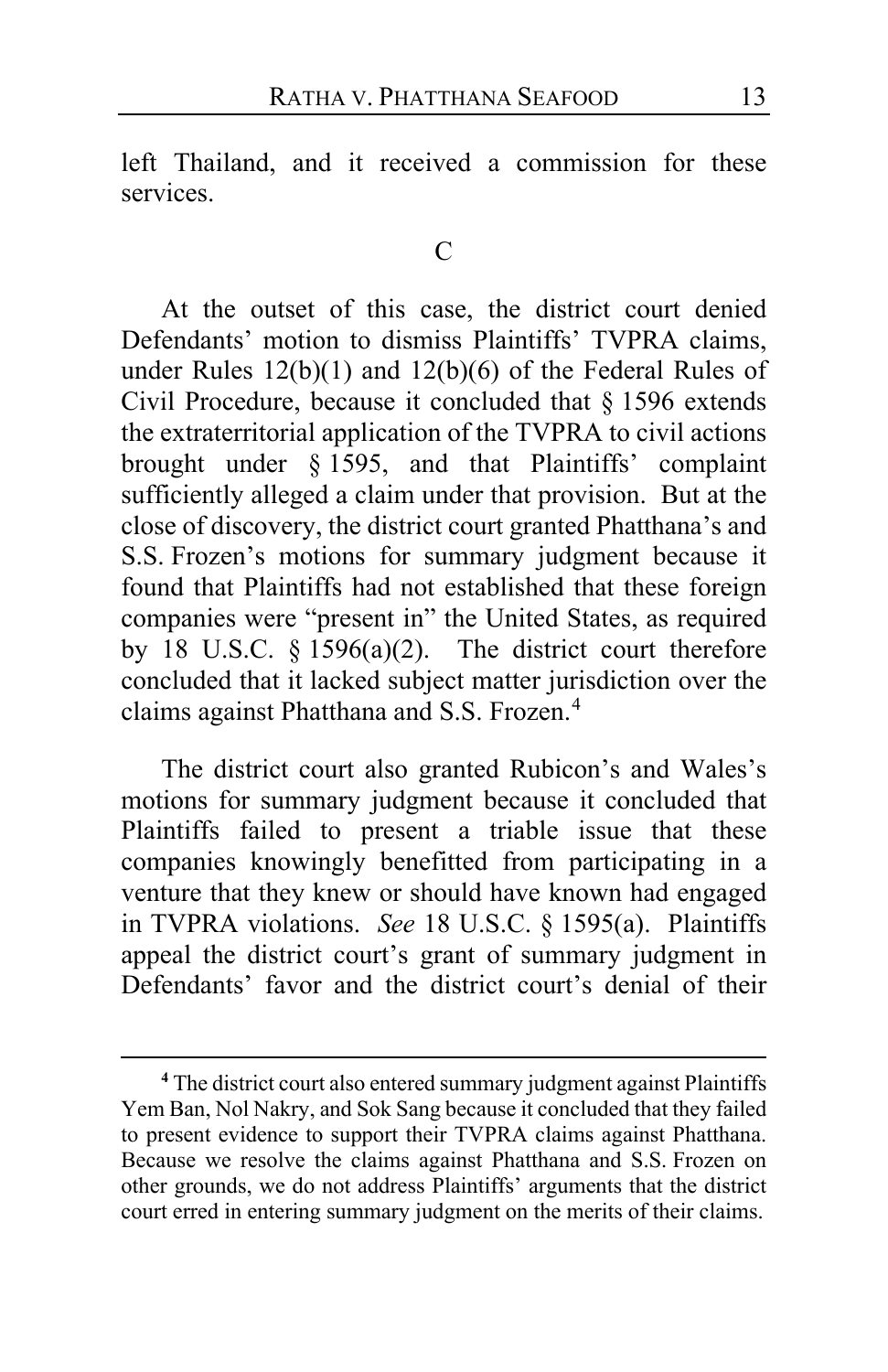left Thailand, and it received a commission for these services.

#### C

At the outset of this case, the district court denied Defendants' motion to dismiss Plaintiffs' TVPRA claims, under Rules 12(b)(1) and 12(b)(6) of the Federal Rules of Civil Procedure, because it concluded that § 1596 extends the extraterritorial application of the TVPRA to civil actions brought under § 1595, and that Plaintiffs' complaint sufficiently alleged a claim under that provision. But at the close of discovery, the district court granted Phatthana's and S.S. Frozen's motions for summary judgment because it found that Plaintiffs had not established that these foreign companies were "present in" the United States, as required by 18 U.S.C.  $\S$  1596(a)(2). The district court therefore concluded that it lacked subject matter jurisdiction over the claims against Phatthana and S.S. Frozen.[4](#page-12-0)

The district court also granted Rubicon's and Wales's motions for summary judgment because it concluded that Plaintiffs failed to present a triable issue that these companies knowingly benefitted from participating in a venture that they knew or should have known had engaged in TVPRA violations. *See* 18 U.S.C. § 1595(a). Plaintiffs appeal the district court's grant of summary judgment in Defendants' favor and the district court's denial of their

<span id="page-12-0"></span>**<sup>4</sup>** The district court also entered summary judgment against Plaintiffs Yem Ban, Nol Nakry, and Sok Sang because it concluded that they failed to present evidence to support their TVPRA claims against Phatthana. Because we resolve the claims against Phatthana and S.S. Frozen on other grounds, we do not address Plaintiffs' arguments that the district court erred in entering summary judgment on the merits of their claims.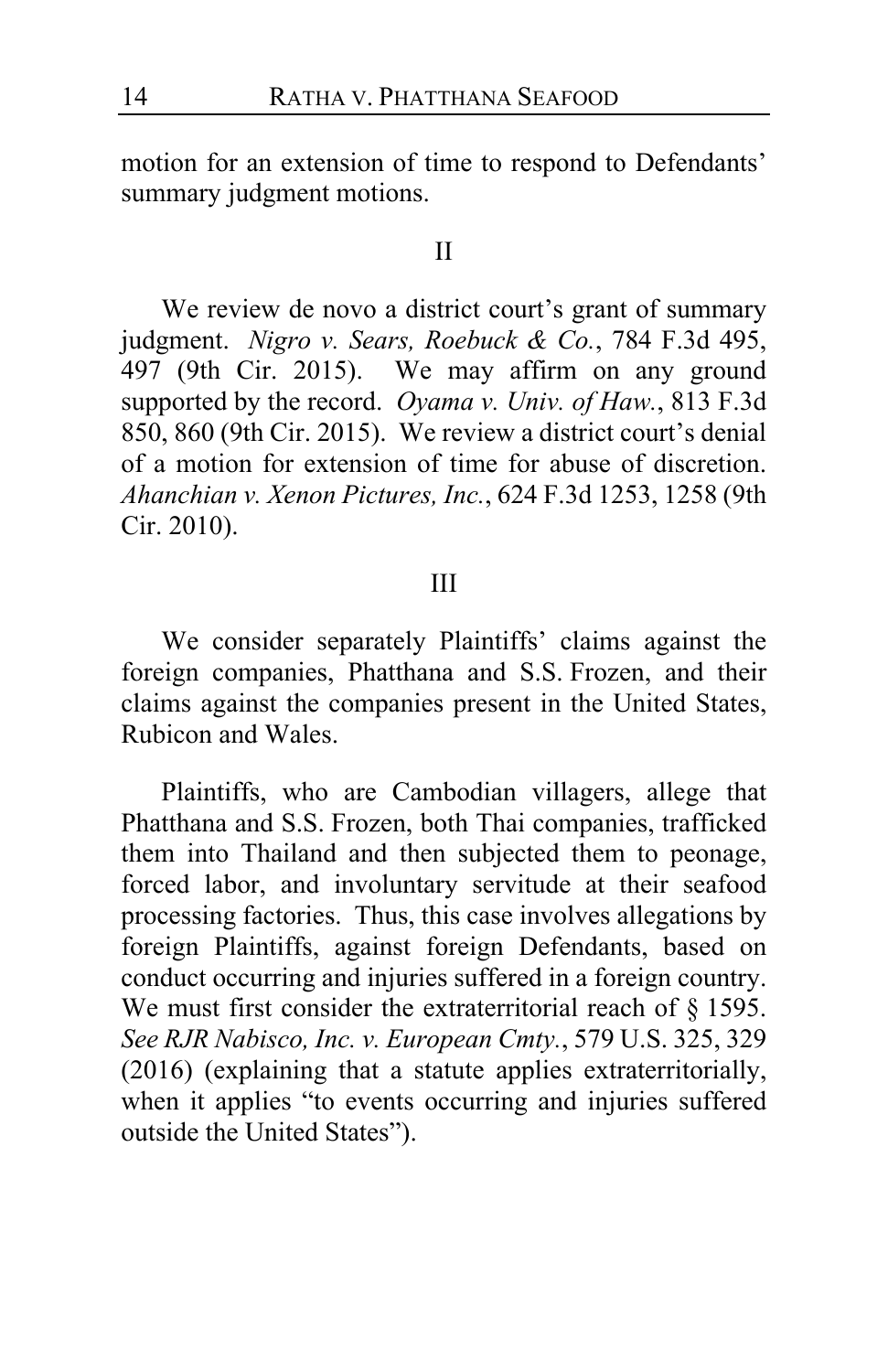motion for an extension of time to respond to Defendants' summary judgment motions.

#### II

We review de novo a district court's grant of summary judgment. *Nigro v. Sears, Roebuck & Co.*, 784 F.3d 495, 497 (9th Cir. 2015). We may affirm on any ground supported by the record. *Oyama v. Univ. of Haw.*, 813 F.3d 850, 860 (9th Cir. 2015). We review a district court's denial of a motion for extension of time for abuse of discretion. *Ahanchian v. Xenon Pictures, Inc.*, 624 F.3d 1253, 1258 (9th Cir. 2010).

# III

We consider separately Plaintiffs' claims against the foreign companies, Phatthana and S.S. Frozen, and their claims against the companies present in the United States, Rubicon and Wales.

Plaintiffs, who are Cambodian villagers, allege that Phatthana and S.S. Frozen, both Thai companies, trafficked them into Thailand and then subjected them to peonage, forced labor, and involuntary servitude at their seafood processing factories. Thus, this case involves allegations by foreign Plaintiffs, against foreign Defendants, based on conduct occurring and injuries suffered in a foreign country. We must first consider the extraterritorial reach of § 1595. *See RJR Nabisco, Inc. v. European Cmty.*, 579 U.S. 325, 329 (2016) (explaining that a statute applies extraterritorially, when it applies "to events occurring and injuries suffered outside the United States").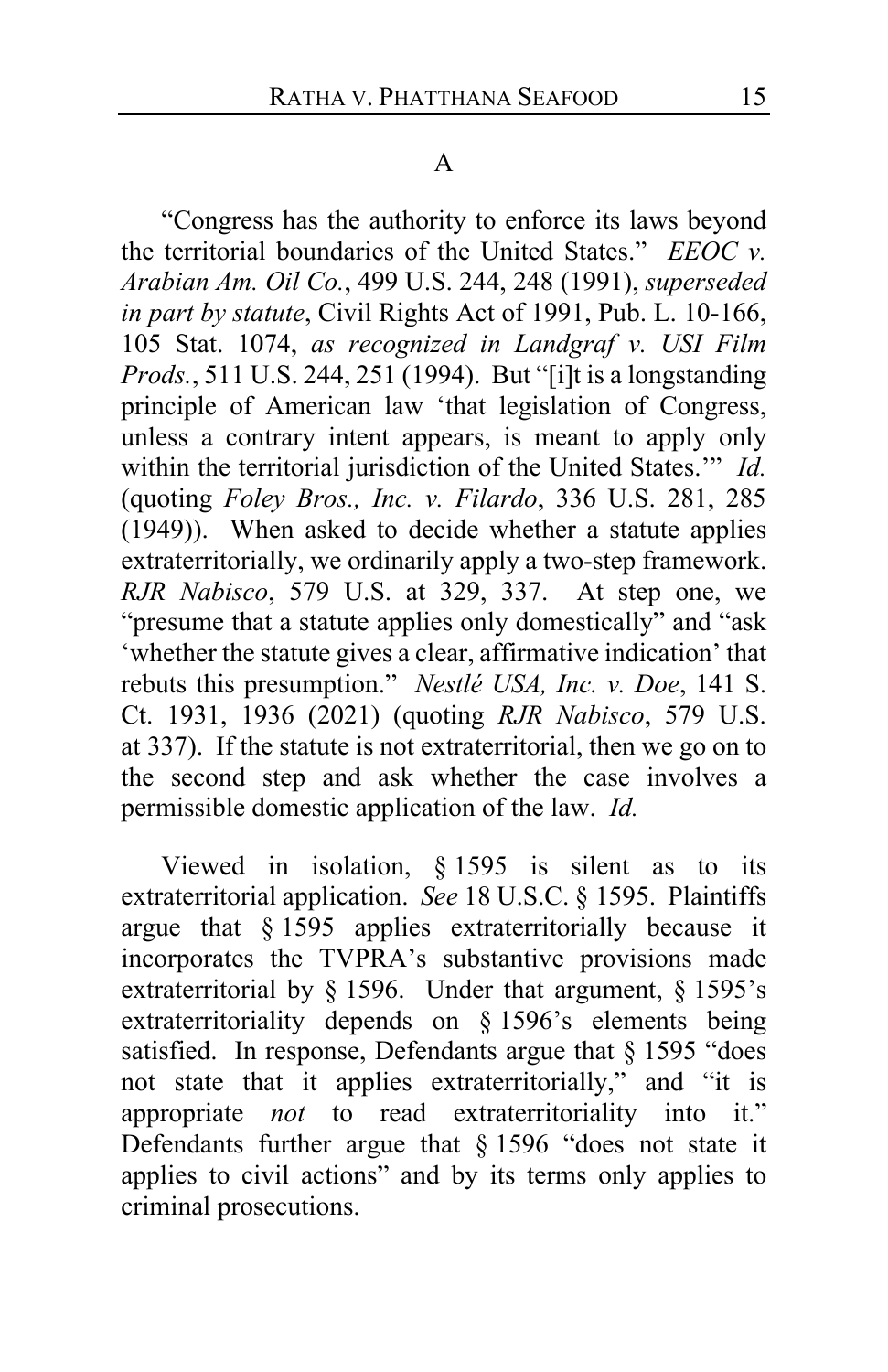#### A

"Congress has the authority to enforce its laws beyond the territorial boundaries of the United States." *EEOC v. Arabian Am. Oil Co.*, 499 U.S. 244, 248 (1991), *superseded in part by statute*, Civil Rights Act of 1991, Pub. L. 10-166, 105 Stat. 1074, *as recognized in Landgraf v. USI Film Prods.*, 511 U.S. 244, 251 (1994). But "[i]t is a longstanding principle of American law 'that legislation of Congress, unless a contrary intent appears, is meant to apply only within the territorial jurisdiction of the United States.'" *Id.* (quoting *Foley Bros., Inc. v. Filardo*, 336 U.S. 281, 285 (1949)). When asked to decide whether a statute applies extraterritorially, we ordinarily apply a two-step framework. *RJR Nabisco*, 579 U.S. at 329, 337. At step one, we "presume that a statute applies only domestically" and "ask 'whether the statute gives a clear, affirmative indication' that rebuts this presumption." *Nestlé USA, Inc. v. Doe*, 141 S. Ct. 1931, 1936 (2021) (quoting *RJR Nabisco*, 579 U.S. at 337). If the statute is not extraterritorial, then we go on to the second step and ask whether the case involves a permissible domestic application of the law. *Id.*

Viewed in isolation, § 1595 is silent as to its extraterritorial application. *See* 18 U.S.C. § 1595. Plaintiffs argue that § 1595 applies extraterritorially because it incorporates the TVPRA's substantive provisions made extraterritorial by § 1596. Under that argument, § 1595's extraterritoriality depends on § 1596's elements being satisfied. In response, Defendants argue that § 1595 "does not state that it applies extraterritorially," and "it is appropriate *not* to read extraterritoriality into it." Defendants further argue that § 1596 "does not state it applies to civil actions" and by its terms only applies to criminal prosecutions.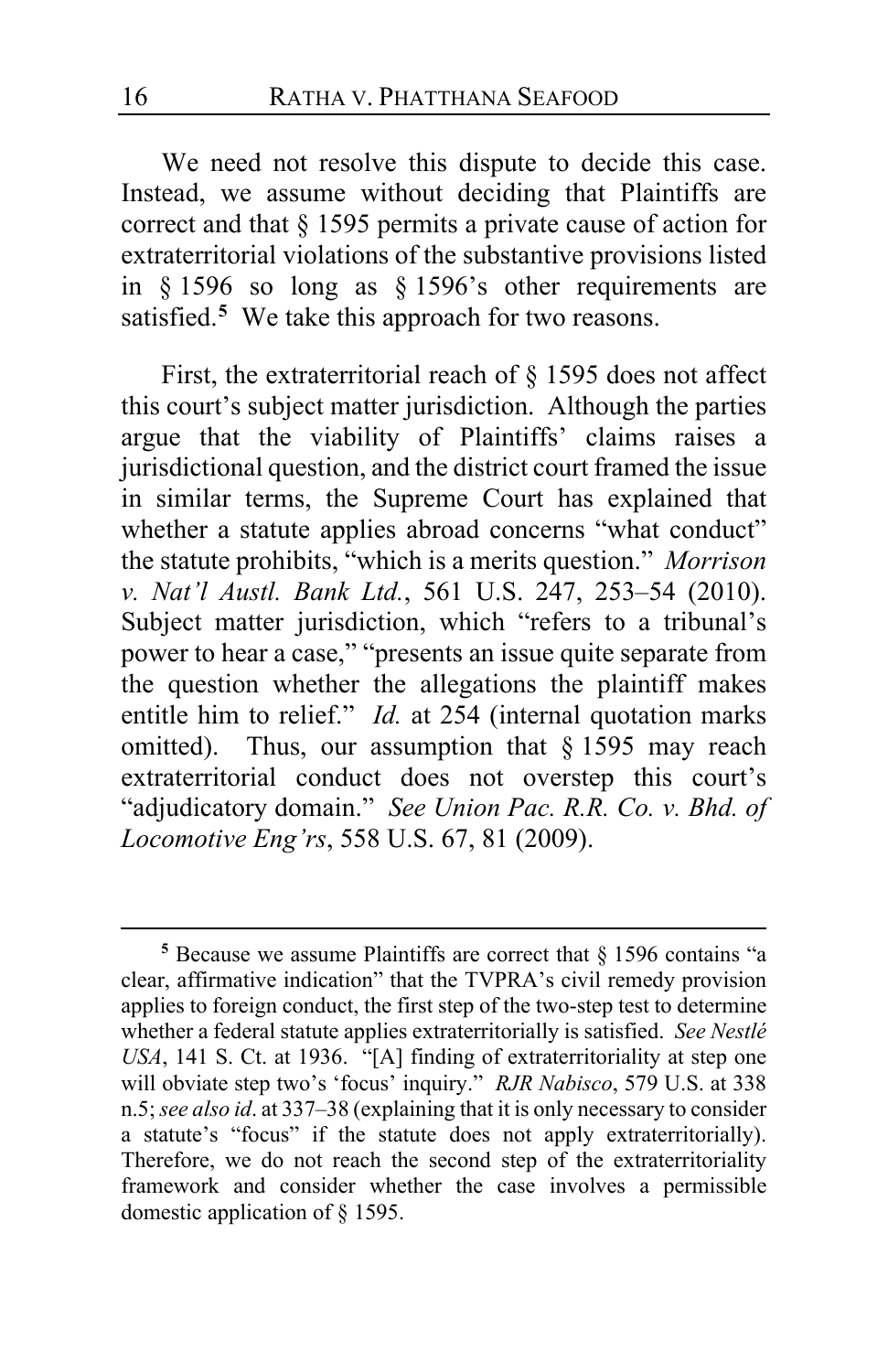We need not resolve this dispute to decide this case. Instead, we assume without deciding that Plaintiffs are correct and that § 1595 permits a private cause of action for extraterritorial violations of the substantive provisions listed in § 1596 so long as § 1596's other requirements are satisfied.**[5](#page-15-0)** We take this approach for two reasons.

First, the extraterritorial reach of § 1595 does not affect this court's subject matter jurisdiction. Although the parties argue that the viability of Plaintiffs' claims raises a jurisdictional question, and the district court framed the issue in similar terms, the Supreme Court has explained that whether a statute applies abroad concerns "what conduct" the statute prohibits, "which is a merits question." *Morrison v. Nat'l Austl. Bank Ltd.*, 561 U.S. 247, 253–54 (2010). Subject matter jurisdiction, which "refers to a tribunal's power to hear a case," "presents an issue quite separate from the question whether the allegations the plaintiff makes entitle him to relief." *Id.* at 254 (internal quotation marks omitted). Thus, our assumption that § 1595 may reach extraterritorial conduct does not overstep this court's "adjudicatory domain." *See Union Pac. R.R. Co. v. Bhd. of Locomotive Eng'rs*, 558 U.S. 67, 81 (2009).

<span id="page-15-0"></span>**<sup>5</sup>** Because we assume Plaintiffs are correct that § 1596 contains "a clear, affirmative indication" that the TVPRA's civil remedy provision applies to foreign conduct, the first step of the two-step test to determine whether a federal statute applies extraterritorially is satisfied. *See Nestlé USA*, 141 S. Ct. at 1936. "[A] finding of extraterritoriality at step one will obviate step two's 'focus' inquiry." *RJR Nabisco*, 579 U.S. at 338 n.5;*see also id*. at 337–38 (explaining that it is only necessary to consider a statute's "focus" if the statute does not apply extraterritorially). Therefore, we do not reach the second step of the extraterritoriality framework and consider whether the case involves a permissible domestic application of § 1595.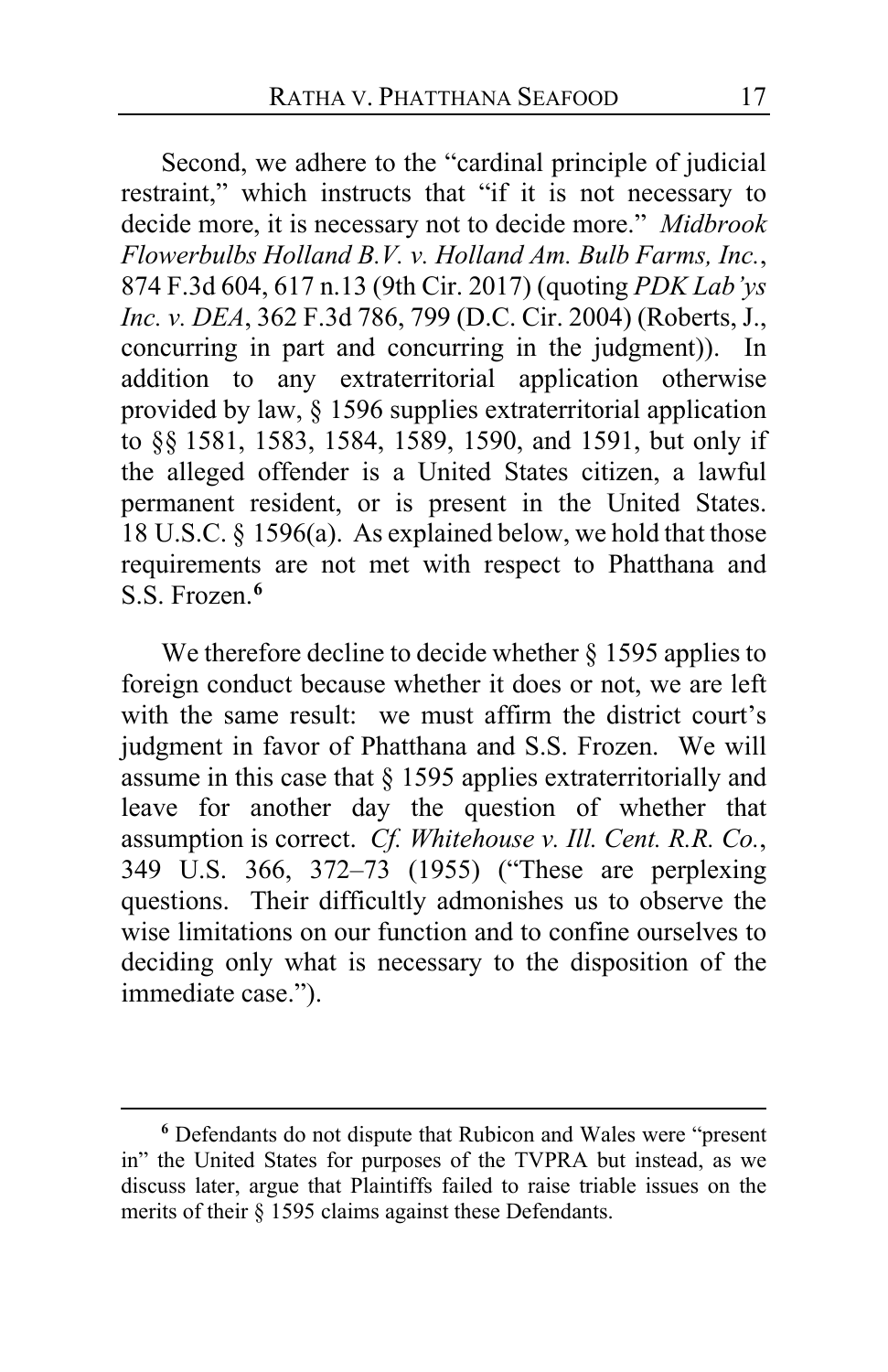Second, we adhere to the "cardinal principle of judicial restraint," which instructs that "if it is not necessary to decide more, it is necessary not to decide more." *Midbrook Flowerbulbs Holland B.V. v. Holland Am. Bulb Farms, Inc.*, 874 F.3d 604, 617 n.13 (9th Cir. 2017) (quoting *PDK Lab'ys Inc. v. DEA*, 362 F.3d 786, 799 (D.C. Cir. 2004) (Roberts, J., concurring in part and concurring in the judgment)). In addition to any extraterritorial application otherwise provided by law, § 1596 supplies extraterritorial application to §§ 1581, 1583, 1584, 1589, 1590, and 1591, but only if the alleged offender is a United States citizen, a lawful permanent resident, or is present in the United States. 18 U.S.C. § 1596(a). As explained below, we hold that those requirements are not met with respect to Phatthana and S.S. Frozen.**[6](#page-16-0)**

We therefore decline to decide whether § 1595 applies to foreign conduct because whether it does or not, we are left with the same result: we must affirm the district court's judgment in favor of Phatthana and S.S. Frozen. We will assume in this case that  $\S$  1595 applies extraterritorially and leave for another day the question of whether that assumption is correct. *Cf. Whitehouse v. Ill. Cent. R.R. Co.*, 349 U.S. 366, 372–73 (1955) ("These are perplexing questions. Their difficultly admonishes us to observe the wise limitations on our function and to confine ourselves to deciding only what is necessary to the disposition of the immediate case.").

<span id="page-16-0"></span>**<sup>6</sup>** Defendants do not dispute that Rubicon and Wales were "present in" the United States for purposes of the TVPRA but instead, as we discuss later, argue that Plaintiffs failed to raise triable issues on the merits of their § 1595 claims against these Defendants.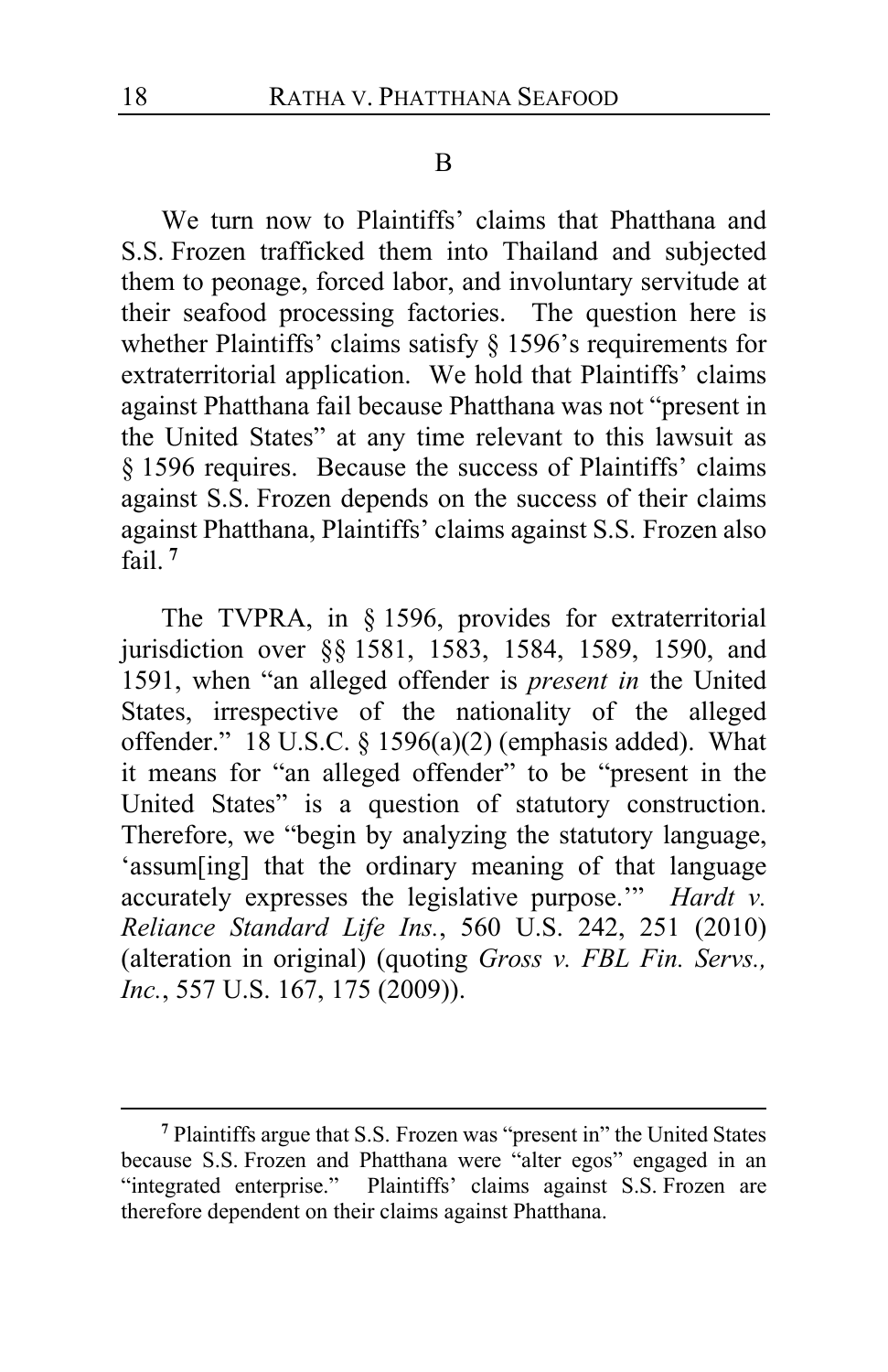#### B

We turn now to Plaintiffs' claims that Phatthana and S.S. Frozen trafficked them into Thailand and subjected them to peonage, forced labor, and involuntary servitude at their seafood processing factories. The question here is whether Plaintiffs' claims satisfy § 1596's requirements for extraterritorial application. We hold that Plaintiffs' claims against Phatthana fail because Phatthana was not "present in the United States" at any time relevant to this lawsuit as § 1596 requires. Because the success of Plaintiffs' claims against S.S. Frozen depends on the success of their claims against Phatthana, Plaintiffs' claims against S.S. Frozen also fail. **[7](#page-17-0)**

The TVPRA, in § 1596, provides for extraterritorial jurisdiction over §§ 1581, 1583, 1584, 1589, 1590, and 1591, when "an alleged offender is *present in* the United States, irrespective of the nationality of the alleged offender." 18 U.S.C. § 1596(a)(2) (emphasis added). What it means for "an alleged offender" to be "present in the United States" is a question of statutory construction. Therefore, we "begin by analyzing the statutory language, 'assum[ing] that the ordinary meaning of that language accurately expresses the legislative purpose.'" *Hardt v. Reliance Standard Life Ins.*, 560 U.S. 242, 251 (2010) (alteration in original) (quoting *Gross v. FBL Fin. Servs., Inc.*, 557 U.S. 167, 175 (2009)).

<span id="page-17-0"></span>**<sup>7</sup>** Plaintiffs argue that S.S. Frozen was "present in" the United States because S.S. Frozen and Phatthana were "alter egos" engaged in an "integrated enterprise." Plaintiffs' claims against S.S. Frozen are therefore dependent on their claims against Phatthana.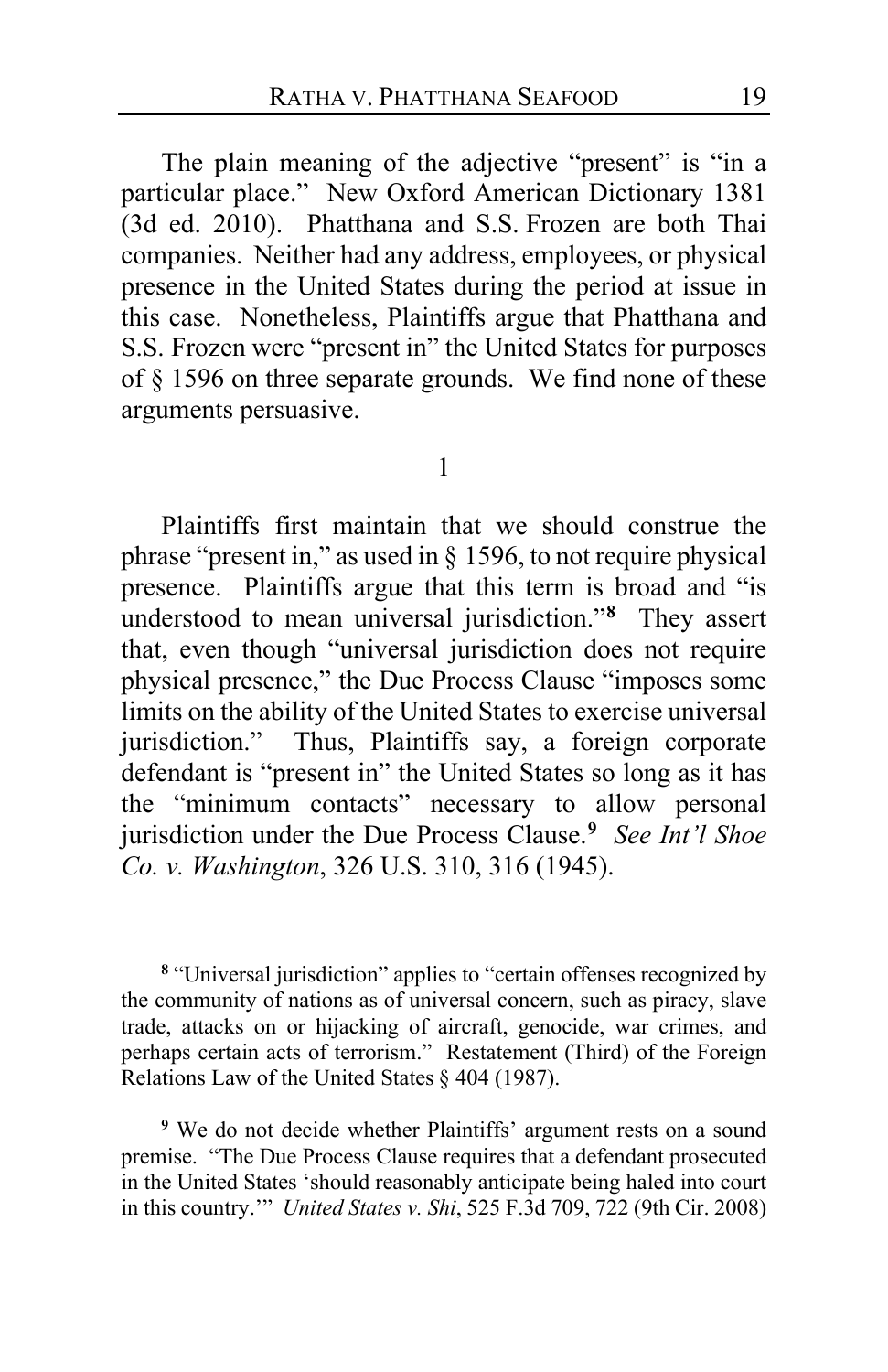The plain meaning of the adjective "present" is "in a particular place." New Oxford American Dictionary 1381 (3d ed. 2010). Phatthana and S.S. Frozen are both Thai companies. Neither had any address, employees, or physical presence in the United States during the period at issue in this case. Nonetheless, Plaintiffs argue that Phatthana and S.S. Frozen were "present in" the United States for purposes of § 1596 on three separate grounds. We find none of these arguments persuasive.

#### 1

Plaintiffs first maintain that we should construe the phrase "present in," as used in § 1596, to not require physical presence. Plaintiffs argue that this term is broad and "is understood to mean universal jurisdiction."**[8](#page-18-0)** They assert that, even though "universal jurisdiction does not require physical presence," the Due Process Clause "imposes some limits on the ability of the United States to exercise universal jurisdiction." Thus, Plaintiffs say, a foreign corporate defendant is "present in" the United States so long as it has the "minimum contacts" necessary to allow personal jurisdiction under the Due Process Clause.**[9](#page-18-1)** *See Int'l Shoe Co. v. Washington*, 326 U.S. 310, 316 (1945).

<span id="page-18-1"></span>**<sup>9</sup>** We do not decide whether Plaintiffs' argument rests on a sound premise. "The Due Process Clause requires that a defendant prosecuted in the United States 'should reasonably anticipate being haled into court in this country.'" *United States v. Shi*, 525 F.3d 709, 722 (9th Cir. 2008)

<span id="page-18-0"></span>**<sup>8</sup>** "Universal jurisdiction" applies to "certain offenses recognized by the community of nations as of universal concern, such as piracy, slave trade, attacks on or hijacking of aircraft, genocide, war crimes, and perhaps certain acts of terrorism." Restatement (Third) of the Foreign Relations Law of the United States § 404 (1987).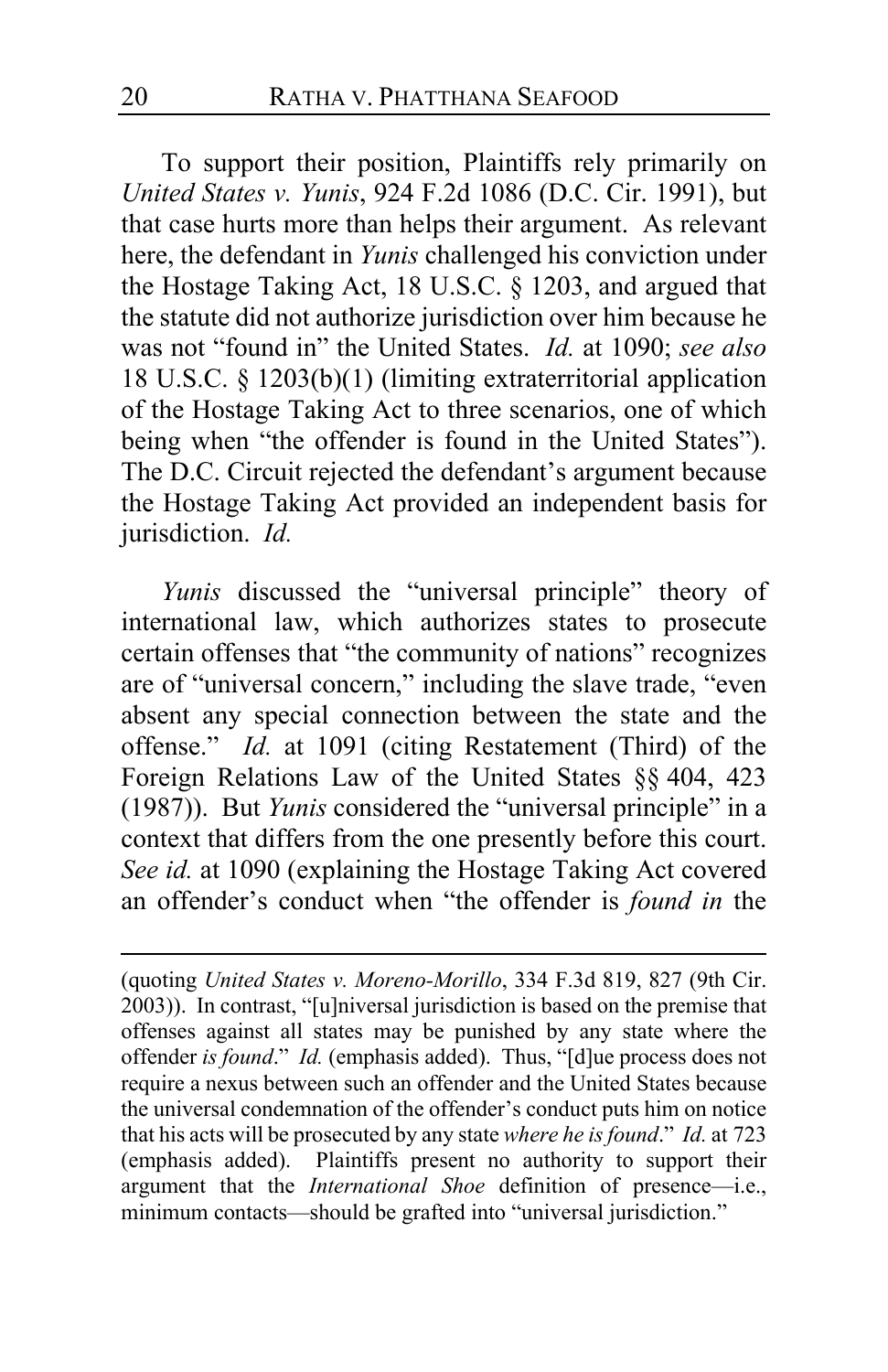To support their position, Plaintiffs rely primarily on *United States v. Yunis*, 924 F.2d 1086 (D.C. Cir. 1991), but that case hurts more than helps their argument. As relevant here, the defendant in *Yunis* challenged his conviction under the Hostage Taking Act, 18 U.S.C. § 1203, and argued that the statute did not authorize jurisdiction over him because he was not "found in" the United States. *Id.* at 1090; *see also*  18 U.S.C. § 1203(b)(1) (limiting extraterritorial application of the Hostage Taking Act to three scenarios, one of which being when "the offender is found in the United States"). The D.C. Circuit rejected the defendant's argument because the Hostage Taking Act provided an independent basis for jurisdiction. *Id.*

*Yunis* discussed the "universal principle" theory of international law, which authorizes states to prosecute certain offenses that "the community of nations" recognizes are of "universal concern," including the slave trade, "even absent any special connection between the state and the offense." *Id.* at 1091 (citing Restatement (Third) of the Foreign Relations Law of the United States §§ 404, 423 (1987)). But *Yunis* considered the "universal principle" in a context that differs from the one presently before this court. *See id.* at 1090 (explaining the Hostage Taking Act covered an offender's conduct when "the offender is *found in* the

<sup>(</sup>quoting *United States v. Moreno-Morillo*, 334 F.3d 819, 827 (9th Cir. 2003)). In contrast, "[u]niversal jurisdiction is based on the premise that offenses against all states may be punished by any state where the offender *is found*." *Id.* (emphasis added). Thus, "[d]ue process does not require a nexus between such an offender and the United States because the universal condemnation of the offender's conduct puts him on notice that his acts will be prosecuted by any state *where he is found*." *Id.* at 723 (emphasis added). Plaintiffs present no authority to support their argument that the *International Shoe* definition of presence—i.e., minimum contacts—should be grafted into "universal jurisdiction."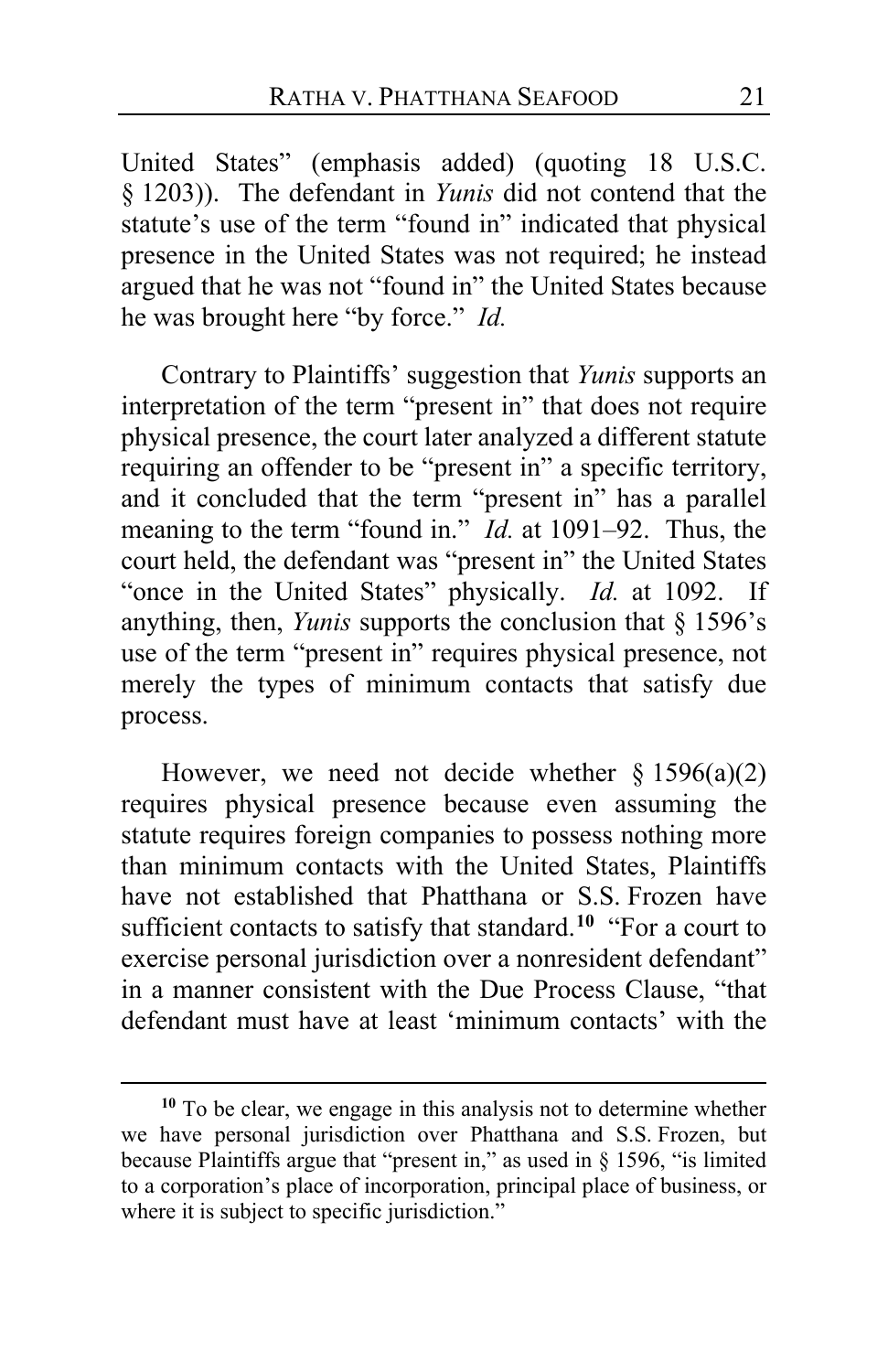United States" (emphasis added) (quoting 18 U.S.C. § 1203)). The defendant in *Yunis* did not contend that the statute's use of the term "found in" indicated that physical presence in the United States was not required; he instead argued that he was not "found in" the United States because he was brought here "by force." *Id.*

Contrary to Plaintiffs' suggestion that *Yunis* supports an interpretation of the term "present in" that does not require physical presence, the court later analyzed a different statute requiring an offender to be "present in" a specific territory, and it concluded that the term "present in" has a parallel meaning to the term "found in." *Id.* at 1091–92. Thus, the court held, the defendant was "present in" the United States "once in the United States" physically. *Id.* at 1092. If anything, then, *Yunis* supports the conclusion that § 1596's use of the term "present in" requires physical presence, not merely the types of minimum contacts that satisfy due process.

However, we need not decide whether  $\S 1596(a)(2)$ requires physical presence because even assuming the statute requires foreign companies to possess nothing more than minimum contacts with the United States, Plaintiffs have not established that Phatthana or S.S. Frozen have sufficient contacts to satisfy that standard. **[10](#page-20-0)** "For a court to exercise personal jurisdiction over a nonresident defendant" in a manner consistent with the Due Process Clause, "that defendant must have at least 'minimum contacts' with the

<span id="page-20-0"></span>**<sup>10</sup>** To be clear, we engage in this analysis not to determine whether we have personal jurisdiction over Phatthana and S.S. Frozen, but because Plaintiffs argue that "present in," as used in § 1596, "is limited to a corporation's place of incorporation, principal place of business, or where it is subject to specific jurisdiction."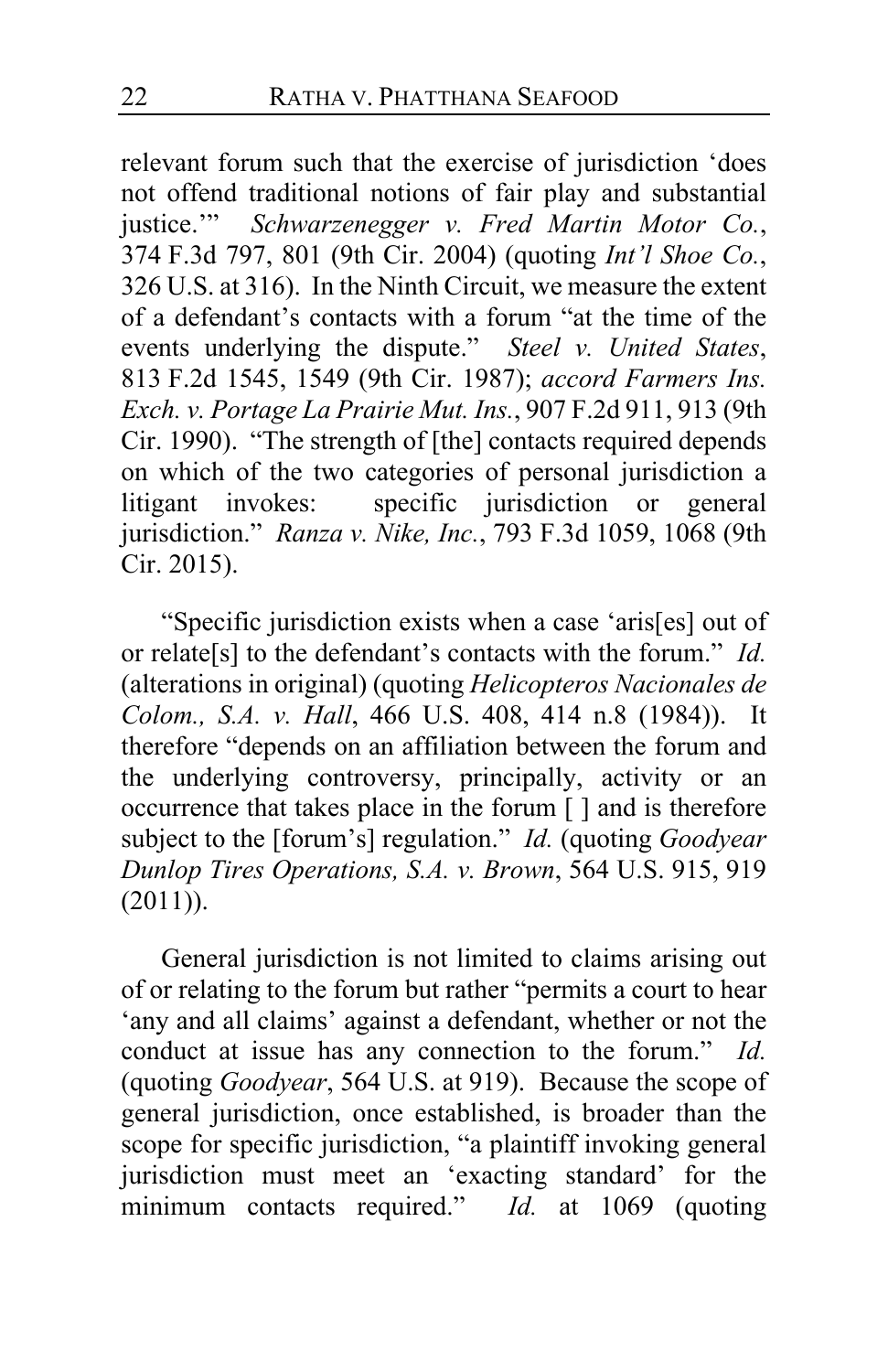relevant forum such that the exercise of jurisdiction 'does not offend traditional notions of fair play and substantial justice." Schwarzenegger v. Fred Martin Motor Co., Schwarzenegger v. Fred Martin Motor Co., 374 F.3d 797, 801 (9th Cir. 2004) (quoting *Int'l Shoe Co.*, 326 U.S. at 316). In the Ninth Circuit, we measure the extent of a defendant's contacts with a forum "at the time of the events underlying the dispute." *Steel v. United States*, 813 F.2d 1545, 1549 (9th Cir. 1987); *accord Farmers Ins. Exch. v. Portage La Prairie Mut. Ins.*, 907 F.2d 911, 913 (9th Cir. 1990). "The strength of [the] contacts required depends on which of the two categories of personal jurisdiction a<br>litigant invokes: specific jurisdiction or general specific jurisdiction or general jurisdiction." *Ranza v. Nike, Inc.*, 793 F.3d 1059, 1068 (9th Cir. 2015).

"Specific jurisdiction exists when a case 'aris[es] out of or relate[s] to the defendant's contacts with the forum." *Id.* (alterations in original) (quoting *Helicopteros Nacionales de Colom., S.A. v. Hall*, 466 U.S. 408, 414 n.8 (1984)). It therefore "depends on an affiliation between the forum and the underlying controversy, principally, activity or an occurrence that takes place in the forum [ ] and is therefore subject to the [forum's] regulation." *Id.* (quoting *Goodyear Dunlop Tires Operations, S.A. v. Brown*, 564 U.S. 915, 919  $(2011)$ ).

General jurisdiction is not limited to claims arising out of or relating to the forum but rather "permits a court to hear 'any and all claims' against a defendant, whether or not the conduct at issue has any connection to the forum." *Id.*  (quoting *Goodyear*, 564 U.S. at 919). Because the scope of general jurisdiction, once established, is broader than the scope for specific jurisdiction, "a plaintiff invoking general jurisdiction must meet an 'exacting standard' for the minimum contacts required." *Id.* at 1069 (quoting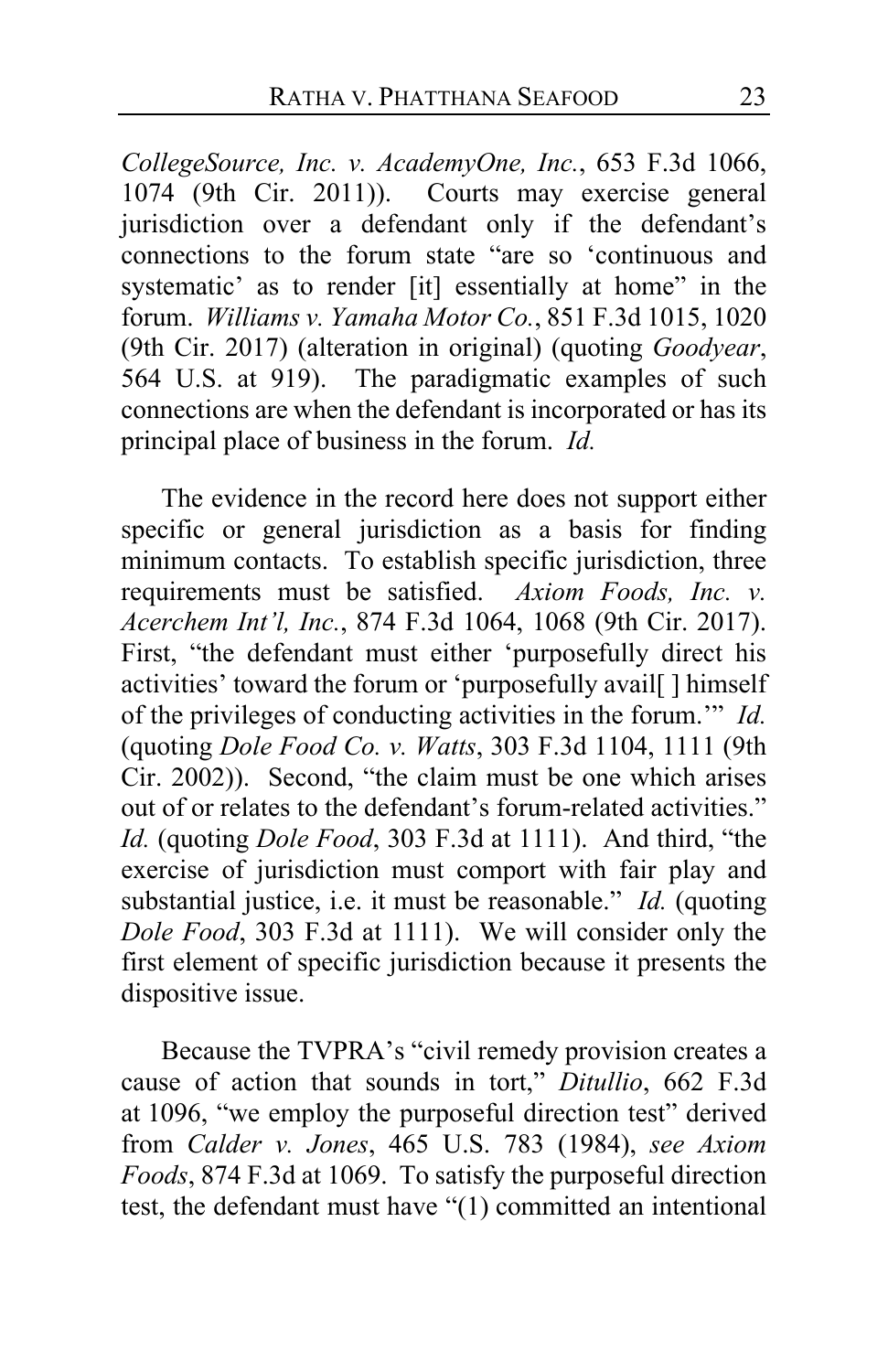*CollegeSource, Inc. v. AcademyOne, Inc.*, 653 F.3d 1066, 1074 (9th Cir. 2011)). Courts may exercise general jurisdiction over a defendant only if the defendant's connections to the forum state "are so 'continuous and systematic' as to render [it] essentially at home" in the forum. *Williams v. Yamaha Motor Co.*, 851 F.3d 1015, 1020 (9th Cir. 2017) (alteration in original) (quoting *Goodyear*, 564 U.S. at 919). The paradigmatic examples of such connections are when the defendant is incorporated or has its principal place of business in the forum. *Id.*

The evidence in the record here does not support either specific or general jurisdiction as a basis for finding minimum contacts. To establish specific jurisdiction, three requirements must be satisfied. *Axiom Foods, Inc. v. Acerchem Int'l, Inc.*, 874 F.3d 1064, 1068 (9th Cir. 2017). First, "the defendant must either 'purposefully direct his activities' toward the forum or 'purposefully avail[] himself of the privileges of conducting activities in the forum.'" *Id.* (quoting *Dole Food Co. v. Watts*, 303 F.3d 1104, 1111 (9th Cir. 2002)). Second, "the claim must be one which arises out of or relates to the defendant's forum-related activities." *Id.* (quoting *Dole Food*, 303 F.3d at 1111). And third, "the exercise of jurisdiction must comport with fair play and substantial justice, i.e. it must be reasonable." *Id.* (quoting *Dole Food*, 303 F.3d at 1111). We will consider only the first element of specific jurisdiction because it presents the dispositive issue.

Because the TVPRA's "civil remedy provision creates a cause of action that sounds in tort," *Ditullio*, 662 F.3d at 1096, "we employ the purposeful direction test" derived from *Calder v. Jones*, 465 U.S. 783 (1984), *see Axiom Foods*, 874 F.3d at 1069. To satisfy the purposeful direction test, the defendant must have "(1) committed an intentional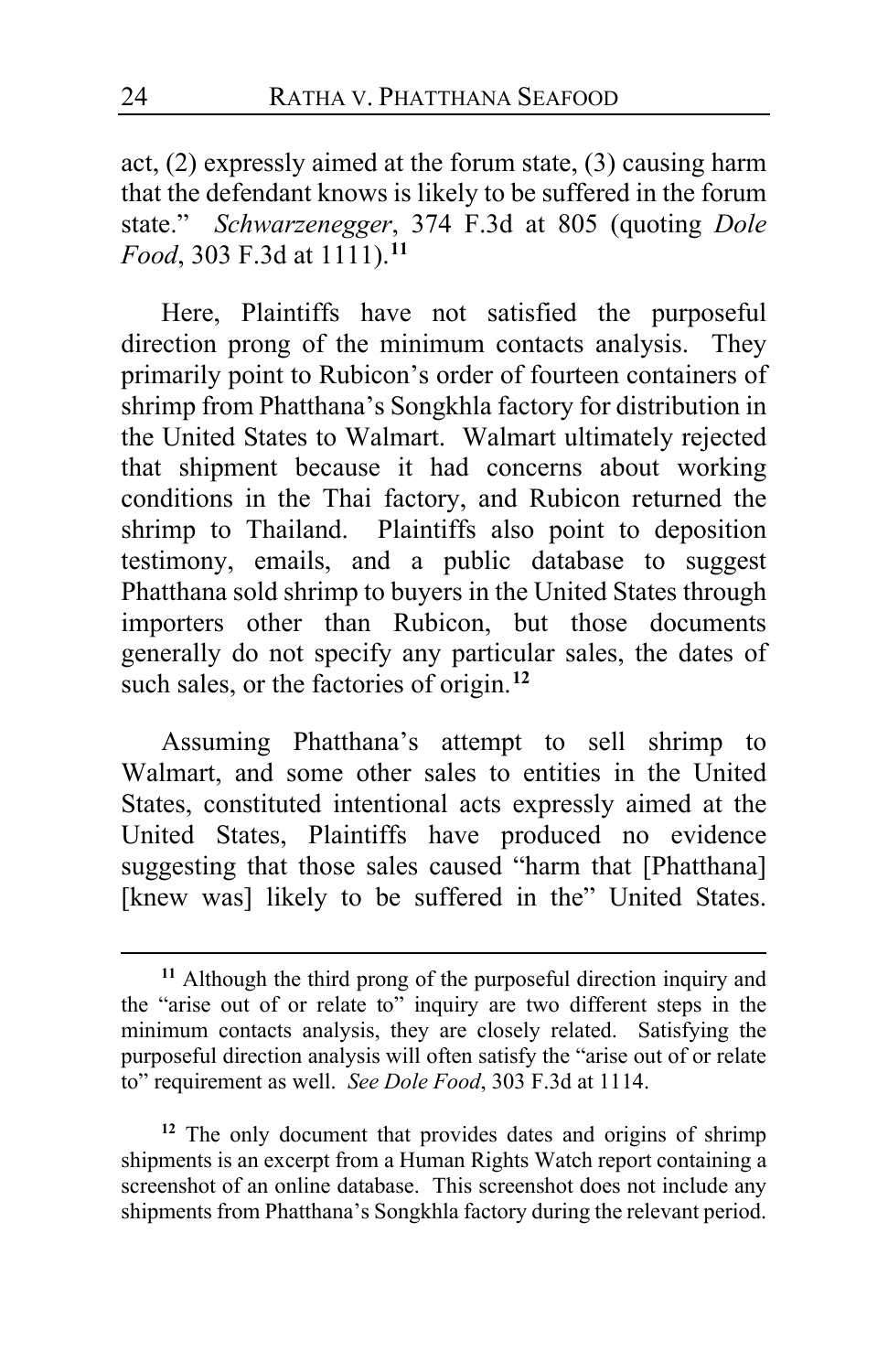act, (2) expressly aimed at the forum state, (3) causing harm that the defendant knows is likely to be suffered in the forum state." *Schwarzenegger*, 374 F.3d at 805 (quoting *Dole Food*, 303 F.3d at 1111).**[11](#page-23-0)**

Here, Plaintiffs have not satisfied the purposeful direction prong of the minimum contacts analysis. They primarily point to Rubicon's order of fourteen containers of shrimp from Phatthana's Songkhla factory for distribution in the United States to Walmart. Walmart ultimately rejected that shipment because it had concerns about working conditions in the Thai factory, and Rubicon returned the shrimp to Thailand. Plaintiffs also point to deposition testimony, emails, and a public database to suggest Phatthana sold shrimp to buyers in the United States through importers other than Rubicon, but those documents generally do not specify any particular sales, the dates of such sales, or the factories of origin.**[12](#page-23-1)**

Assuming Phatthana's attempt to sell shrimp to Walmart, and some other sales to entities in the United States, constituted intentional acts expressly aimed at the United States, Plaintiffs have produced no evidence suggesting that those sales caused "harm that [Phatthana] [knew was] likely to be suffered in the" United States.

<span id="page-23-1"></span>**<sup>12</sup>** The only document that provides dates and origins of shrimp shipments is an excerpt from a Human Rights Watch report containing a screenshot of an online database. This screenshot does not include any shipments from Phatthana's Songkhla factory during the relevant period.

<span id="page-23-0"></span>**<sup>11</sup>** Although the third prong of the purposeful direction inquiry and the "arise out of or relate to" inquiry are two different steps in the minimum contacts analysis, they are closely related. Satisfying the purposeful direction analysis will often satisfy the "arise out of or relate to" requirement as well. *See Dole Food*, 303 F.3d at 1114.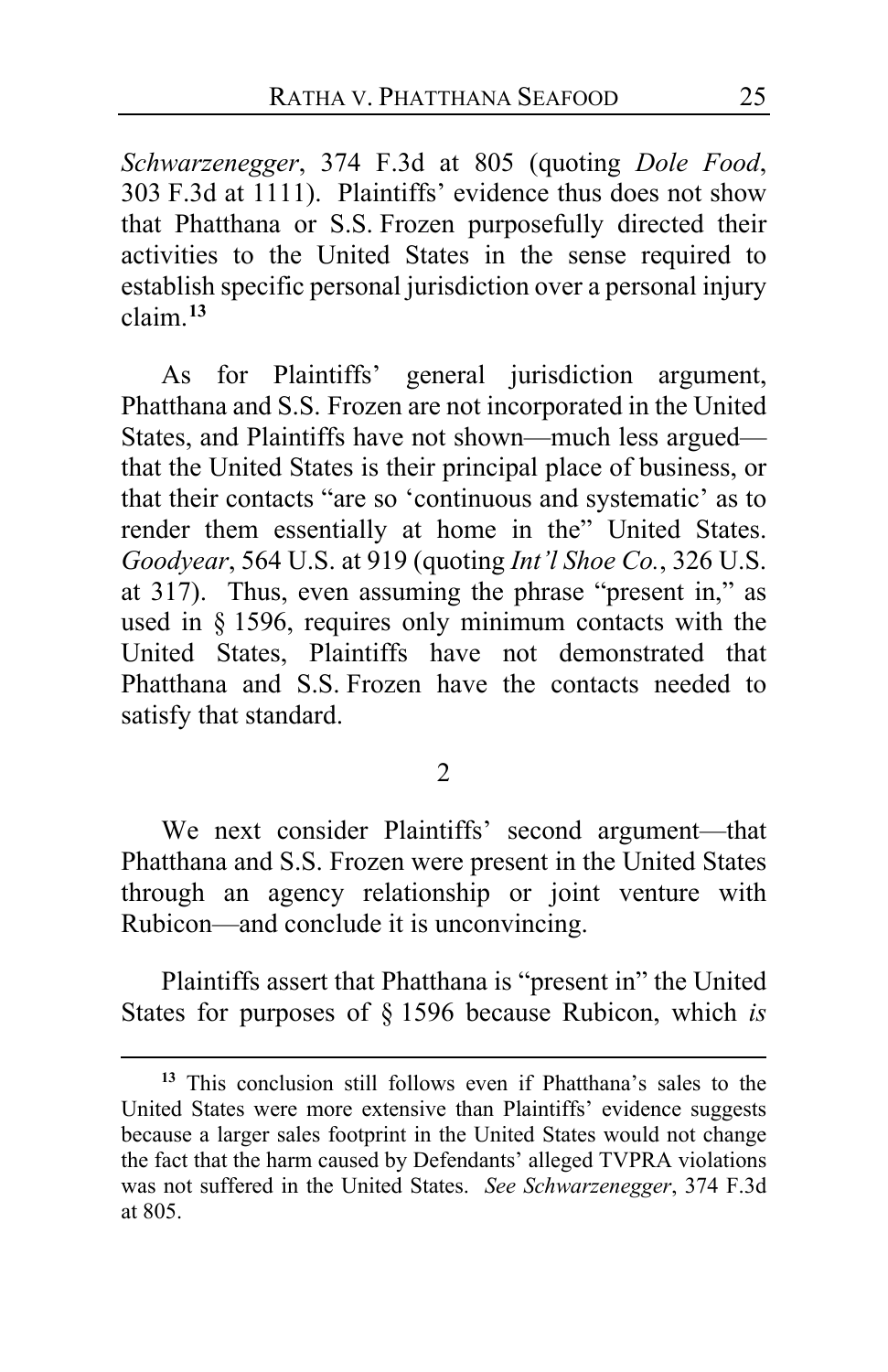*Schwarzenegger*, 374 F.3d at 805 (quoting *Dole Food*, 303 F.3d at 1111). Plaintiffs' evidence thus does not show that Phatthana or S.S. Frozen purposefully directed their activities to the United States in the sense required to establish specific personal jurisdiction over a personal injury claim.**[13](#page-24-0)**

As for Plaintiffs' general jurisdiction argument, Phatthana and S.S. Frozen are not incorporated in the United States, and Plaintiffs have not shown—much less argued that the United States is their principal place of business, or that their contacts "are so 'continuous and systematic' as to render them essentially at home in the" United States. *Goodyear*, 564 U.S. at 919 (quoting *Int'l Shoe Co.*, 326 U.S. at 317). Thus, even assuming the phrase "present in," as used in § 1596, requires only minimum contacts with the United States, Plaintiffs have not demonstrated that Phatthana and S.S. Frozen have the contacts needed to satisfy that standard.

2

We next consider Plaintiffs' second argument—that Phatthana and S.S. Frozen were present in the United States through an agency relationship or joint venture with Rubicon—and conclude it is unconvincing.

Plaintiffs assert that Phatthana is "present in" the United States for purposes of § 1596 because Rubicon, which *is*

<span id="page-24-0"></span>**<sup>13</sup>** This conclusion still follows even if Phatthana's sales to the United States were more extensive than Plaintiffs' evidence suggests because a larger sales footprint in the United States would not change the fact that the harm caused by Defendants' alleged TVPRA violations was not suffered in the United States. *See Schwarzenegger*, 374 F.3d at 805.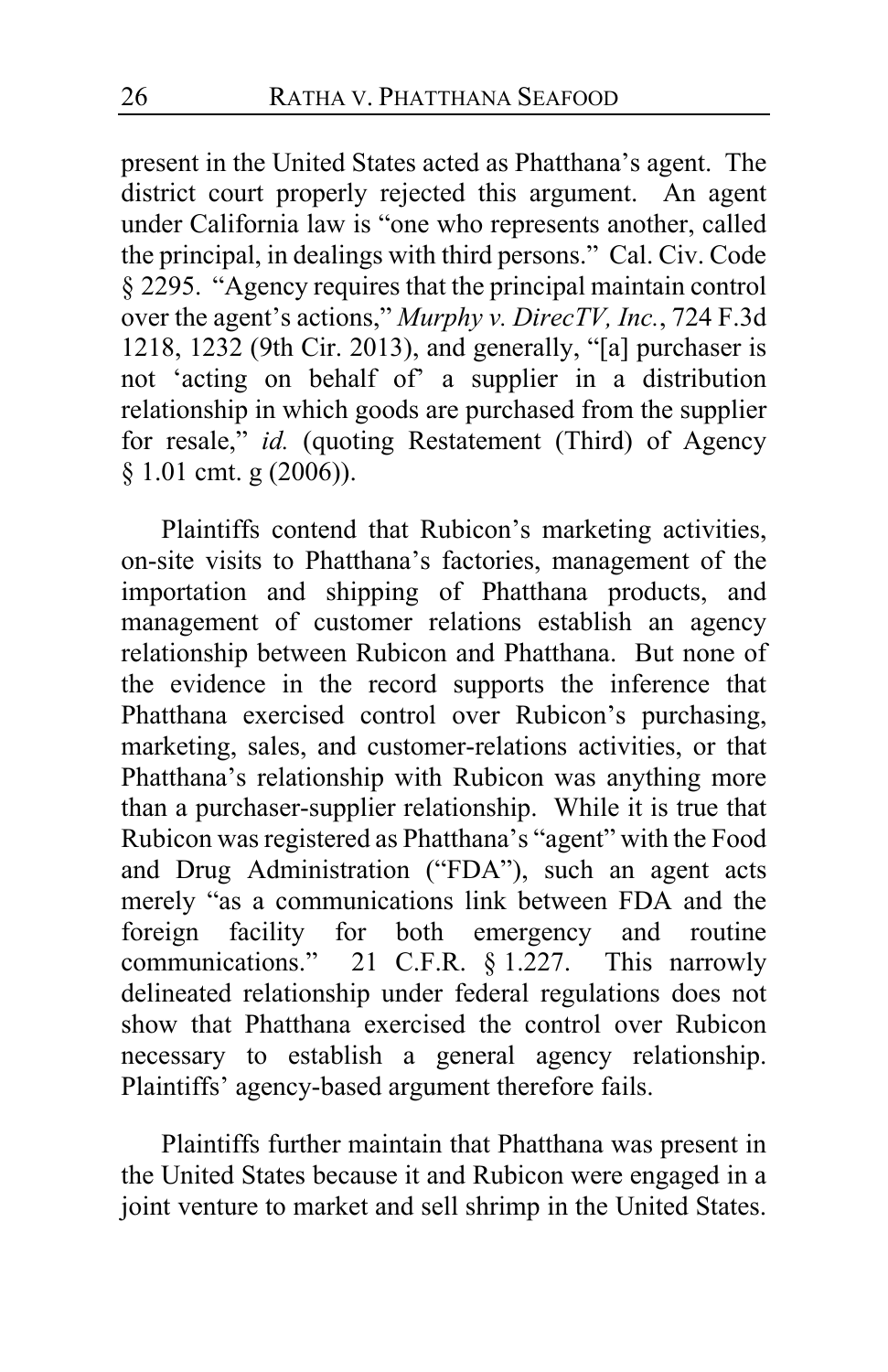present in the United States acted as Phatthana's agent. The district court properly rejected this argument. An agent under California law is "one who represents another, called the principal, in dealings with third persons." Cal. Civ. Code § 2295. "Agency requires that the principal maintain control over the agent's actions," *Murphy v. DirecTV, Inc.*, 724 F.3d 1218, 1232 (9th Cir. 2013), and generally, "[a] purchaser is not 'acting on behalf of' a supplier in a distribution relationship in which goods are purchased from the supplier for resale," *id.* (quoting Restatement (Third) of Agency § 1.01 cmt. g (2006)).

Plaintiffs contend that Rubicon's marketing activities, on-site visits to Phatthana's factories, management of the importation and shipping of Phatthana products, and management of customer relations establish an agency relationship between Rubicon and Phatthana. But none of the evidence in the record supports the inference that Phatthana exercised control over Rubicon's purchasing, marketing, sales, and customer-relations activities, or that Phatthana's relationship with Rubicon was anything more than a purchaser-supplier relationship. While it is true that Rubicon was registered as Phatthana's "agent" with the Food and Drug Administration ("FDA"), such an agent acts merely "as a communications link between FDA and the foreign facility for both emergency and routine communications." 21 C.F.R. § 1.227. This narrowly delineated relationship under federal regulations does not show that Phatthana exercised the control over Rubicon necessary to establish a general agency relationship. Plaintiffs' agency-based argument therefore fails.

Plaintiffs further maintain that Phatthana was present in the United States because it and Rubicon were engaged in a joint venture to market and sell shrimp in the United States.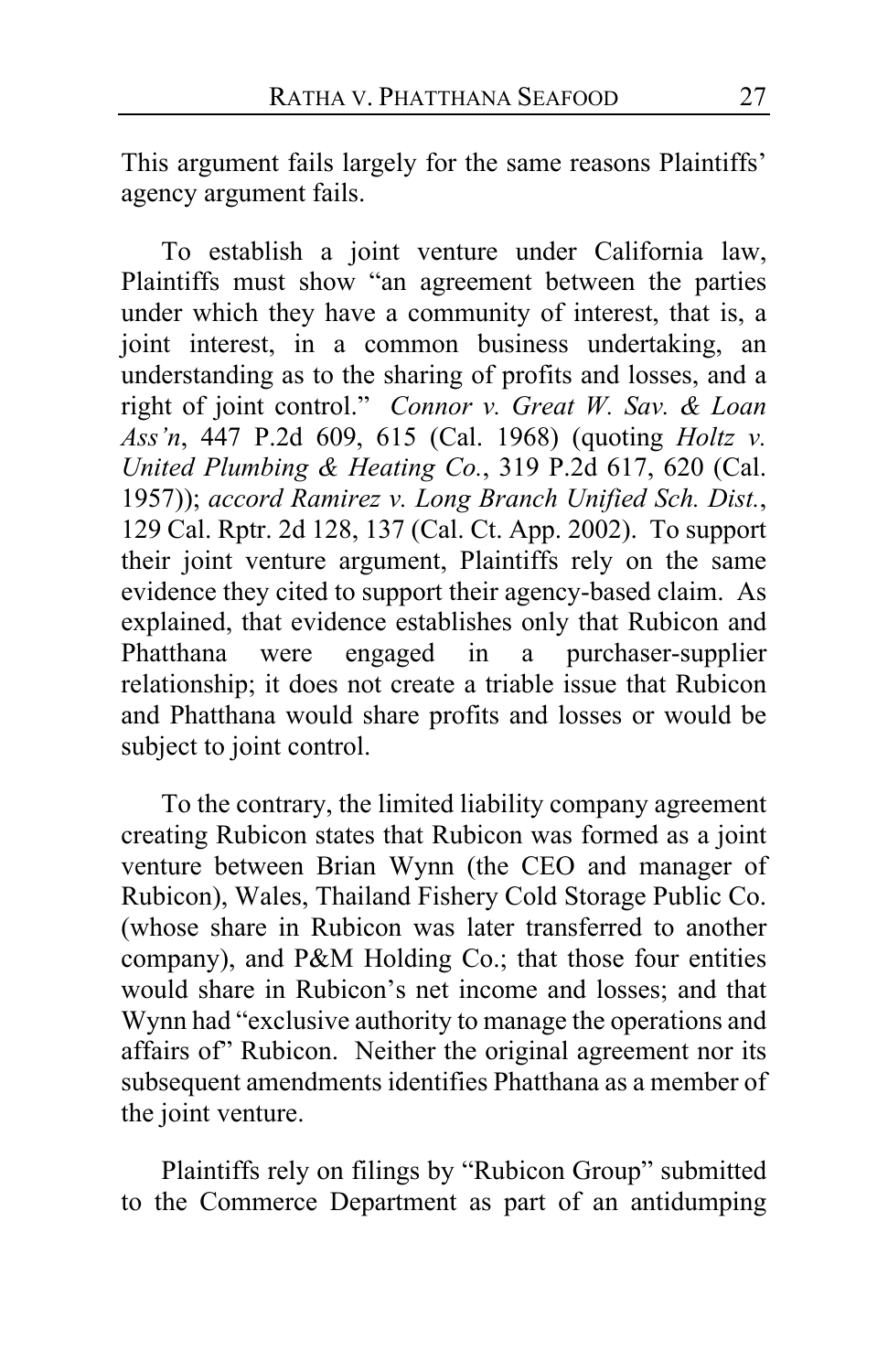This argument fails largely for the same reasons Plaintiffs' agency argument fails.

To establish a joint venture under California law, Plaintiffs must show "an agreement between the parties under which they have a community of interest, that is, a joint interest, in a common business undertaking, an understanding as to the sharing of profits and losses, and a right of joint control." *Connor v. Great W. Sav. & Loan Ass'n*, 447 P.2d 609, 615 (Cal. 1968) (quoting *Holtz v. United Plumbing & Heating Co.*, 319 P.2d 617, 620 (Cal. 1957)); *accord Ramirez v. Long Branch Unified Sch. Dist.*, 129 Cal. Rptr. 2d 128, 137 (Cal. Ct. App. 2002). To support their joint venture argument, Plaintiffs rely on the same evidence they cited to support their agency-based claim. As explained, that evidence establishes only that Rubicon and Phatthana were engaged in a purchaser-supplier relationship; it does not create a triable issue that Rubicon and Phatthana would share profits and losses or would be subject to joint control.

To the contrary, the limited liability company agreement creating Rubicon states that Rubicon was formed as a joint venture between Brian Wynn (the CEO and manager of Rubicon), Wales, Thailand Fishery Cold Storage Public Co. (whose share in Rubicon was later transferred to another company), and P&M Holding Co.; that those four entities would share in Rubicon's net income and losses; and that Wynn had "exclusive authority to manage the operations and affairs of" Rubicon. Neither the original agreement nor its subsequent amendments identifies Phatthana as a member of the joint venture.

Plaintiffs rely on filings by "Rubicon Group" submitted to the Commerce Department as part of an antidumping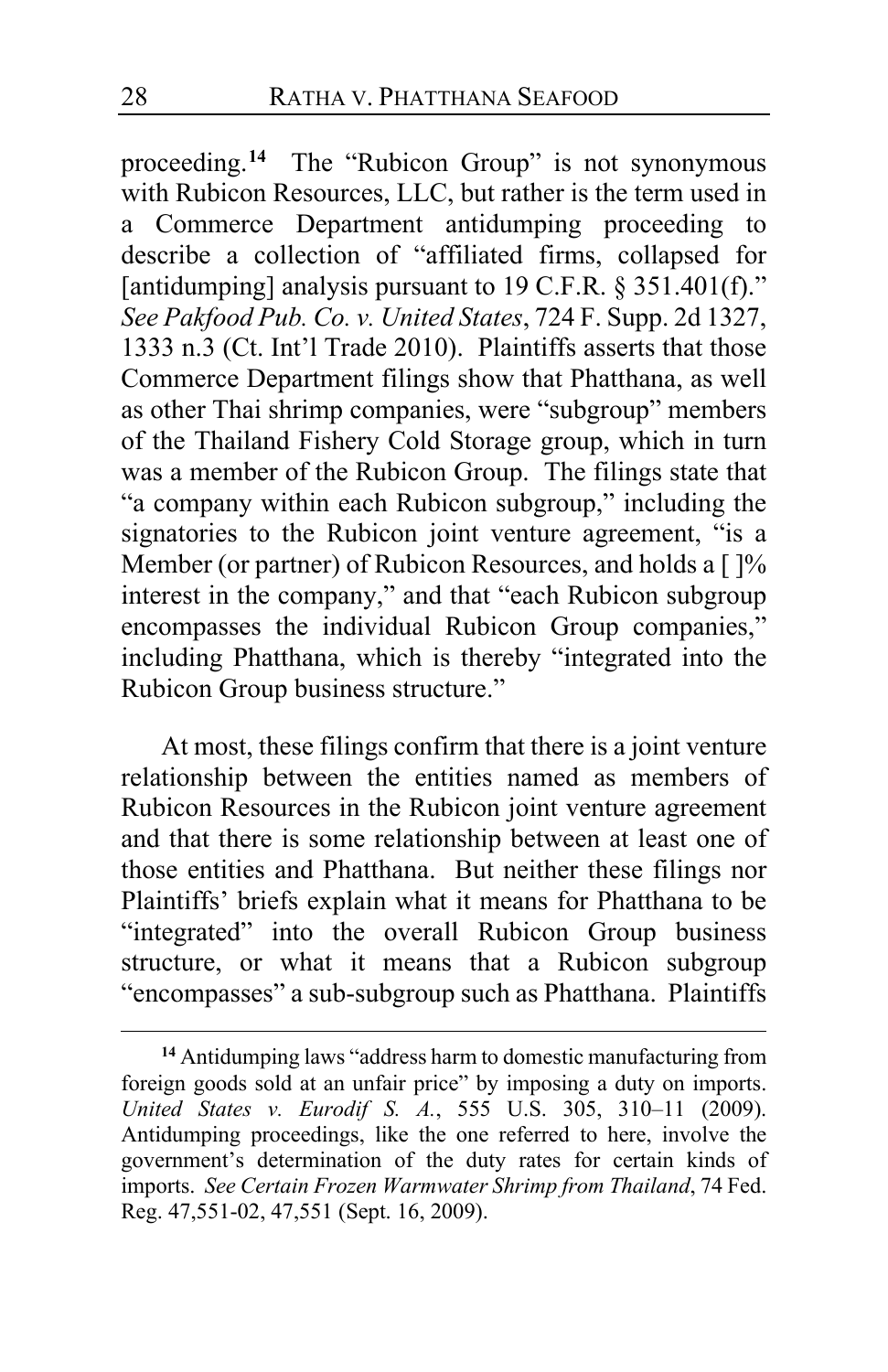proceeding.**[14](#page-27-0)** The "Rubicon Group" is not synonymous with Rubicon Resources, LLC, but rather is the term used in a Commerce Department antidumping proceeding to describe a collection of "affiliated firms, collapsed for [antidumping] analysis pursuant to 19 C.F.R.  $\S 351.401(f)$ ." *See Pakfood Pub. Co. v. United States*, 724 F. Supp. 2d 1327, 1333 n.3 (Ct. Int'l Trade 2010).Plaintiffs asserts that those Commerce Department filings show that Phatthana, as well as other Thai shrimp companies, were "subgroup" members of the Thailand Fishery Cold Storage group, which in turn was a member of the Rubicon Group. The filings state that "a company within each Rubicon subgroup," including the signatories to the Rubicon joint venture agreement, "is a Member (or partner) of Rubicon Resources, and holds a [ ]% interest in the company," and that "each Rubicon subgroup encompasses the individual Rubicon Group companies," including Phatthana, which is thereby "integrated into the Rubicon Group business structure."

At most, these filings confirm that there is a joint venture relationship between the entities named as members of Rubicon Resources in the Rubicon joint venture agreement and that there is some relationship between at least one of those entities and Phatthana. But neither these filings nor Plaintiffs' briefs explain what it means for Phatthana to be "integrated" into the overall Rubicon Group business structure, or what it means that a Rubicon subgroup "encompasses" a sub-subgroup such as Phatthana. Plaintiffs

<span id="page-27-0"></span>**<sup>14</sup>** Antidumping laws "address harm to domestic manufacturing from foreign goods sold at an unfair price" by imposing a duty on imports. *United States v. Eurodif S. A.*, 555 U.S. 305, 310–11 (2009). Antidumping proceedings, like the one referred to here, involve the government's determination of the duty rates for certain kinds of imports. *See Certain Frozen Warmwater Shrimp from Thailand*, 74 Fed. Reg. 47,551-02, 47,551 (Sept. 16, 2009).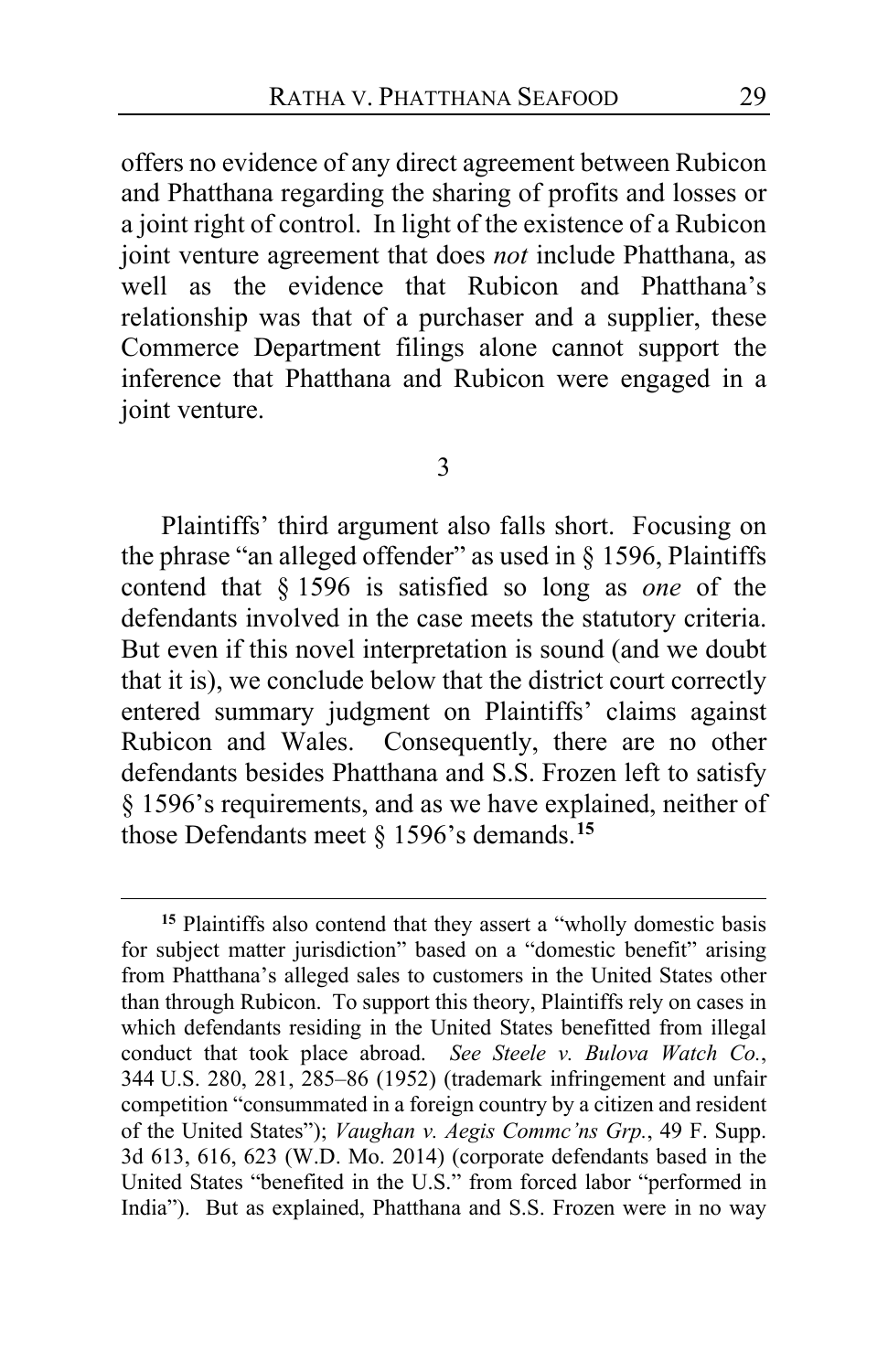offers no evidence of any direct agreement between Rubicon and Phatthana regarding the sharing of profits and losses or a joint right of control. In light of the existence of a Rubicon joint venture agreement that does *not* include Phatthana, as well as the evidence that Rubicon and Phatthana's relationship was that of a purchaser and a supplier, these Commerce Department filings alone cannot support the inference that Phatthana and Rubicon were engaged in a joint venture.

#### 3

Plaintiffs' third argument also falls short. Focusing on the phrase "an alleged offender" as used in § 1596, Plaintiffs contend that § 1596 is satisfied so long as *one* of the defendants involved in the case meets the statutory criteria. But even if this novel interpretation is sound (and we doubt that it is), we conclude below that the district court correctly entered summary judgment on Plaintiffs' claims against Rubicon and Wales. Consequently, there are no other defendants besides Phatthana and S.S. Frozen left to satisfy § 1596's requirements, and as we have explained, neither of those Defendants meet § 1596's demands.**[15](#page-28-0)**

<span id="page-28-0"></span>**<sup>15</sup>** Plaintiffs also contend that they assert a "wholly domestic basis for subject matter jurisdiction" based on a "domestic benefit" arising from Phatthana's alleged sales to customers in the United States other than through Rubicon. To support this theory, Plaintiffs rely on cases in which defendants residing in the United States benefitted from illegal conduct that took place abroad. *See Steele v. Bulova Watch Co.*, 344 U.S. 280, 281, 285–86 (1952) (trademark infringement and unfair competition "consummated in a foreign country by a citizen and resident of the United States"); *Vaughan v. Aegis Commc'ns Grp.*, 49 F. Supp. 3d 613, 616, 623 (W.D. Mo. 2014) (corporate defendants based in the United States "benefited in the U.S." from forced labor "performed in India"). But as explained, Phatthana and S.S. Frozen were in no way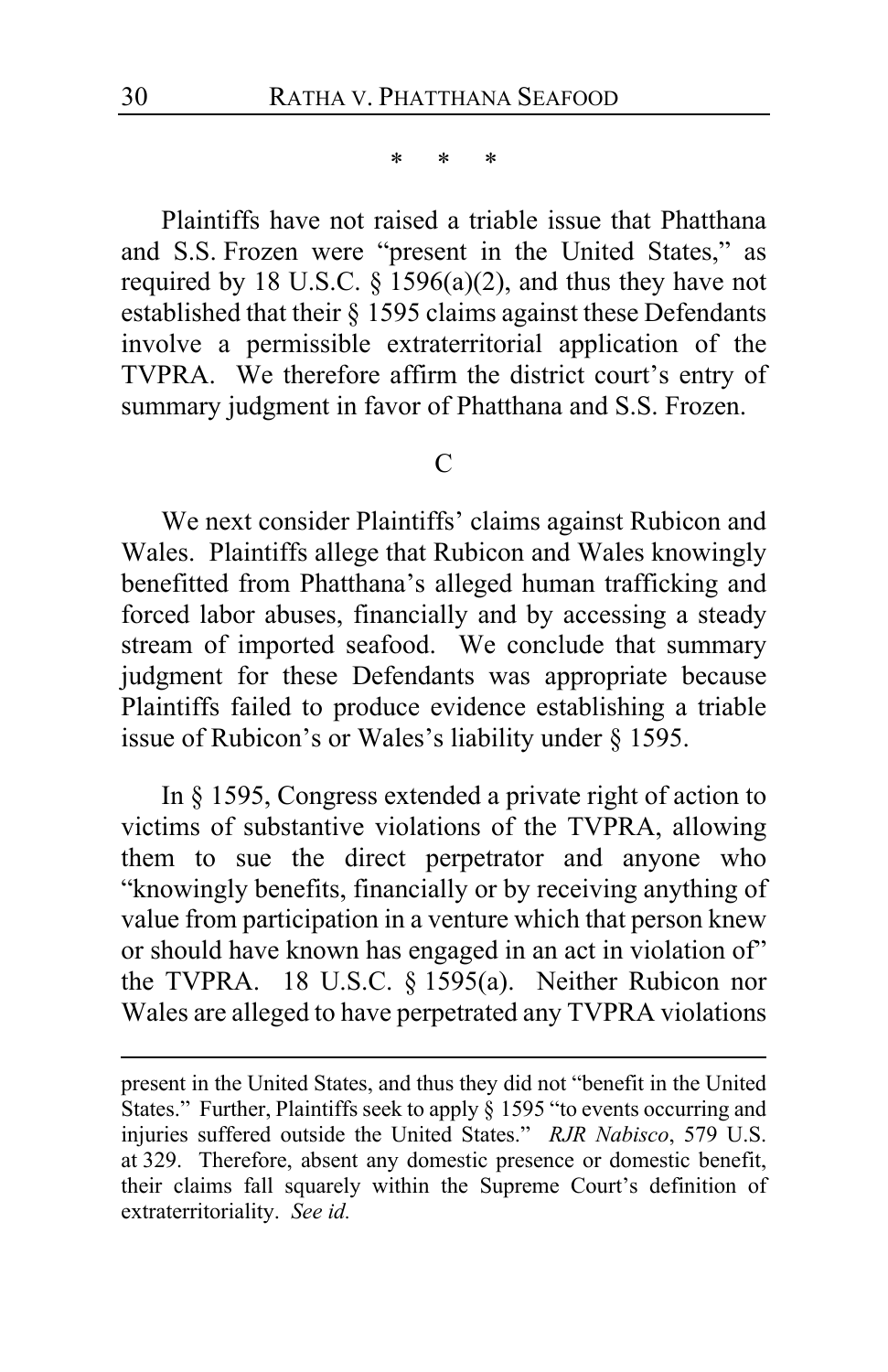\* \* \*

Plaintiffs have not raised a triable issue that Phatthana and S.S. Frozen were "present in the United States," as required by 18 U.S.C.  $\S$  1596(a)(2), and thus they have not established that their § 1595 claims against these Defendants involve a permissible extraterritorial application of the TVPRA. We therefore affirm the district court's entry of summary judgment in favor of Phatthana and S.S. Frozen.

#### $\mathcal{C}$

We next consider Plaintiffs' claims against Rubicon and Wales. Plaintiffs allege that Rubicon and Wales knowingly benefitted from Phatthana's alleged human trafficking and forced labor abuses, financially and by accessing a steady stream of imported seafood. We conclude that summary judgment for these Defendants was appropriate because Plaintiffs failed to produce evidence establishing a triable issue of Rubicon's or Wales's liability under § 1595.

In § 1595, Congress extended a private right of action to victims of substantive violations of the TVPRA, allowing them to sue the direct perpetrator and anyone who "knowingly benefits, financially or by receiving anything of value from participation in a venture which that person knew or should have known has engaged in an act in violation of" the TVPRA. 18 U.S.C. § 1595(a). Neither Rubicon nor Wales are alleged to have perpetrated any TVPRA violations

present in the United States, and thus they did not "benefit in the United States." Further, Plaintiffs seek to apply § 1595 "to events occurring and injuries suffered outside the United States." *RJR Nabisco*, 579 U.S. at 329. Therefore, absent any domestic presence or domestic benefit, their claims fall squarely within the Supreme Court's definition of extraterritoriality. *See id.*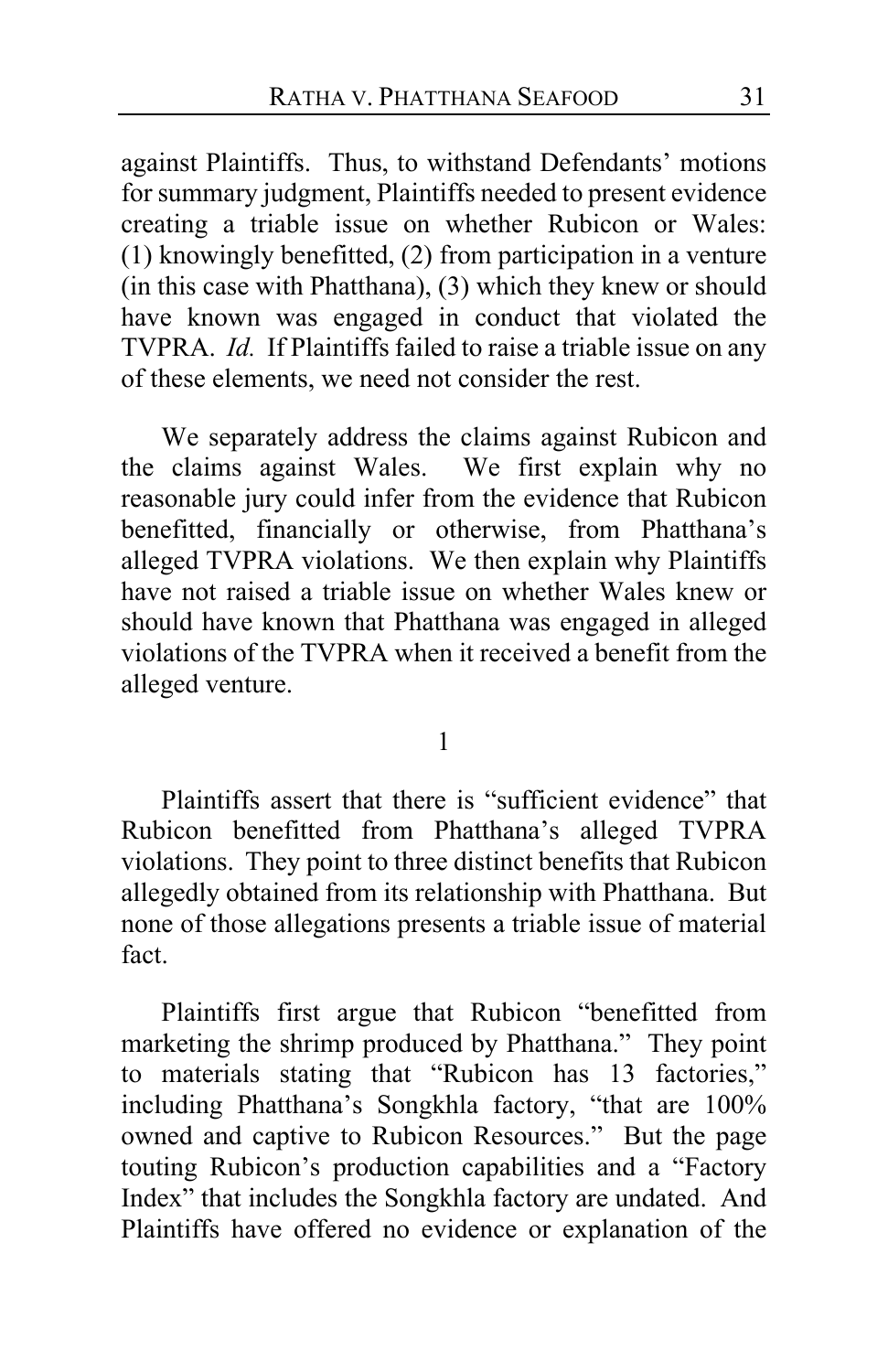against Plaintiffs. Thus, to withstand Defendants' motions for summary judgment, Plaintiffs needed to present evidence creating a triable issue on whether Rubicon or Wales: (1) knowingly benefitted, (2) from participation in a venture (in this case with Phatthana), (3) which they knew or should have known was engaged in conduct that violated the TVPRA. *Id.* If Plaintiffs failed to raise a triable issue on any of these elements, we need not consider the rest.

We separately address the claims against Rubicon and the claims against Wales. We first explain why no reasonable jury could infer from the evidence that Rubicon benefitted, financially or otherwise, from Phatthana's alleged TVPRA violations. We then explain why Plaintiffs have not raised a triable issue on whether Wales knew or should have known that Phatthana was engaged in alleged violations of the TVPRA when it received a benefit from the alleged venture.

1

Plaintiffs assert that there is "sufficient evidence" that Rubicon benefitted from Phatthana's alleged TVPRA violations. They point to three distinct benefits that Rubicon allegedly obtained from its relationship with Phatthana. But none of those allegations presents a triable issue of material fact.

Plaintiffs first argue that Rubicon "benefitted from marketing the shrimp produced by Phatthana." They point to materials stating that "Rubicon has 13 factories," including Phatthana's Songkhla factory, "that are 100% owned and captive to Rubicon Resources." But the page touting Rubicon's production capabilities and a "Factory Index" that includes the Songkhla factory are undated. And Plaintiffs have offered no evidence or explanation of the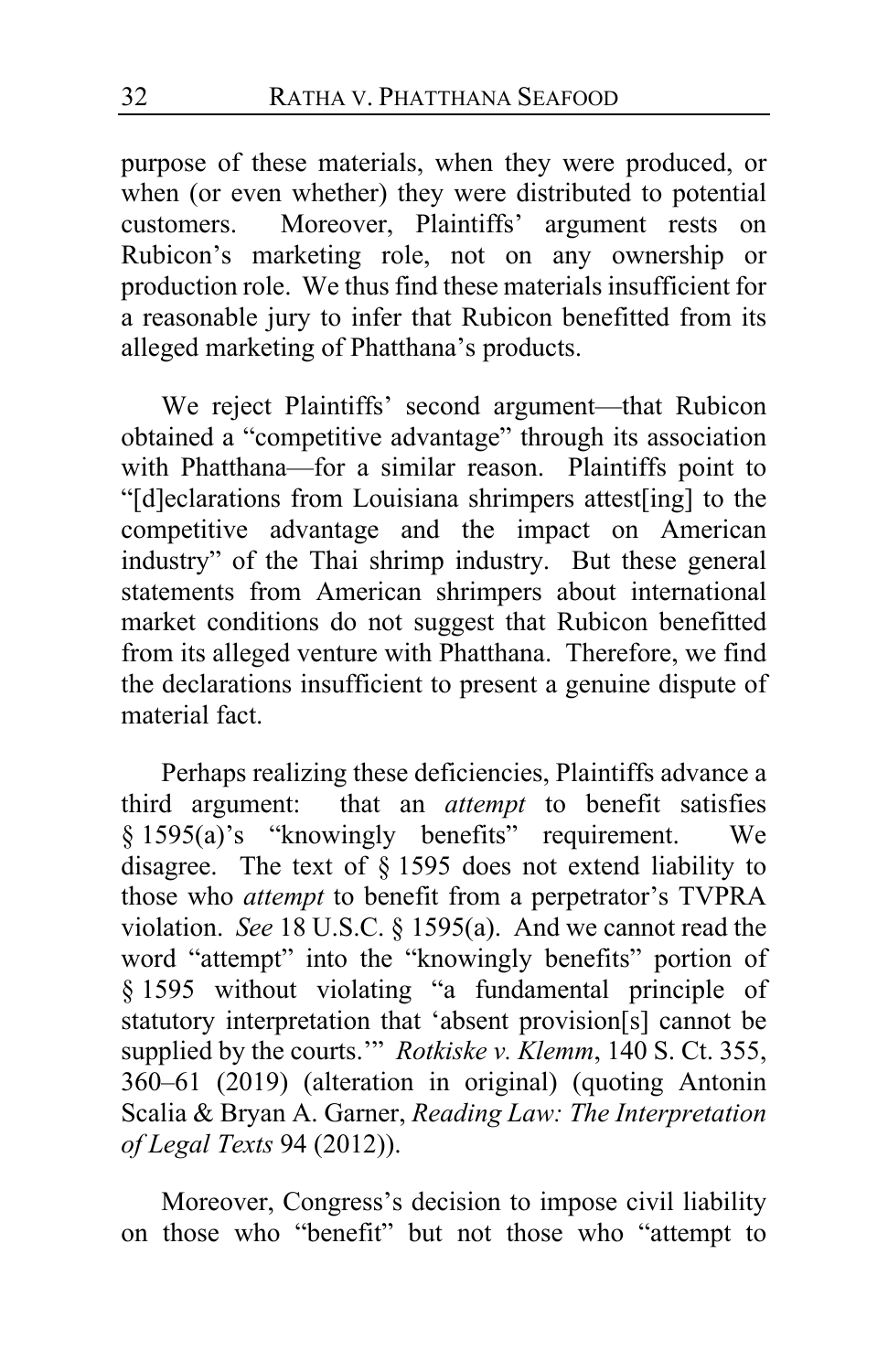purpose of these materials, when they were produced, or when (or even whether) they were distributed to potential customers. Moreover, Plaintiffs' argument rests on Rubicon's marketing role, not on any ownership or production role. We thus find these materials insufficient for a reasonable jury to infer that Rubicon benefitted from its alleged marketing of Phatthana's products.

We reject Plaintiffs' second argument—that Rubicon obtained a "competitive advantage" through its association with Phatthana—for a similar reason. Plaintiffs point to "[d]eclarations from Louisiana shrimpers attest[ing] to the competitive advantage and the impact on American industry" of the Thai shrimp industry. But these general statements from American shrimpers about international market conditions do not suggest that Rubicon benefitted from its alleged venture with Phatthana. Therefore, we find the declarations insufficient to present a genuine dispute of material fact.

Perhaps realizing these deficiencies, Plaintiffs advance a third argument: that an *attempt* to benefit satisfies  $§ 1595(a)$ 's "knowingly benefits" requirement. We disagree. The text of § 1595 does not extend liability to those who *attempt* to benefit from a perpetrator's TVPRA violation. *See* 18 U.S.C. § 1595(a). And we cannot read the word "attempt" into the "knowingly benefits" portion of § 1595 without violating "a fundamental principle of statutory interpretation that 'absent provision[s] cannot be supplied by the courts.'" *Rotkiske v. Klemm*, 140 S. Ct. 355, 360–61 (2019) (alteration in original) (quoting Antonin Scalia & Bryan A. Garner, *Reading Law: The Interpretation of Legal Texts* 94 (2012)).

Moreover, Congress's decision to impose civil liability on those who "benefit" but not those who "attempt to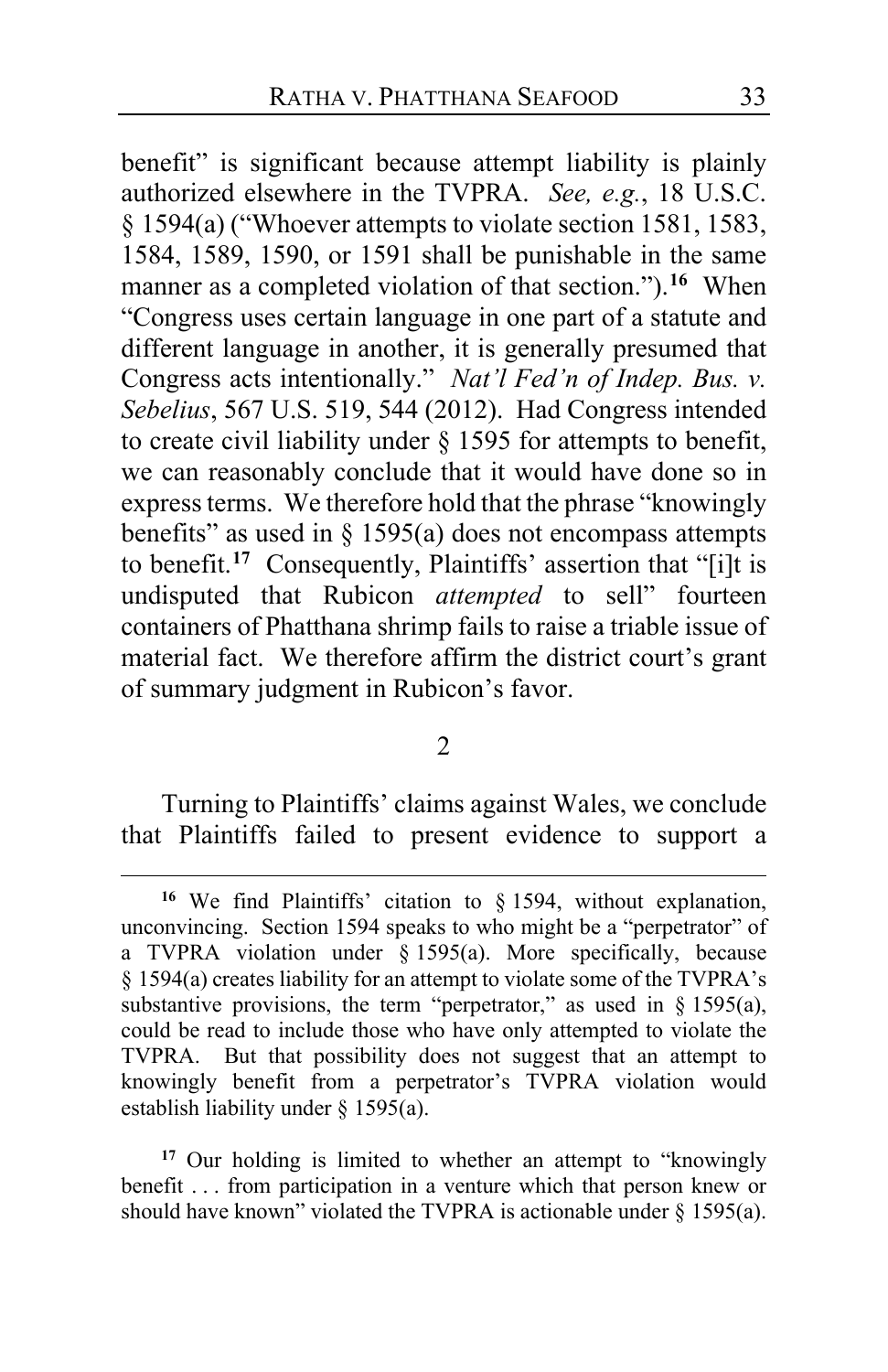benefit" is significant because attempt liability is plainly authorized elsewhere in the TVPRA. *See, e.g.*, 18 U.S.C. § 1594(a) ("Whoever attempts to violate section 1581, 1583, 1584, 1589, 1590, or 1591 shall be punishable in the same manner as a completed violation of that section.").**[16](#page-32-0)** When "Congress uses certain language in one part of a statute and different language in another, it is generally presumed that Congress acts intentionally." *Nat'l Fed'n of Indep. Bus. v. Sebelius*, 567 U.S. 519, 544 (2012). Had Congress intended to create civil liability under § 1595 for attempts to benefit, we can reasonably conclude that it would have done so in express terms. We therefore hold that the phrase "knowingly benefits" as used in  $\S$  1595(a) does not encompass attempts to benefit.**[17](#page-32-1)** Consequently, Plaintiffs' assertion that "[i]t is undisputed that Rubicon *attempted* to sell" fourteen containers of Phatthana shrimp fails to raise a triable issue of material fact. We therefore affirm the district court's grant of summary judgment in Rubicon's favor.

2

Turning to Plaintiffs' claims against Wales, we conclude that Plaintiffs failed to present evidence to support a

<span id="page-32-1"></span>**<sup>17</sup>** Our holding is limited to whether an attempt to "knowingly benefit . . . from participation in a venture which that person knew or should have known" violated the TVPRA is actionable under  $\S$  1595(a).

<span id="page-32-0"></span>**<sup>16</sup>** We find Plaintiffs' citation to § 1594, without explanation, unconvincing. Section 1594 speaks to who might be a "perpetrator" of a TVPRA violation under § 1595(a). More specifically, because § 1594(a) creates liability for an attempt to violate some of the TVPRA's substantive provisions, the term "perpetrator," as used in  $\S$  1595(a), could be read to include those who have only attempted to violate the TVPRA. But that possibility does not suggest that an attempt to knowingly benefit from a perpetrator's TVPRA violation would establish liability under § 1595(a).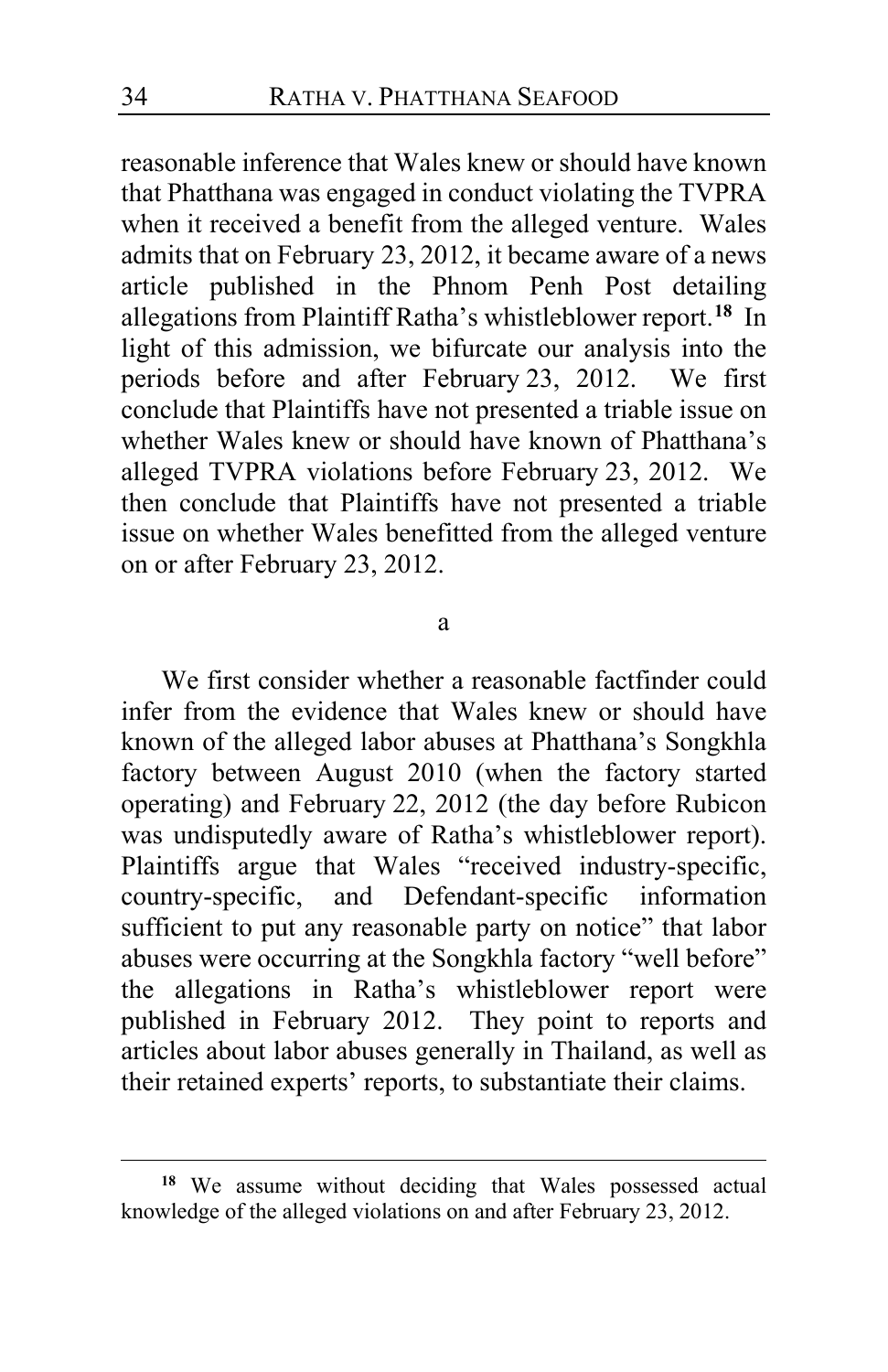reasonable inference that Wales knew or should have known that Phatthana was engaged in conduct violating the TVPRA when it received a benefit from the alleged venture. Wales admits that on February 23, 2012, it became aware of a news article published in the Phnom Penh Post detailing allegations from Plaintiff Ratha's whistleblower report.**[18](#page-33-0)** In light of this admission, we bifurcate our analysis into the periods before and after February 23, 2012. We first conclude that Plaintiffs have not presented a triable issue on whether Wales knew or should have known of Phatthana's alleged TVPRA violations before February 23, 2012. We then conclude that Plaintiffs have not presented a triable issue on whether Wales benefitted from the alleged venture on or after February 23, 2012.

a

We first consider whether a reasonable factfinder could infer from the evidence that Wales knew or should have known of the alleged labor abuses at Phatthana's Songkhla factory between August 2010 (when the factory started operating) and February 22, 2012 (the day before Rubicon was undisputedly aware of Ratha's whistleblower report). Plaintiffs argue that Wales "received industry-specific, country-specific, and Defendant-specific information sufficient to put any reasonable party on notice" that labor abuses were occurring at the Songkhla factory "well before" the allegations in Ratha's whistleblower report were published in February 2012. They point to reports and articles about labor abuses generally in Thailand, as well as their retained experts' reports, to substantiate their claims.

<span id="page-33-0"></span>**<sup>18</sup>** We assume without deciding that Wales possessed actual knowledge of the alleged violations on and after February 23, 2012.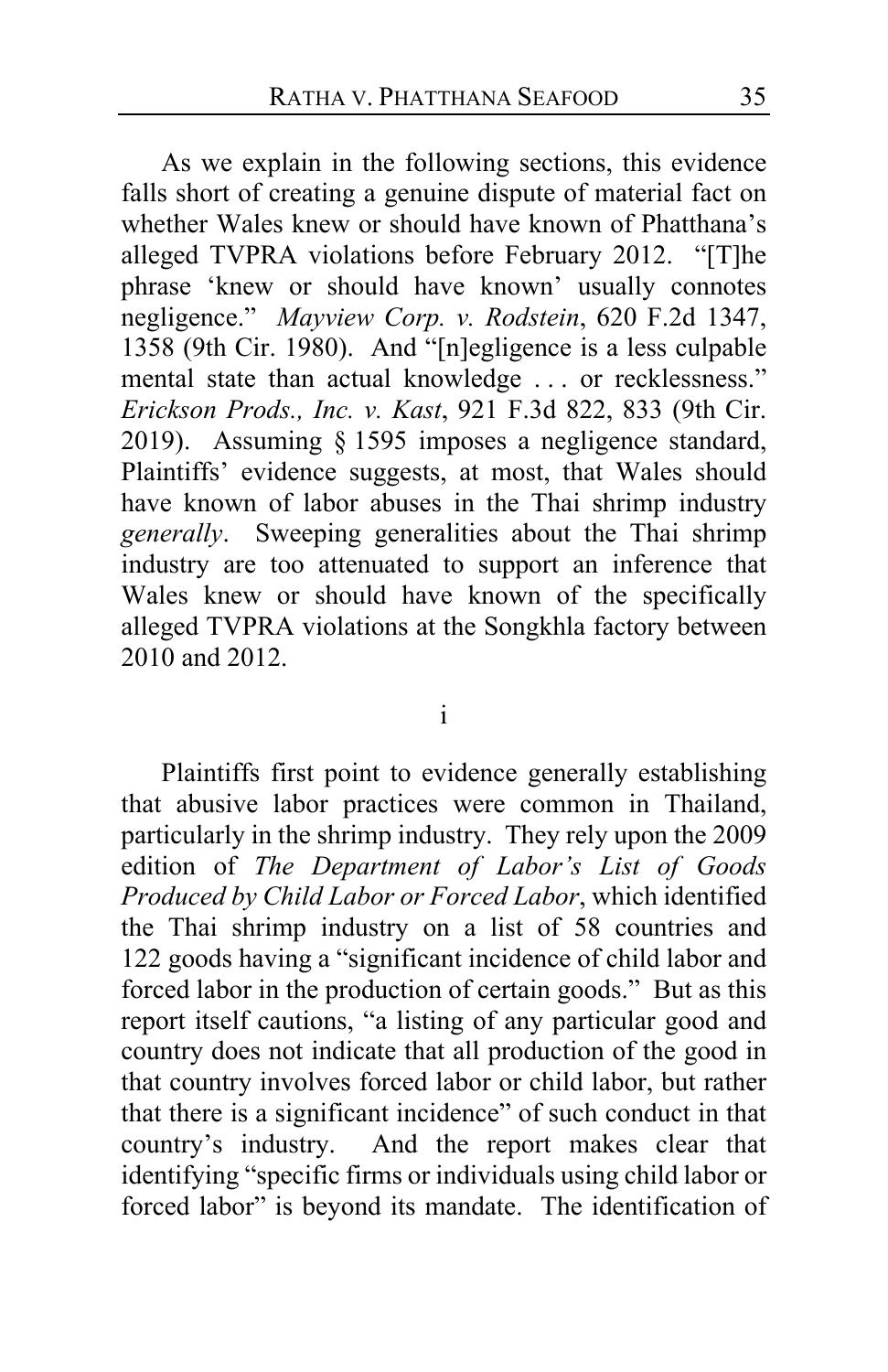As we explain in the following sections, this evidence falls short of creating a genuine dispute of material fact on whether Wales knew or should have known of Phatthana's alleged TVPRA violations before February 2012. "[T]he phrase 'knew or should have known' usually connotes negligence." *Mayview Corp. v. Rodstein*, 620 F.2d 1347, 1358 (9th Cir. 1980). And "[n]egligence is a less culpable mental state than actual knowledge . . . or recklessness." *Erickson Prods., Inc. v. Kast*, 921 F.3d 822, 833 (9th Cir. 2019). Assuming § 1595 imposes a negligence standard, Plaintiffs' evidence suggests, at most, that Wales should have known of labor abuses in the Thai shrimp industry *generally*. Sweeping generalities about the Thai shrimp industry are too attenuated to support an inference that Wales knew or should have known of the specifically alleged TVPRA violations at the Songkhla factory between 2010 and 2012.

i

Plaintiffs first point to evidence generally establishing that abusive labor practices were common in Thailand, particularly in the shrimp industry. They rely upon the 2009 edition of *The Department of Labor's List of Goods Produced by Child Labor or Forced Labor*, which identified the Thai shrimp industry on a list of 58 countries and 122 goods having a "significant incidence of child labor and forced labor in the production of certain goods." But as this report itself cautions, "a listing of any particular good and country does not indicate that all production of the good in that country involves forced labor or child labor, but rather that there is a significant incidence" of such conduct in that country's industry. And the report makes clear that identifying "specific firms or individuals using child labor or forced labor" is beyond its mandate. The identification of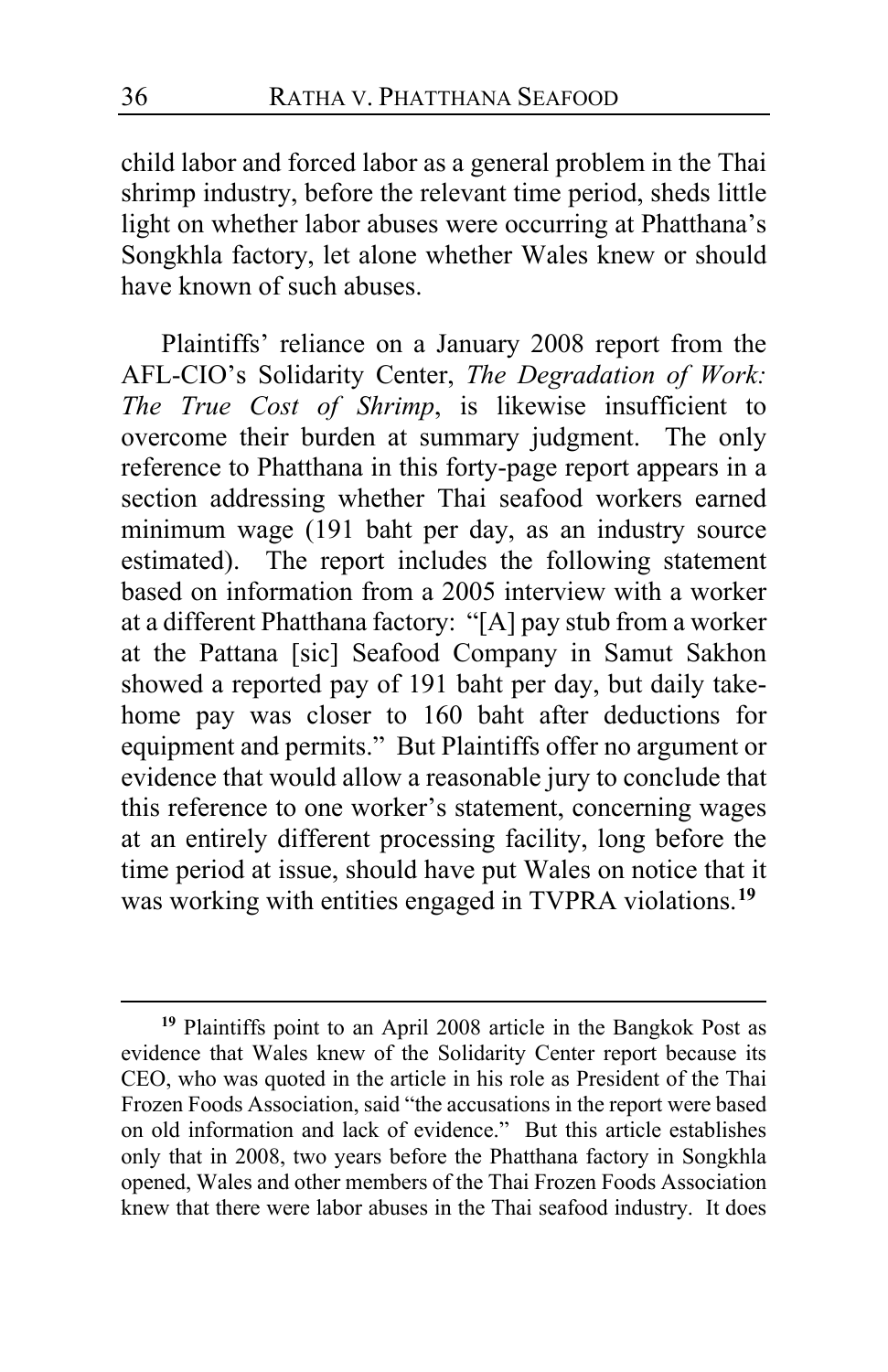child labor and forced labor as a general problem in the Thai shrimp industry, before the relevant time period, sheds little light on whether labor abuses were occurring at Phatthana's Songkhla factory, let alone whether Wales knew or should have known of such abuses.

Plaintiffs' reliance on a January 2008 report from the AFL-CIO's Solidarity Center, *The Degradation of Work: The True Cost of Shrimp*, is likewise insufficient to overcome their burden at summary judgment. The only reference to Phatthana in this forty-page report appears in a section addressing whether Thai seafood workers earned minimum wage (191 baht per day, as an industry source estimated). The report includes the following statement based on information from a 2005 interview with a worker at a different Phatthana factory: "[A] pay stub from a worker at the Pattana [sic] Seafood Company in Samut Sakhon showed a reported pay of 191 baht per day, but daily takehome pay was closer to 160 baht after deductions for equipment and permits." But Plaintiffs offer no argument or evidence that would allow a reasonable jury to conclude that this reference to one worker's statement, concerning wages at an entirely different processing facility, long before the time period at issue, should have put Wales on notice that it was working with entities engaged in TVPRA violations.**[19](#page-35-0)**

<span id="page-35-0"></span>**<sup>19</sup>** Plaintiffs point to an April 2008 article in the Bangkok Post as evidence that Wales knew of the Solidarity Center report because its CEO, who was quoted in the article in his role as President of the Thai Frozen Foods Association, said "the accusations in the report were based on old information and lack of evidence." But this article establishes only that in 2008, two years before the Phatthana factory in Songkhla opened, Wales and other members of the Thai Frozen Foods Association knew that there were labor abuses in the Thai seafood industry. It does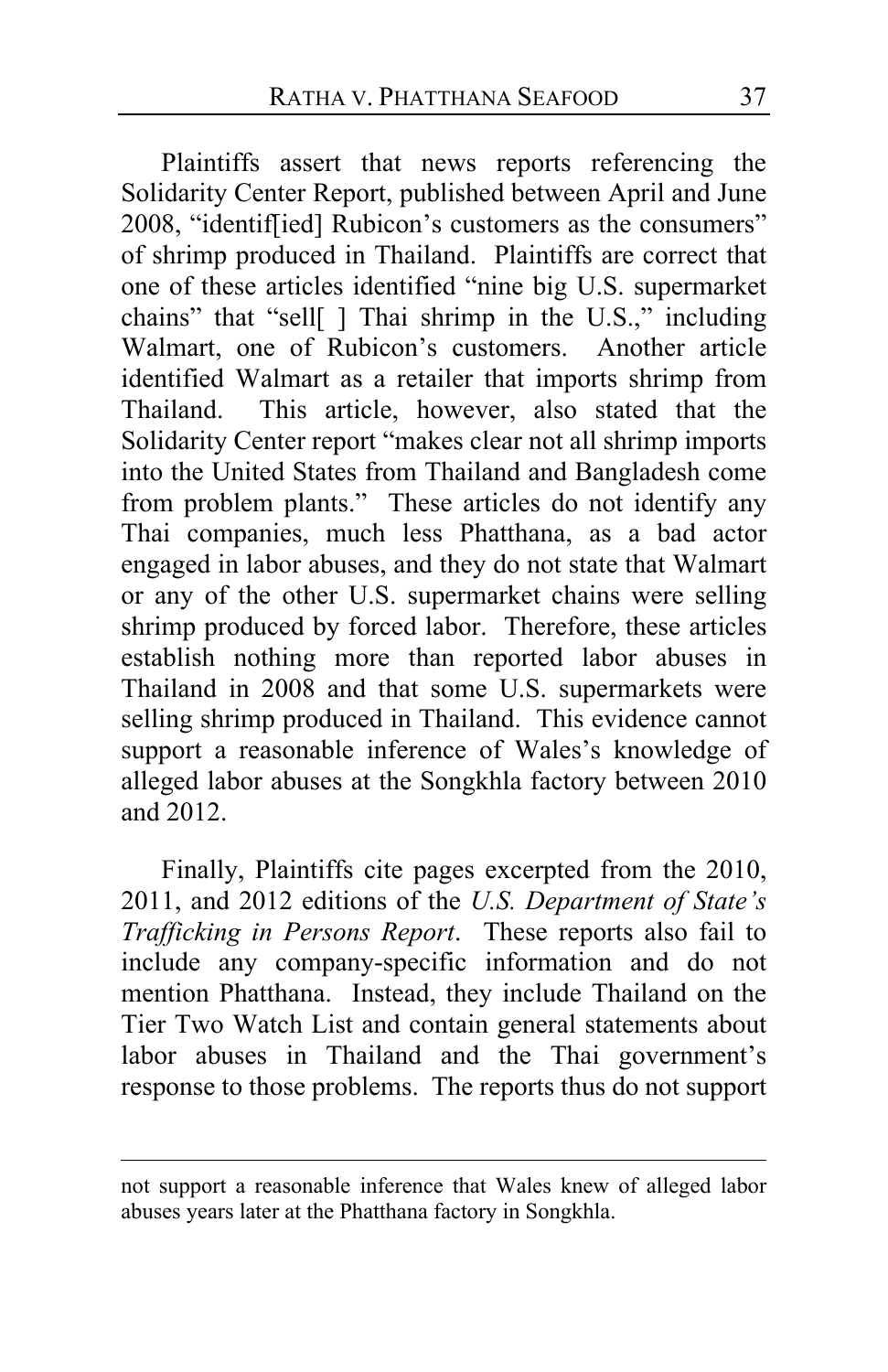Plaintiffs assert that news reports referencing the Solidarity Center Report, published between April and June 2008, "identif[ied] Rubicon's customers as the consumers" of shrimp produced in Thailand. Plaintiffs are correct that one of these articles identified "nine big U.S. supermarket chains" that "sell[ ] Thai shrimp in the U.S.," including Walmart, one of Rubicon's customers. Another article identified Walmart as a retailer that imports shrimp from Thailand. This article, however, also stated that the Solidarity Center report "makes clear not all shrimp imports into the United States from Thailand and Bangladesh come from problem plants." These articles do not identify any Thai companies, much less Phatthana, as a bad actor engaged in labor abuses, and they do not state that Walmart or any of the other U.S. supermarket chains were selling shrimp produced by forced labor. Therefore, these articles establish nothing more than reported labor abuses in Thailand in 2008 and that some U.S. supermarkets were selling shrimp produced in Thailand. This evidence cannot support a reasonable inference of Wales's knowledge of alleged labor abuses at the Songkhla factory between 2010 and 2012.

Finally, Plaintiffs cite pages excerpted from the 2010, 2011, and 2012 editions of the *U.S. Department of State's Trafficking in Persons Report*. These reports also fail to include any company-specific information and do not mention Phatthana. Instead, they include Thailand on the Tier Two Watch List and contain general statements about labor abuses in Thailand and the Thai government's response to those problems. The reports thus do not support

not support a reasonable inference that Wales knew of alleged labor abuses years later at the Phatthana factory in Songkhla.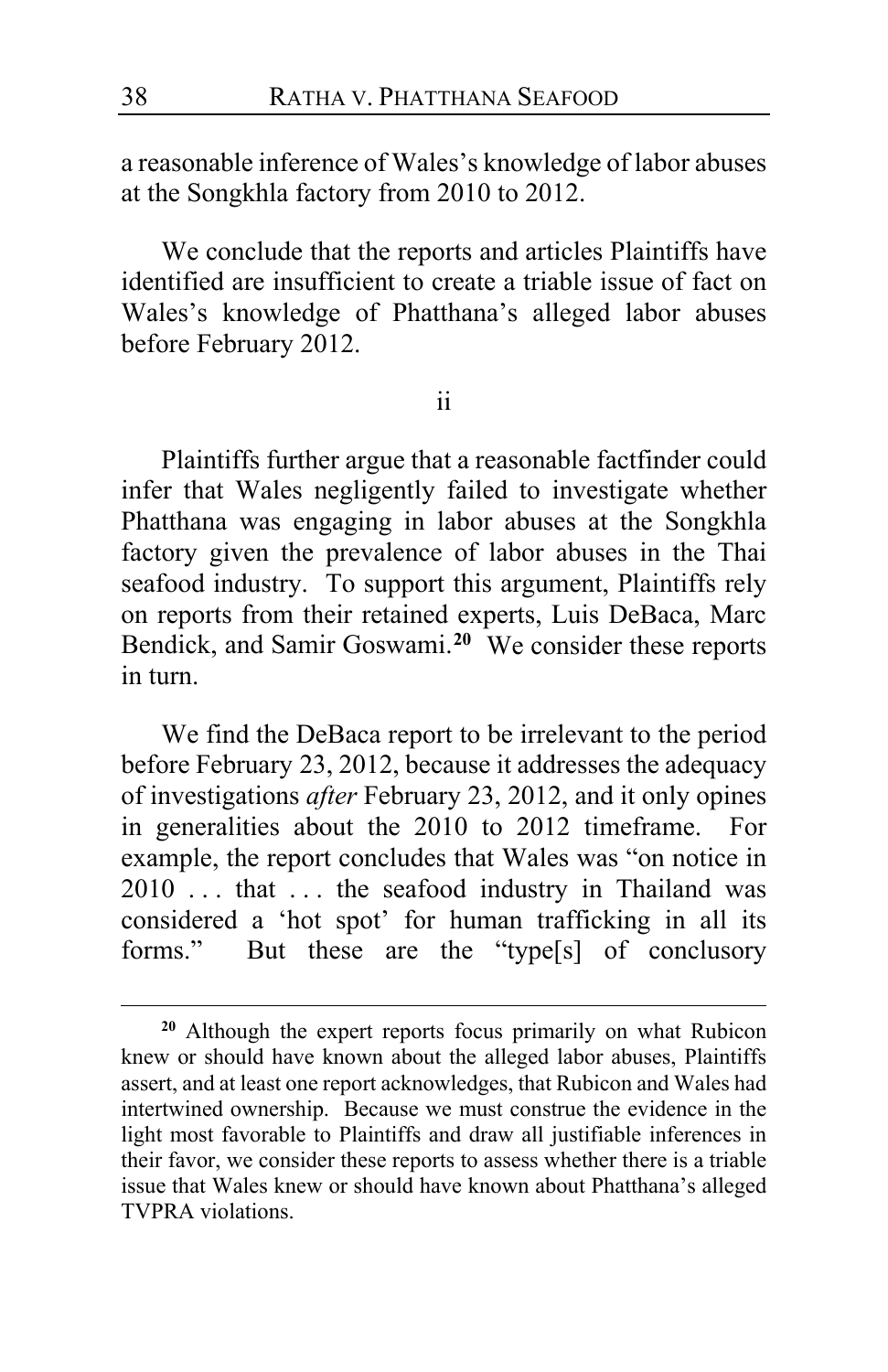a reasonable inference of Wales's knowledge of labor abuses at the Songkhla factory from 2010 to 2012.

We conclude that the reports and articles Plaintiffs have identified are insufficient to create a triable issue of fact on Wales's knowledge of Phatthana's alleged labor abuses before February 2012.

ii

Plaintiffs further argue that a reasonable factfinder could infer that Wales negligently failed to investigate whether Phatthana was engaging in labor abuses at the Songkhla factory given the prevalence of labor abuses in the Thai seafood industry. To support this argument, Plaintiffs rely on reports from their retained experts, Luis DeBaca, Marc Bendick, and Samir Goswami.**[20](#page-37-0)** We consider these reports in turn.

We find the DeBaca report to be irrelevant to the period before February 23, 2012, because it addresses the adequacy of investigations *after* February 23, 2012, and it only opines in generalities about the 2010 to 2012 timeframe. For example, the report concludes that Wales was "on notice in 2010 ... that ... the seafood industry in Thailand was considered a 'hot spot' for human trafficking in all its forms." But these are the "type[s] of conclusory

<span id="page-37-0"></span>**<sup>20</sup>** Although the expert reports focus primarily on what Rubicon knew or should have known about the alleged labor abuses, Plaintiffs assert, and at least one report acknowledges, that Rubicon and Wales had intertwined ownership. Because we must construe the evidence in the light most favorable to Plaintiffs and draw all justifiable inferences in their favor, we consider these reports to assess whether there is a triable issue that Wales knew or should have known about Phatthana's alleged TVPRA violations.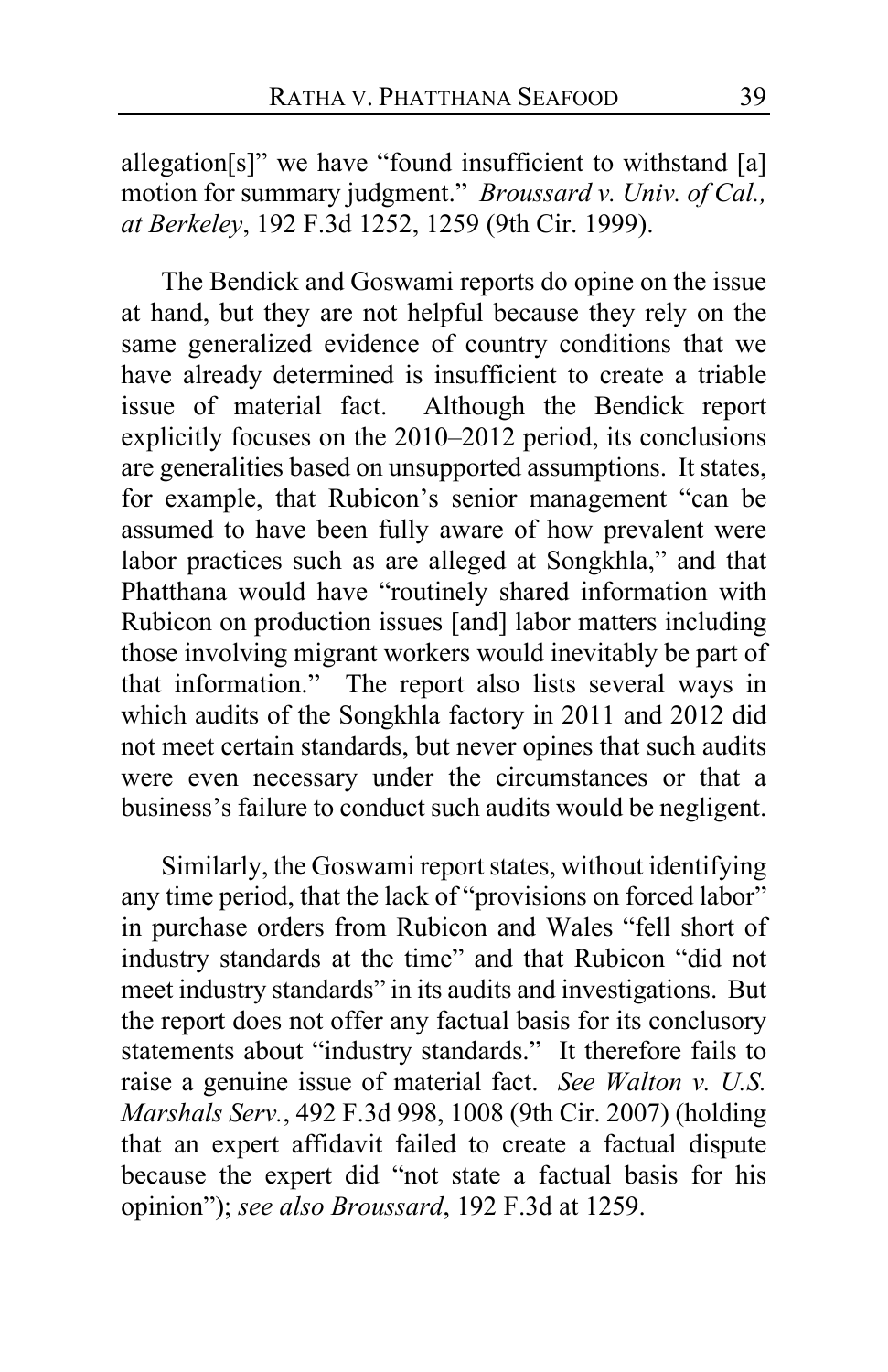allegation[s]" we have "found insufficient to withstand [a] motion for summary judgment." *Broussard v. Univ. of Cal., at Berkeley*, 192 F.3d 1252, 1259 (9th Cir. 1999).

The Bendick and Goswami reports do opine on the issue at hand, but they are not helpful because they rely on the same generalized evidence of country conditions that we have already determined is insufficient to create a triable issue of material fact. Although the Bendick report explicitly focuses on the 2010–2012 period, its conclusions are generalities based on unsupported assumptions. It states, for example, that Rubicon's senior management "can be assumed to have been fully aware of how prevalent were labor practices such as are alleged at Songkhla," and that Phatthana would have "routinely shared information with Rubicon on production issues [and] labor matters including those involving migrant workers would inevitably be part of that information." The report also lists several ways in which audits of the Songkhla factory in 2011 and 2012 did not meet certain standards, but never opines that such audits were even necessary under the circumstances or that a business's failure to conduct such audits would be negligent.

Similarly, the Goswami report states, without identifying any time period, that the lack of "provisions on forced labor" in purchase orders from Rubicon and Wales "fell short of industry standards at the time" and that Rubicon "did not meet industry standards" in its audits and investigations. But the report does not offer any factual basis for its conclusory statements about "industry standards." It therefore fails to raise a genuine issue of material fact. *See Walton v. U.S. Marshals Serv.*, 492 F.3d 998, 1008 (9th Cir. 2007) (holding that an expert affidavit failed to create a factual dispute because the expert did "not state a factual basis for his opinion"); *see also Broussard*, 192 F.3d at 1259.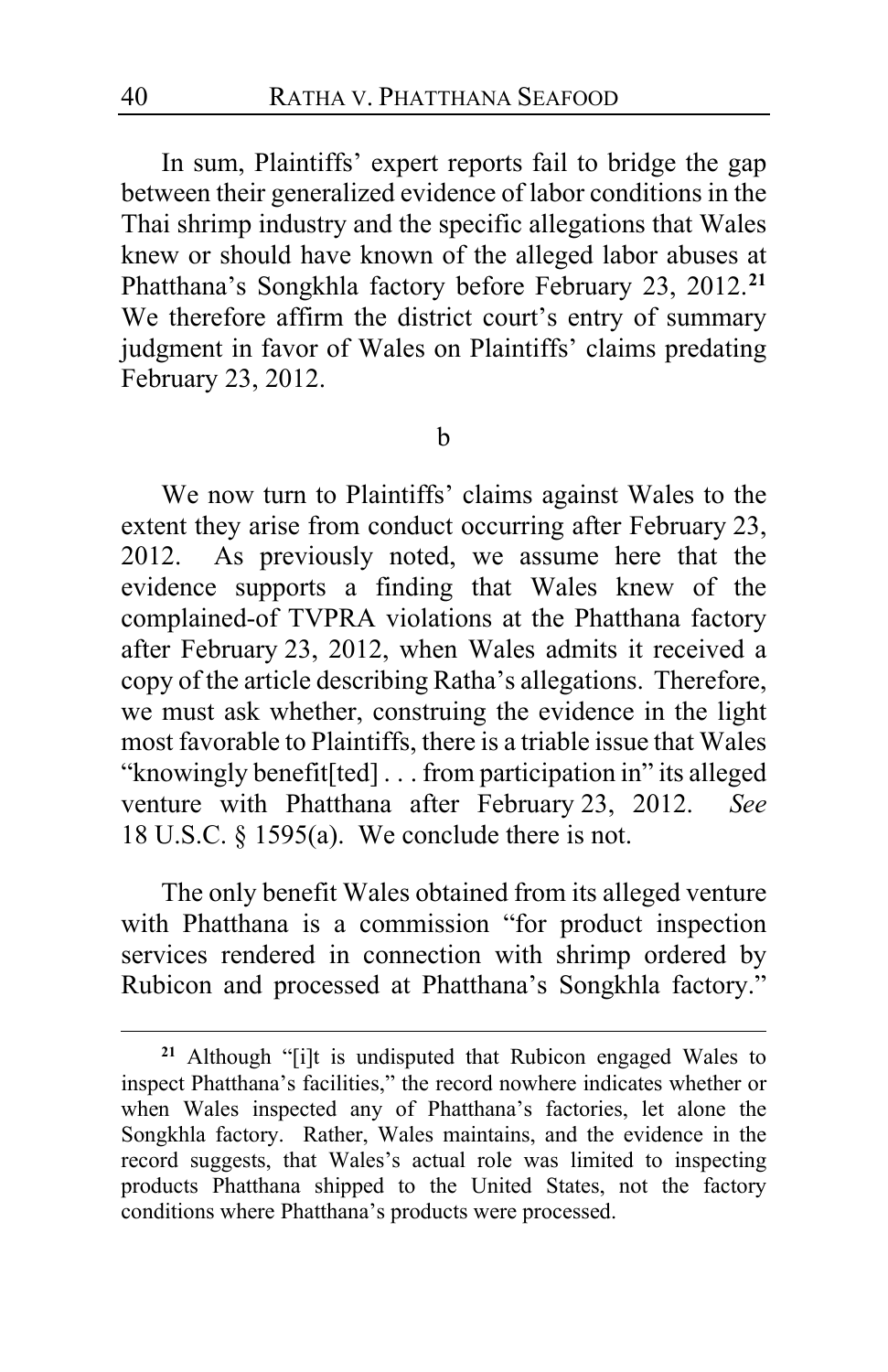In sum, Plaintiffs' expert reports fail to bridge the gap between their generalized evidence of labor conditions in the Thai shrimp industry and the specific allegations that Wales knew or should have known of the alleged labor abuses at Phatthana's Songkhla factory before February 23, 2012.**[21](#page-39-0)** We therefore affirm the district court's entry of summary judgment in favor of Wales on Plaintiffs' claims predating February 23, 2012.

b

We now turn to Plaintiffs' claims against Wales to the extent they arise from conduct occurring after February 23, 2012. As previously noted, we assume here that the evidence supports a finding that Wales knew of the complained-of TVPRA violations at the Phatthana factory after February 23, 2012, when Wales admits it received a copy of the article describing Ratha's allegations. Therefore, we must ask whether, construing the evidence in the light most favorable to Plaintiffs, there is a triable issue that Wales "knowingly benefit[ted] . . . from participation in" its alleged venture with Phatthana after February 23, 2012. *See*  18 U.S.C. § 1595(a). We conclude there is not.

The only benefit Wales obtained from its alleged venture with Phatthana is a commission "for product inspection services rendered in connection with shrimp ordered by Rubicon and processed at Phatthana's Songkhla factory."

<span id="page-39-0"></span>**<sup>21</sup>** Although "[i]t is undisputed that Rubicon engaged Wales to inspect Phatthana's facilities," the record nowhere indicates whether or when Wales inspected any of Phatthana's factories, let alone the Songkhla factory. Rather, Wales maintains, and the evidence in the record suggests, that Wales's actual role was limited to inspecting products Phatthana shipped to the United States, not the factory conditions where Phatthana's products were processed.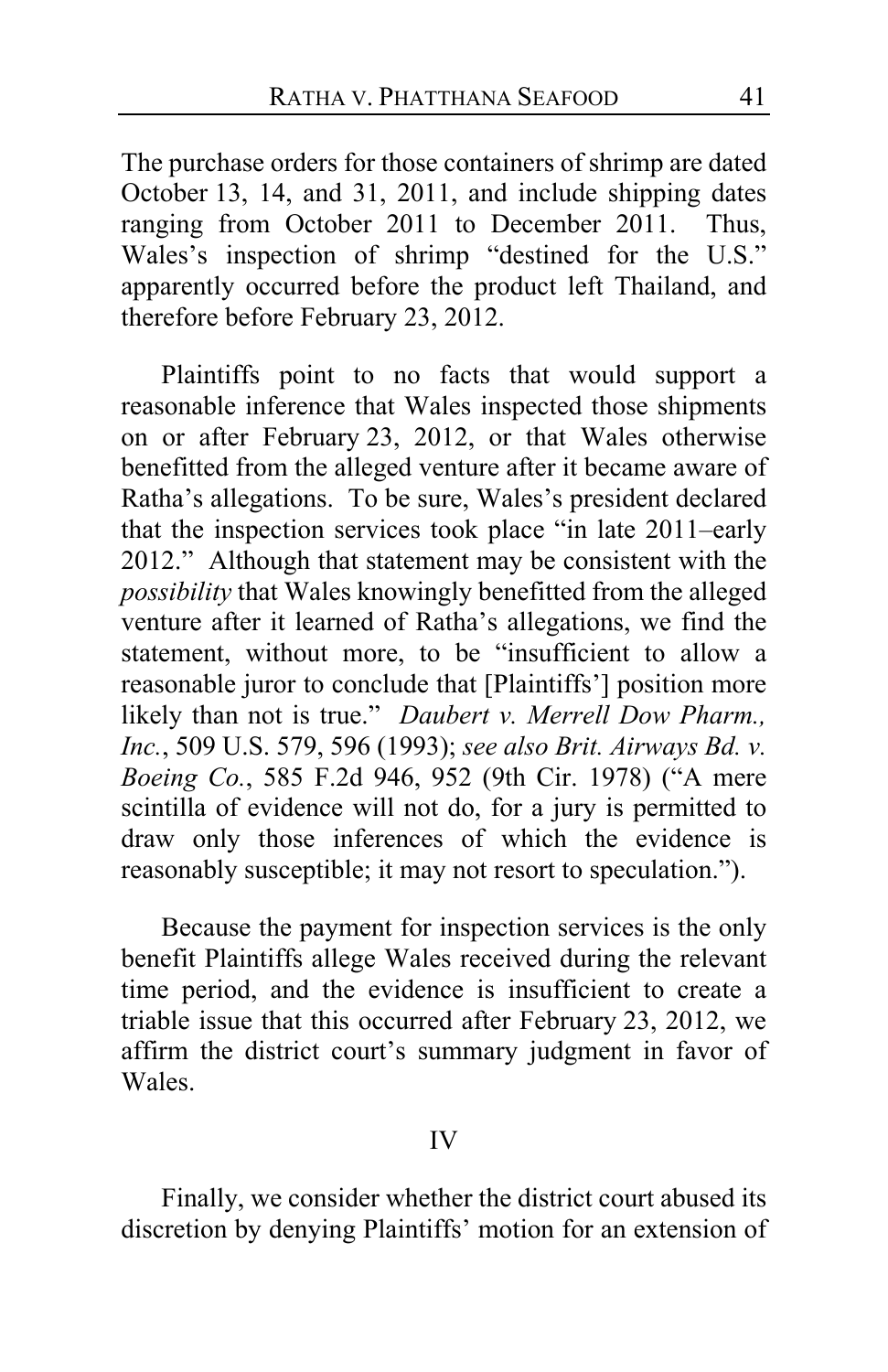The purchase orders for those containers of shrimp are dated October 13, 14, and 31, 2011, and include shipping dates ranging from October 2011 to December 2011. Thus, Wales's inspection of shrimp "destined for the U.S." apparently occurred before the product left Thailand, and therefore before February 23, 2012.

Plaintiffs point to no facts that would support a reasonable inference that Wales inspected those shipments on or after February 23, 2012, or that Wales otherwise benefitted from the alleged venture after it became aware of Ratha's allegations. To be sure, Wales's president declared that the inspection services took place "in late 2011–early 2012." Although that statement may be consistent with the *possibility* that Wales knowingly benefitted from the alleged venture after it learned of Ratha's allegations, we find the statement, without more, to be "insufficient to allow a reasonable juror to conclude that [Plaintiffs'] position more likely than not is true." *Daubert v. Merrell Dow Pharm., Inc.*, 509 U.S. 579, 596 (1993); *see also Brit. Airways Bd. v. Boeing Co.*, 585 F.2d 946, 952 (9th Cir. 1978) ("A mere scintilla of evidence will not do, for a jury is permitted to draw only those inferences of which the evidence is reasonably susceptible; it may not resort to speculation.").

Because the payment for inspection services is the only benefit Plaintiffs allege Wales received during the relevant time period, and the evidence is insufficient to create a triable issue that this occurred after February 23, 2012, we affirm the district court's summary judgment in favor of Wales.

#### IV

Finally, we consider whether the district court abused its discretion by denying Plaintiffs' motion for an extension of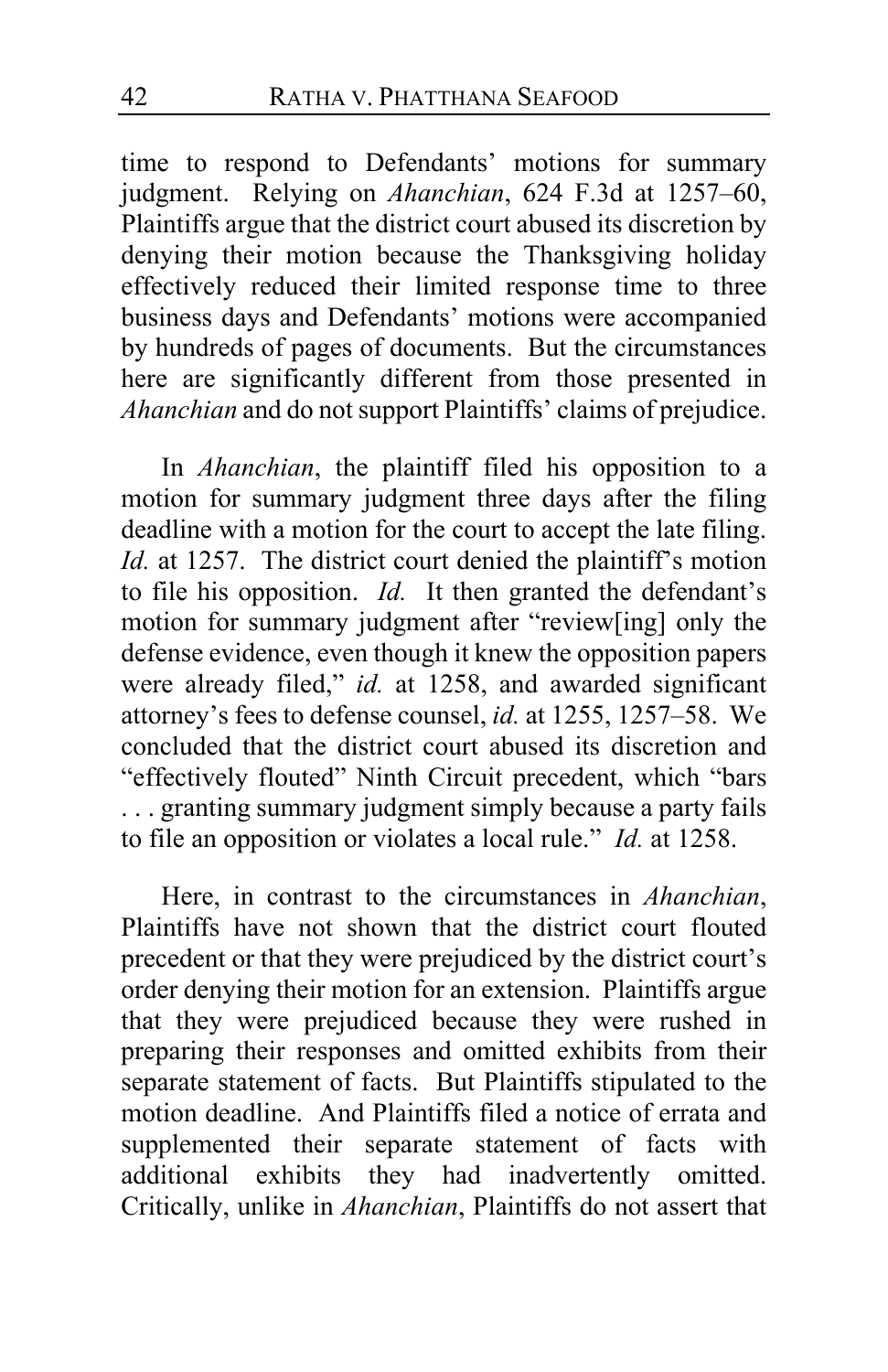time to respond to Defendants' motions for summary judgment. Relying on *Ahanchian*, 624 F.3d at 1257–60, Plaintiffs argue that the district court abused its discretion by denying their motion because the Thanksgiving holiday effectively reduced their limited response time to three business days and Defendants' motions were accompanied by hundreds of pages of documents. But the circumstances here are significantly different from those presented in *Ahanchian* and do not support Plaintiffs' claims of prejudice.

In *Ahanchian*, the plaintiff filed his opposition to a motion for summary judgment three days after the filing deadline with a motion for the court to accept the late filing. *Id.* at 1257. The district court denied the plaintiff's motion to file his opposition. *Id.* It then granted the defendant's motion for summary judgment after "review[ing] only the defense evidence, even though it knew the opposition papers were already filed," *id.* at 1258, and awarded significant attorney's fees to defense counsel, *id.* at 1255, 1257–58. We concluded that the district court abused its discretion and "effectively flouted" Ninth Circuit precedent, which "bars . . . granting summary judgment simply because a party fails to file an opposition or violates a local rule." *Id.* at 1258.

Here, in contrast to the circumstances in *Ahanchian*, Plaintiffs have not shown that the district court flouted precedent or that they were prejudiced by the district court's order denying their motion for an extension. Plaintiffs argue that they were prejudiced because they were rushed in preparing their responses and omitted exhibits from their separate statement of facts. But Plaintiffs stipulated to the motion deadline. And Plaintiffs filed a notice of errata and supplemented their separate statement of facts with additional exhibits they had inadvertently omitted. Critically, unlike in *Ahanchian*, Plaintiffs do not assert that